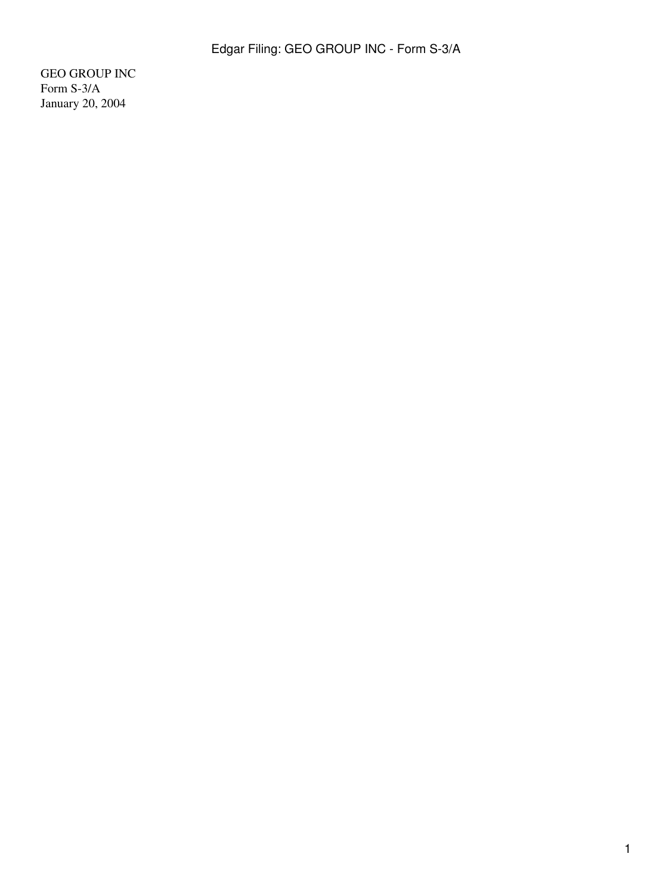GEO GROUP INC Form S-3/A January 20, 2004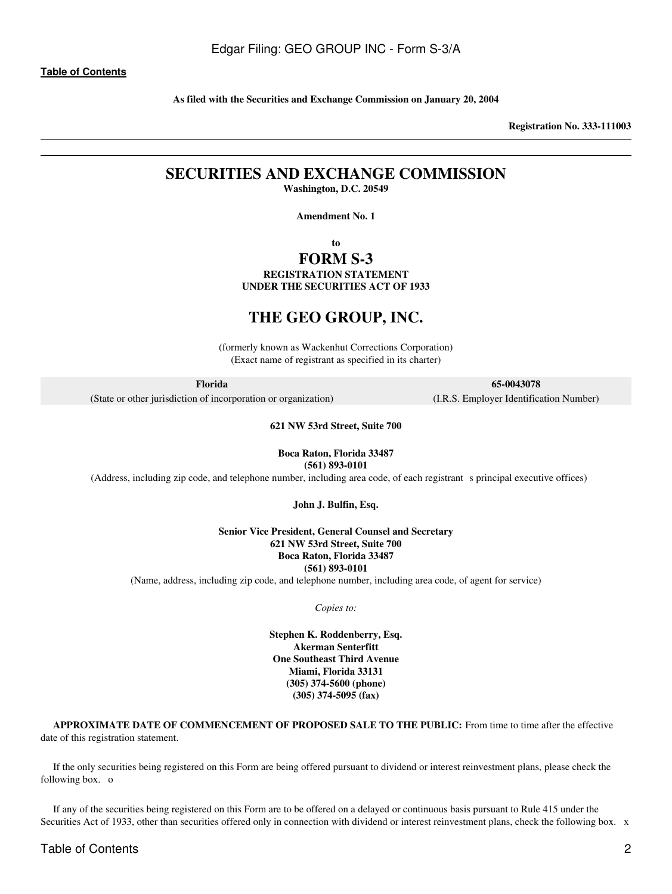**As filed with the Securities and Exchange Commission on January 20, 2004**

**Registration No. 333-111003**

## **SECURITIES AND EXCHANGE COMMISSION Washington, D.C. 20549**

**Amendment No. 1**

**to**

## **FORM S-3**

**REGISTRATION STATEMENT UNDER THE SECURITIES ACT OF 1933**

## **THE GEO GROUP, INC.**

(formerly known as Wackenhut Corrections Corporation) (Exact name of registrant as specified in its charter)

**Florida**

(State or other jurisdiction of incorporation or organization)

#### **621 NW 53rd Street, Suite 700**

**Boca Raton, Florida 33487 (561) 893-0101**

(Address, including zip code, and telephone number, including area code, of each registrants principal executive offices)

**John J. Bulfin, Esq.**

**Senior Vice President, General Counsel and Secretary 621 NW 53rd Street, Suite 700 Boca Raton, Florida 33487 (561) 893-0101**

(Name, address, including zip code, and telephone number, including area code, of agent for service)

*Copies to:*

**Stephen K. Roddenberry, Esq. Akerman Senterfitt One Southeast Third Avenue Miami, Florida 33131 (305) 374-5600 (phone) (305) 374-5095 (fax)**

**APPROXIMATE DATE OF COMMENCEMENT OF PROPOSED SALE TO THE PUBLIC:** From time to time after the effective date of this registration statement.

If the only securities being registered on this Form are being offered pursuant to dividend or interest reinvestment plans, please check the following box. o

If any of the securities being registered on this Form are to be offered on a delayed or continuous basis pursuant to Rule 415 under the Securities Act of 1933, other than securities offered only in connection with dividend or interest reinvestment plans, check the following box. x

**65-0043078**

(I.R.S. Employer Identification Number)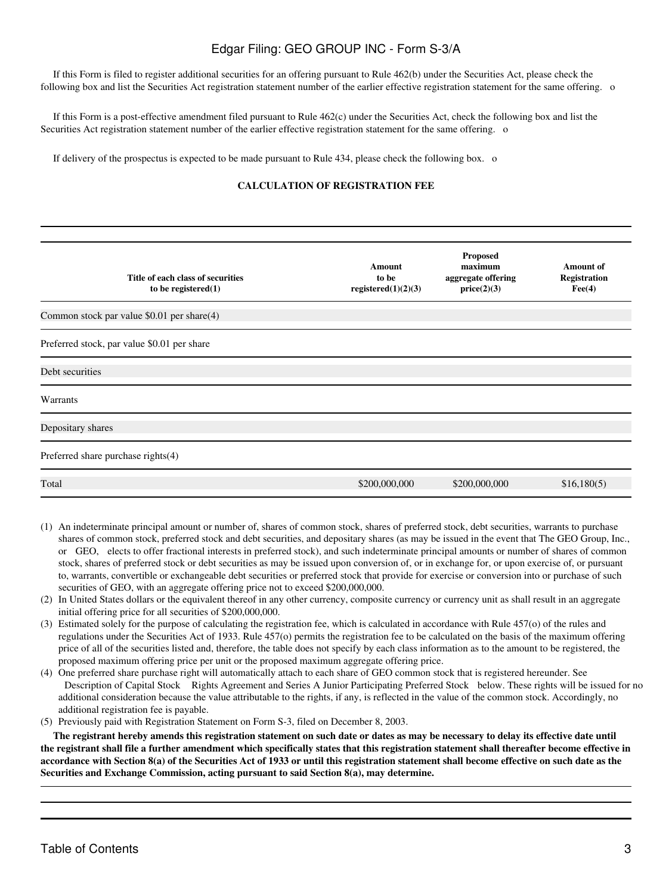If this Form is filed to register additional securities for an offering pursuant to Rule 462(b) under the Securities Act, please check the following box and list the Securities Act registration statement number of the earlier effective registration statement for the same offering. o

If this Form is a post-effective amendment filed pursuant to Rule 462(c) under the Securities Act, check the following box and list the Securities Act registration statement number of the earlier effective registration statement for the same offering. o

If delivery of the prospectus is expected to be made pursuant to Rule 434, please check the following box. o

## **CALCULATION OF REGISTRATION FEE**

| Title of each class of securities<br>to be registered $(1)$ | <b>Amount</b><br>to be<br>registered(1)(2)(3) | <b>Proposed</b><br>maximum<br>aggregate offering<br>price(2)(3) | <b>Amount of</b><br><b>Registration</b><br>$\text{Fee}(4)$ |
|-------------------------------------------------------------|-----------------------------------------------|-----------------------------------------------------------------|------------------------------------------------------------|
| Common stock par value \$0.01 per share(4)                  |                                               |                                                                 |                                                            |
| Preferred stock, par value \$0.01 per share                 |                                               |                                                                 |                                                            |
| Debt securities                                             |                                               |                                                                 |                                                            |
| Warrants                                                    |                                               |                                                                 |                                                            |
| Depositary shares                                           |                                               |                                                                 |                                                            |
| Preferred share purchase rights(4)                          |                                               |                                                                 |                                                            |
| Total                                                       | \$200,000,000                                 | \$200,000,000                                                   | \$16,180(5)                                                |

- (1) An indeterminate principal amount or number of, shares of common stock, shares of preferred stock, debt securities, warrants to purchase shares of common stock, preferred stock and debt securities, and depositary shares (as may be issued in the event that The GEO Group, Inc., or GEO, elects to offer fractional interests in preferred stock), and such indeterminate principal amounts or number of shares of common stock, shares of preferred stock or debt securities as may be issued upon conversion of, or in exchange for, or upon exercise of, or pursuant to, warrants, convertible or exchangeable debt securities or preferred stock that provide for exercise or conversion into or purchase of such securities of GEO, with an aggregate offering price not to exceed \$200,000,000.
- (2) In United States dollars or the equivalent thereof in any other currency, composite currency or currency unit as shall result in an aggregate initial offering price for all securities of \$200,000,000.
- (3) Estimated solely for the purpose of calculating the registration fee, which is calculated in accordance with Rule 457(o) of the rules and regulations under the Securities Act of 1933. Rule 457(o) permits the registration fee to be calculated on the basis of the maximum offering price of all of the securities listed and, therefore, the table does not specify by each class information as to the amount to be registered, the proposed maximum offering price per unit or the proposed maximum aggregate offering price.
- (4) One preferred share purchase right will automatically attach to each share of GEO common stock that is registered hereunder. See Description of Capital Stock Rights Agreement and Series A Junior Participating Preferred Stock below. These rights will be issued for no additional consideration because the value attributable to the rights, if any, is reflected in the value of the common stock. Accordingly, no additional registration fee is payable.
- (5) Previously paid with Registration Statement on Form S-3, filed on December 8, 2003.

**The registrant hereby amends this registration statement on such date or dates as may be necessary to delay its effective date until the registrant shall file a further amendment which specifically states that this registration statement shall thereafter become effective in accordance with Section 8(a) of the Securities Act of 1933 or until this registration statement shall become effective on such date as the Securities and Exchange Commission, acting pursuant to said Section 8(a), may determine.**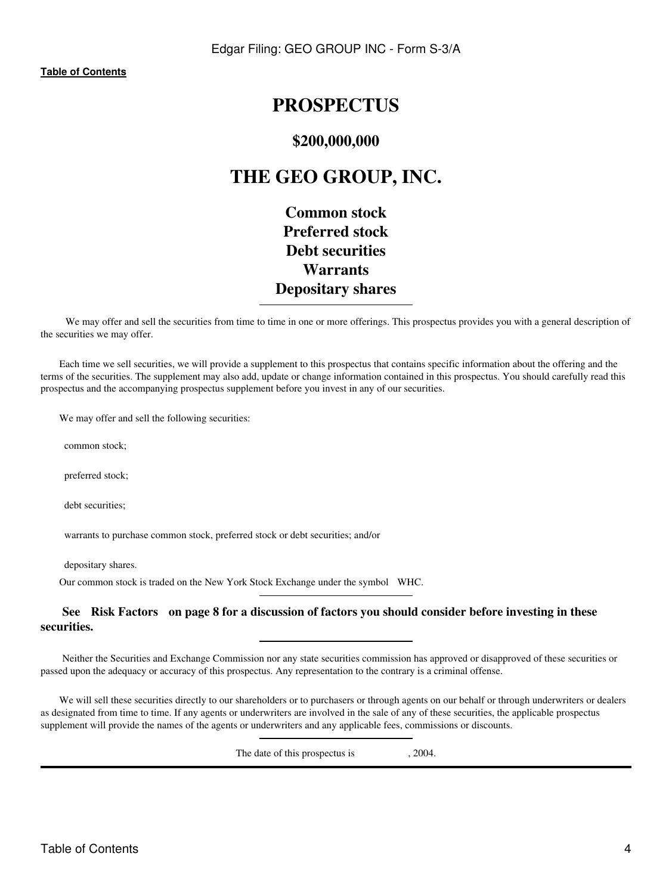# **PROSPECTUS**

## **\$200,000,000**

# **THE GEO GROUP, INC.**

**Common stock Preferred stock Debt securities Warrants Depositary shares**

We may offer and sell the securities from time to time in one or more offerings. This prospectus provides you with a general description of the securities we may offer.

Each time we sell securities, we will provide a supplement to this prospectus that contains specific information about the offering and the terms of the securities. The supplement may also add, update or change information contained in this prospectus. You should carefully read this prospectus and the accompanying prospectus supplement before you invest in any of our securities.

We may offer and sell the following securities:

common stock;

preferred stock;

debt securities;

warrants to purchase common stock, preferred stock or debt securities; and/or

depositary shares.

Our common stock is traded on the New York Stock Exchange under the symbol WHC.

## **See Risk Factors on page 8 for a discussion of factors you should consider before investing in these securities.**

Neither the Securities and Exchange Commission nor any state securities commission has approved or disapproved of these securities or passed upon the adequacy or accuracy of this prospectus. Any representation to the contrary is a criminal offense.

We will sell these securities directly to our shareholders or to purchasers or through agents on our behalf or through underwriters or dealers as designated from time to time. If any agents or underwriters are involved in the sale of any of these securities, the applicable prospectus supplement will provide the names of the agents or underwriters and any applicable fees, commissions or discounts.

The date of this prospectus is  $, 2004$ .

Table of Contents 4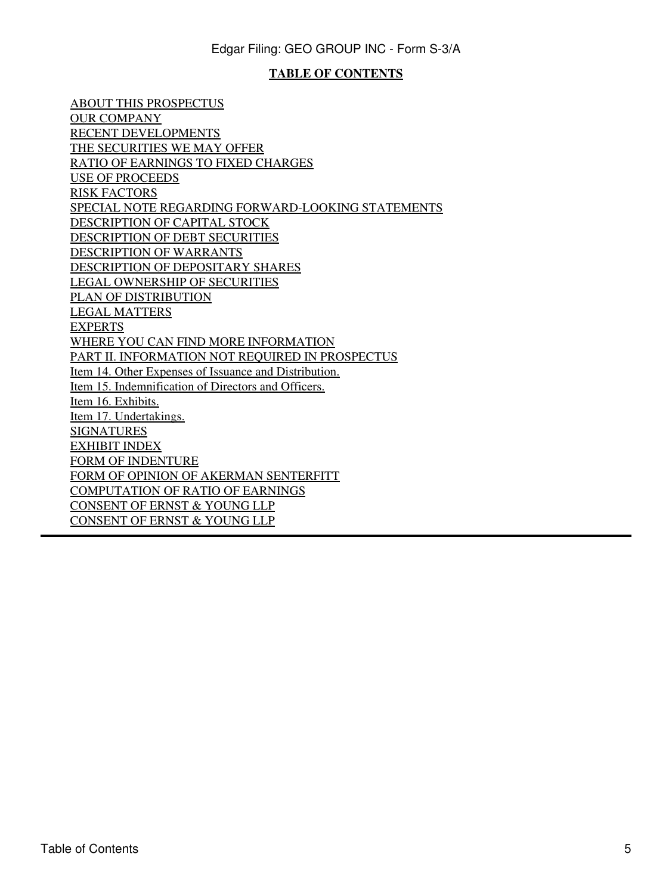## **TABLE OF CONTENTS**

<span id="page-4-0"></span>[ABOUT THIS PROSPECTUS](#page-6-0) [OUR COMPANY](#page-6-1) [RECENT DEVELOPMENTS](#page-6-2) [THE SECURITIES WE MAY OFFER](#page-7-0) [RATIO OF EARNINGS TO FIXED CHARGES](#page-10-0) [USE OF PROCEEDS](#page-11-0) [RISK FACTORS](#page-12-0) [SPECIAL NOTE REGARDING FORWARD-LOOKING STATEMENTS](#page-23-0) [DESCRIPTION OF CAPITAL STOCK](#page-25-0) [DESCRIPTION OF DEBT SECURITIES](#page-26-0) [DESCRIPTION OF WARRANTS](#page-33-0) [DESCRIPTION OF DEPOSITARY SHARES](#page-36-0) [LEGAL OWNERSHIP OF SECURITIES](#page-39-0) [PLAN OF DISTRIBUTION](#page-42-0) [LEGAL MATTERS](#page-44-0) [EXPERTS](#page-44-1) [WHERE YOU CAN FIND MORE INFORMATION](#page-45-0) [PART II. INFORMATION NOT REQUIRED IN PROSPECTUS](#page-48-0) [Item 14. Other Expenses of Issuance and Distribution.](#page-48-1) [Item 15. Indemnification of Directors and Officers.](#page-48-2) [Item 16. Exhibits.](#page-50-0) [Item 17. Undertakings.](#page-50-1) [SIGNATURES](#page-52-0) [EXHIBIT INDEX](#page-54-0) FORM OF INDENTURE FORM OF OPINION OF AKERMAN SENTERFITT COMPUTATION OF RATIO OF EARNINGS CONSENT OF ERNST & YOUNG LLP CONSENT OF ERNST & YOUNG LLP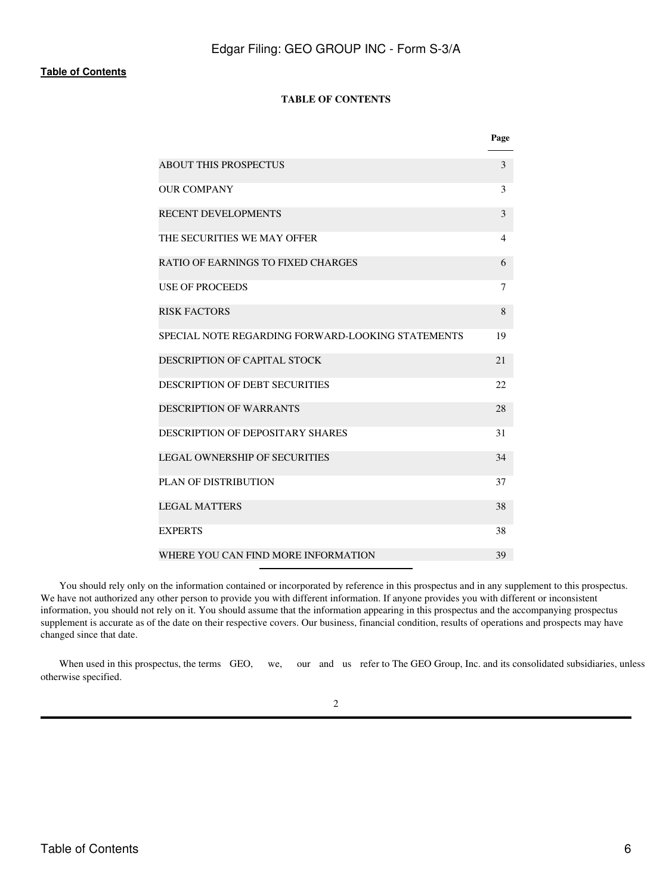## **TABLE OF CONTENTS**

|                                                   | Page           |
|---------------------------------------------------|----------------|
| <b>ABOUT THIS PROSPECTUS</b>                      | 3              |
| <b>OUR COMPANY</b>                                | 3              |
| <b>RECENT DEVELOPMENTS</b>                        | 3              |
| THE SECURITIES WE MAY OFFER                       | $\overline{4}$ |
| RATIO OF EARNINGS TO FIXED CHARGES                | 6              |
| <b>USE OF PROCEEDS</b>                            | 7              |
| <b>RISK FACTORS</b>                               | 8              |
| SPECIAL NOTE REGARDING FORWARD-LOOKING STATEMENTS | 19             |
| DESCRIPTION OF CAPITAL STOCK                      | 2.1            |
| <b>DESCRIPTION OF DEBT SECURITIES</b>             | 22             |
| <b>DESCRIPTION OF WARRANTS</b>                    | 28             |
| DESCRIPTION OF DEPOSITARY SHARES                  | 31             |
| <b>LEGAL OWNERSHIP OF SECURITIES</b>              | 34             |
| <b>PLAN OF DISTRIBUTION</b>                       | 37             |
| <b>LEGAL MATTERS</b>                              | 38             |
| <b>EXPERTS</b>                                    | 38             |
| WHERE YOU CAN FIND MORE INFORMATION               | 39             |

You should rely only on the information contained or incorporated by reference in this prospectus and in any supplement to this prospectus. We have not authorized any other person to provide you with different information. If anyone provides you with different or inconsistent information, you should not rely on it. You should assume that the information appearing in this prospectus and the accompanying prospectus supplement is accurate as of the date on their respective covers. Our business, financial condition, results of operations and prospects may have changed since that date.

When used in this prospectus, the terms GEO, we, our and us refer to The GEO Group, Inc. and its consolidated subsidiaries, unless otherwise specified.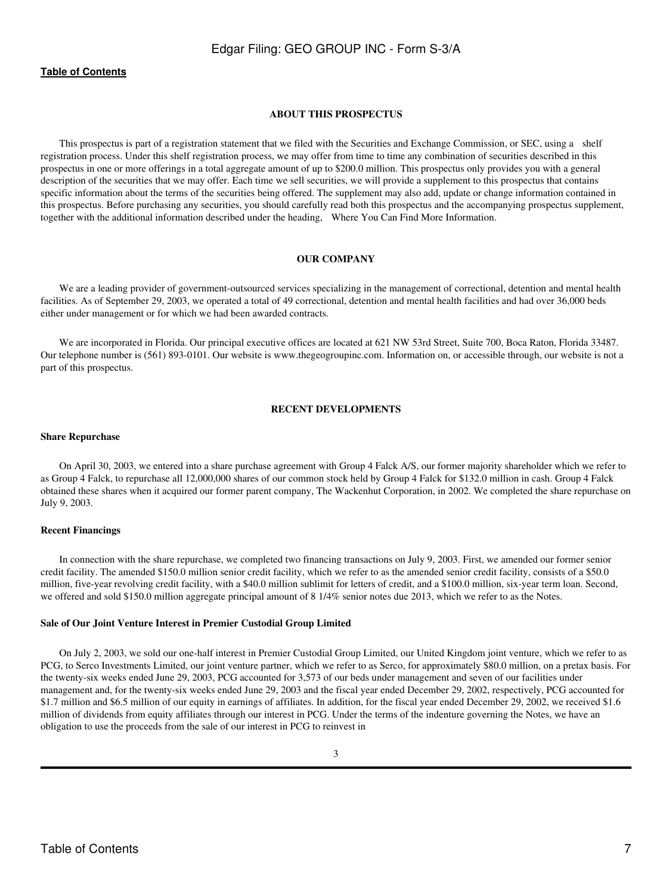#### **ABOUT THIS PROSPECTUS**

<span id="page-6-0"></span>This prospectus is part of a registration statement that we filed with the Securities and Exchange Commission, or SEC, using a shelf registration process. Under this shelf registration process, we may offer from time to time any combination of securities described in this prospectus in one or more offerings in a total aggregate amount of up to \$200.0 million. This prospectus only provides you with a general description of the securities that we may offer. Each time we sell securities, we will provide a supplement to this prospectus that contains specific information about the terms of the securities being offered. The supplement may also add, update or change information contained in this prospectus. Before purchasing any securities, you should carefully read both this prospectus and the accompanying prospectus supplement, together with the additional information described under the heading, Where You Can Find More Information.

#### **OUR COMPANY**

<span id="page-6-1"></span>We are a leading provider of government-outsourced services specializing in the management of correctional, detention and mental health facilities. As of September 29, 2003, we operated a total of 49 correctional, detention and mental health facilities and had over 36,000 beds either under management or for which we had been awarded contracts.

We are incorporated in Florida. Our principal executive offices are located at 621 NW 53rd Street, Suite 700, Boca Raton, Florida 33487. Our telephone number is (561) 893-0101. Our website is www.thegeogroupinc.com. Information on, or accessible through, our website is not a part of this prospectus.

## **RECENT DEVELOPMENTS**

#### <span id="page-6-2"></span>**Share Repurchase**

On April 30, 2003, we entered into a share purchase agreement with Group 4 Falck A/S, our former majority shareholder which we refer to as Group 4 Falck, to repurchase all 12,000,000 shares of our common stock held by Group 4 Falck for \$132.0 million in cash. Group 4 Falck obtained these shares when it acquired our former parent company, The Wackenhut Corporation, in 2002. We completed the share repurchase on July 9, 2003.

#### **Recent Financings**

In connection with the share repurchase, we completed two financing transactions on July 9, 2003. First, we amended our former senior credit facility. The amended \$150.0 million senior credit facility, which we refer to as the amended senior credit facility, consists of a \$50.0 million, five-year revolving credit facility, with a \$40.0 million sublimit for letters of credit, and a \$100.0 million, six-year term loan. Second, we offered and sold \$150.0 million aggregate principal amount of 8 1/4% senior notes due 2013, which we refer to as the Notes.

#### **Sale of Our Joint Venture Interest in Premier Custodial Group Limited**

On July 2, 2003, we sold our one-half interest in Premier Custodial Group Limited, our United Kingdom joint venture, which we refer to as PCG, to Serco Investments Limited, our joint venture partner, which we refer to as Serco, for approximately \$80.0 million, on a pretax basis. For the twenty-six weeks ended June 29, 2003, PCG accounted for 3,573 of our beds under management and seven of our facilities under management and, for the twenty-six weeks ended June 29, 2003 and the fiscal year ended December 29, 2002, respectively, PCG accounted for \$1.7 million and \$6.5 million of our equity in earnings of affiliates. In addition, for the fiscal year ended December 29, 2002, we received \$1.6 million of dividends from equity affiliates through our interest in PCG. Under the terms of the indenture governing the Notes, we have an obligation to use the proceeds from the sale of our interest in PCG to reinvest in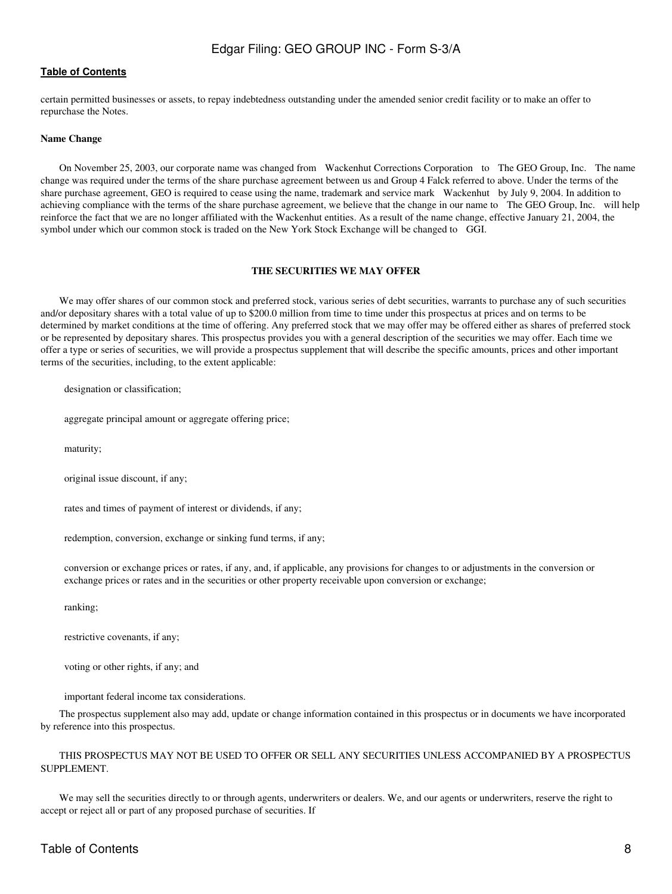certain permitted businesses or assets, to repay indebtedness outstanding under the amended senior credit facility or to make an offer to repurchase the Notes.

#### **Name Change**

On November 25, 2003, our corporate name was changed from Wackenhut Corrections Corporation to The GEO Group, Inc. The name change was required under the terms of the share purchase agreement between us and Group 4 Falck referred to above. Under the terms of the share purchase agreement, GEO is required to cease using the name, trademark and service mark Wackenhut by July 9, 2004. In addition to achieving compliance with the terms of the share purchase agreement, we believe that the change in our name to The GEO Group, Inc. will help reinforce the fact that we are no longer affiliated with the Wackenhut entities. As a result of the name change, effective January 21, 2004, the symbol under which our common stock is traded on the New York Stock Exchange will be changed to GGI.

#### **THE SECURITIES WE MAY OFFER**

<span id="page-7-0"></span>We may offer shares of our common stock and preferred stock, various series of debt securities, warrants to purchase any of such securities and/or depositary shares with a total value of up to \$200.0 million from time to time under this prospectus at prices and on terms to be determined by market conditions at the time of offering. Any preferred stock that we may offer may be offered either as shares of preferred stock or be represented by depositary shares. This prospectus provides you with a general description of the securities we may offer. Each time we offer a type or series of securities, we will provide a prospectus supplement that will describe the specific amounts, prices and other important terms of the securities, including, to the extent applicable:

designation or classification;

aggregate principal amount or aggregate offering price;

maturity;

original issue discount, if any;

rates and times of payment of interest or dividends, if any;

redemption, conversion, exchange or sinking fund terms, if any;

 conversion or exchange prices or rates, if any, and, if applicable, any provisions for changes to or adjustments in the conversion or exchange prices or rates and in the securities or other property receivable upon conversion or exchange;

ranking;

restrictive covenants, if any;

voting or other rights, if any; and

important federal income tax considerations.

The prospectus supplement also may add, update or change information contained in this prospectus or in documents we have incorporated by reference into this prospectus.

### THIS PROSPECTUS MAY NOT BE USED TO OFFER OR SELL ANY SECURITIES UNLESS ACCOMPANIED BY A PROSPECTUS SUPPLEMENT.

We may sell the securities directly to or through agents, underwriters or dealers. We, and our agents or underwriters, reserve the right to accept or reject all or part of any proposed purchase of securities. If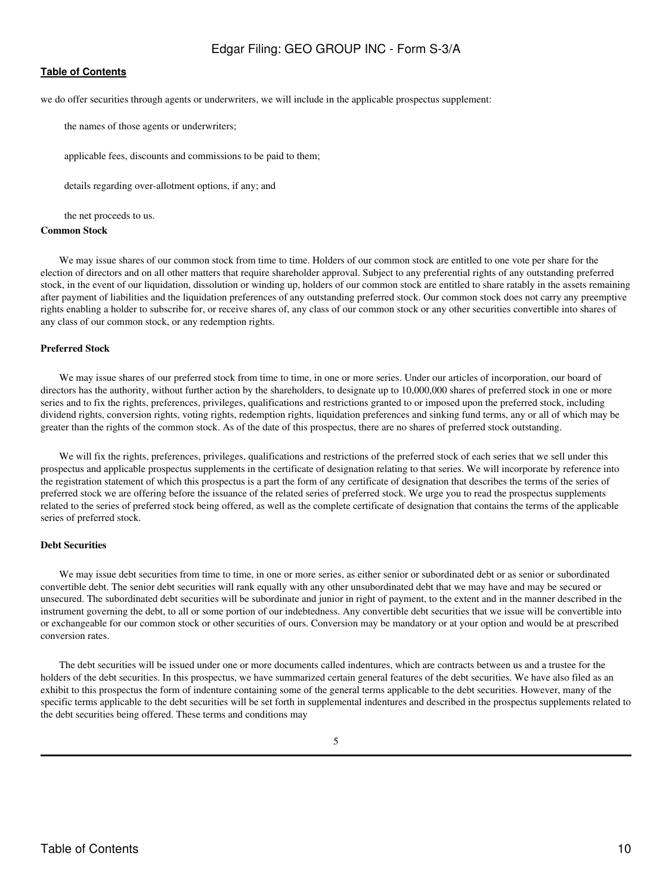### **[Table of Contents](#page-4-0)**

we do offer securities through agents or underwriters, we will include in the applicable prospectus supplement:

the names of those agents or underwriters;

applicable fees, discounts and commissions to be paid to them;

details regarding over-allotment options, if any; and

the net proceeds to us.

#### **Common Stock**

We may issue shares of our common stock from time to time. Holders of our common stock are entitled to one vote per share for the election of directors and on all other matters that require shareholder approval. Subject to any preferential rights of any outstanding preferred stock, in the event of our liquidation, dissolution or winding up, holders of our common stock are entitled to share ratably in the assets remaining after payment of liabilities and the liquidation preferences of any outstanding preferred stock. Our common stock does not carry any preemptive rights enabling a holder to subscribe for, or receive shares of, any class of our common stock or any other securities convertible into shares of any class of our common stock, or any redemption rights.

#### **Preferred Stock**

We may issue shares of our preferred stock from time to time, in one or more series. Under our articles of incorporation, our board of directors has the authority, without further action by the shareholders, to designate up to 10,000,000 shares of preferred stock in one or more series and to fix the rights, preferences, privileges, qualifications and restrictions granted to or imposed upon the preferred stock, including dividend rights, conversion rights, voting rights, redemption rights, liquidation preferences and sinking fund terms, any or all of which may be greater than the rights of the common stock. As of the date of this prospectus, there are no shares of preferred stock outstanding.

We will fix the rights, preferences, privileges, qualifications and restrictions of the preferred stock of each series that we sell under this prospectus and applicable prospectus supplements in the certificate of designation relating to that series. We will incorporate by reference into the registration statement of which this prospectus is a part the form of any certificate of designation that describes the terms of the series of preferred stock we are offering before the issuance of the related series of preferred stock. We urge you to read the prospectus supplements related to the series of preferred stock being offered, as well as the complete certificate of designation that contains the terms of the applicable series of preferred stock.

#### **Debt Securities**

We may issue debt securities from time to time, in one or more series, as either senior or subordinated debt or as senior or subordinated convertible debt. The senior debt securities will rank equally with any other unsubordinated debt that we may have and may be secured or unsecured. The subordinated debt securities will be subordinate and junior in right of payment, to the extent and in the manner described in the instrument governing the debt, to all or some portion of our indebtedness. Any convertible debt securities that we issue will be convertible into or exchangeable for our common stock or other securities of ours. Conversion may be mandatory or at your option and would be at prescribed conversion rates.

The debt securities will be issued under one or more documents called indentures, which are contracts between us and a trustee for the holders of the debt securities. In this prospectus, we have summarized certain general features of the debt securities. We have also filed as an exhibit to this prospectus the form of indenture containing some of the general terms applicable to the debt securities. However, many of the specific terms applicable to the debt securities will be set forth in supplemental indentures and described in the prospectus supplements related to the debt securities being offered. These terms and conditions may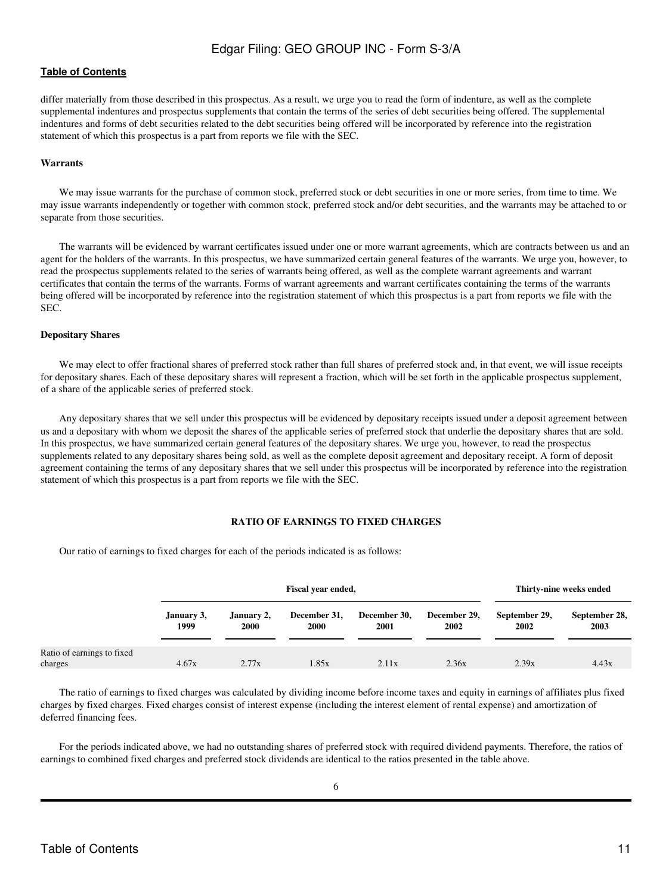differ materially from those described in this prospectus. As a result, we urge you to read the form of indenture, as well as the complete supplemental indentures and prospectus supplements that contain the terms of the series of debt securities being offered. The supplemental indentures and forms of debt securities related to the debt securities being offered will be incorporated by reference into the registration statement of which this prospectus is a part from reports we file with the SEC.

#### **Warrants**

We may issue warrants for the purchase of common stock, preferred stock or debt securities in one or more series, from time to time. We may issue warrants independently or together with common stock, preferred stock and/or debt securities, and the warrants may be attached to or separate from those securities.

The warrants will be evidenced by warrant certificates issued under one or more warrant agreements, which are contracts between us and an agent for the holders of the warrants. In this prospectus, we have summarized certain general features of the warrants. We urge you, however, to read the prospectus supplements related to the series of warrants being offered, as well as the complete warrant agreements and warrant certificates that contain the terms of the warrants. Forms of warrant agreements and warrant certificates containing the terms of the warrants being offered will be incorporated by reference into the registration statement of which this prospectus is a part from reports we file with the SEC.

#### **Depositary Shares**

We may elect to offer fractional shares of preferred stock rather than full shares of preferred stock and, in that event, we will issue receipts for depositary shares. Each of these depositary shares will represent a fraction, which will be set forth in the applicable prospectus supplement, of a share of the applicable series of preferred stock.

Any depositary shares that we sell under this prospectus will be evidenced by depositary receipts issued under a deposit agreement between us and a depositary with whom we deposit the shares of the applicable series of preferred stock that underlie the depositary shares that are sold. In this prospectus, we have summarized certain general features of the depositary shares. We urge you, however, to read the prospectus supplements related to any depositary shares being sold, as well as the complete deposit agreement and depositary receipt. A form of deposit agreement containing the terms of any depositary shares that we sell under this prospectus will be incorporated by reference into the registration statement of which this prospectus is a part from reports we file with the SEC.

## **RATIO OF EARNINGS TO FIXED CHARGES**

<span id="page-10-0"></span>Our ratio of earnings to fixed charges for each of the periods indicated is as follows:

|                                       |                    | Fiscal year ended, |                             |                      | Thirty-nine weeks ended |                       |                       |
|---------------------------------------|--------------------|--------------------|-----------------------------|----------------------|-------------------------|-----------------------|-----------------------|
|                                       | January 3,<br>1999 | January 2,<br>2000 | December 31,<br><b>2000</b> | December 30,<br>2001 | December 29,<br>2002    | September 29,<br>2002 | September 28,<br>2003 |
| Ratio of earnings to fixed<br>charges | 4.67x              | 2.77x              | 1.85x                       | 2.11x                | 2.36x                   | 2.39x                 | 4.43x                 |

The ratio of earnings to fixed charges was calculated by dividing income before income taxes and equity in earnings of affiliates plus fixed charges by fixed charges. Fixed charges consist of interest expense (including the interest element of rental expense) and amortization of deferred financing fees.

For the periods indicated above, we had no outstanding shares of preferred stock with required dividend payments. Therefore, the ratios of earnings to combined fixed charges and preferred stock dividends are identical to the ratios presented in the table above.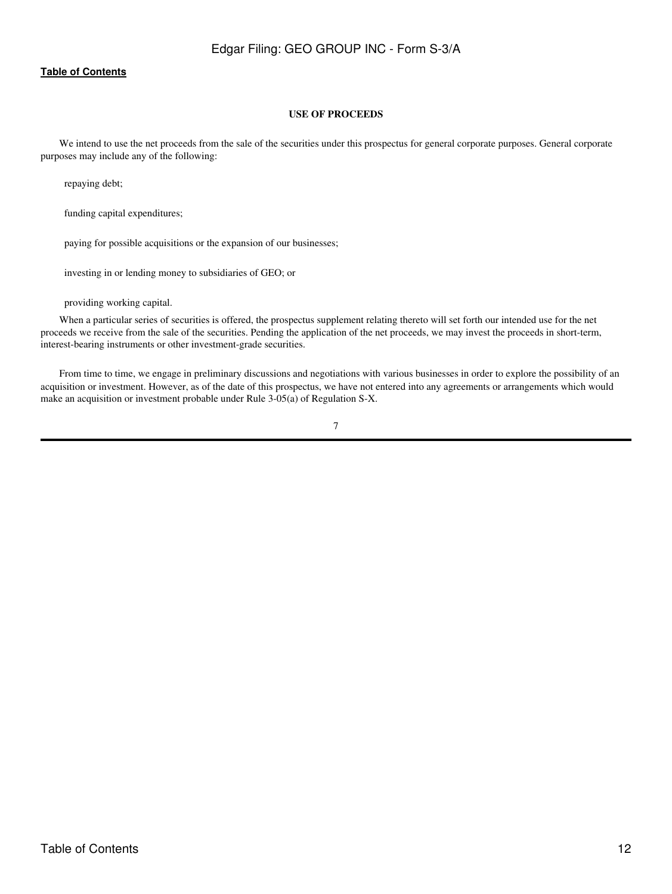## **USE OF PROCEEDS**

<span id="page-11-0"></span>We intend to use the net proceeds from the sale of the securities under this prospectus for general corporate purposes. General corporate purposes may include any of the following:

repaying debt;

funding capital expenditures;

paying for possible acquisitions or the expansion of our businesses;

investing in or lending money to subsidiaries of GEO; or

providing working capital.

When a particular series of securities is offered, the prospectus supplement relating thereto will set forth our intended use for the net proceeds we receive from the sale of the securities. Pending the application of the net proceeds, we may invest the proceeds in short-term, interest-bearing instruments or other investment-grade securities.

From time to time, we engage in preliminary discussions and negotiations with various businesses in order to explore the possibility of an acquisition or investment. However, as of the date of this prospectus, we have not entered into any agreements or arrangements which would make an acquisition or investment probable under Rule 3-05(a) of Regulation S-X.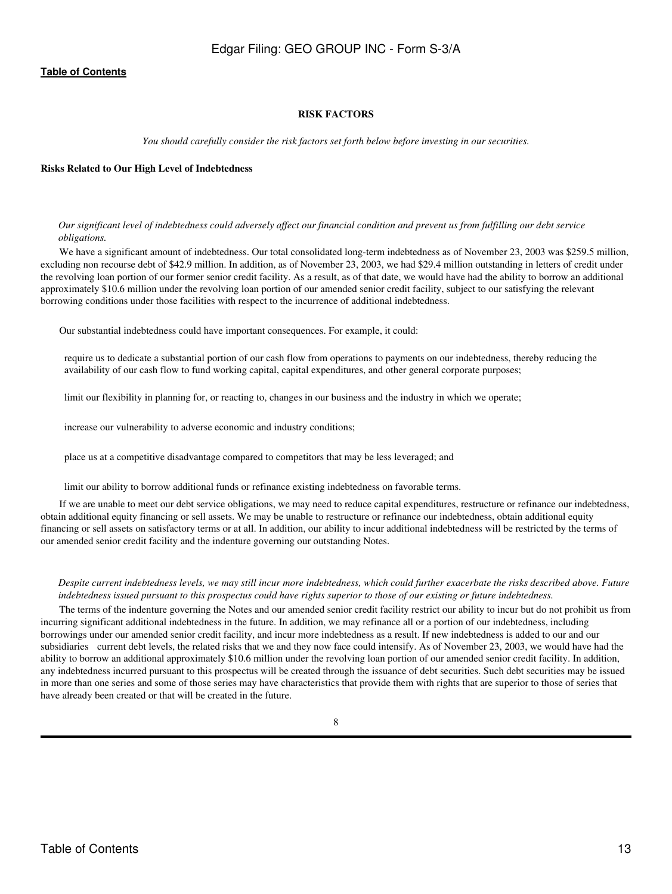## **RISK FACTORS**

*You should carefully consider the risk factors set forth below before investing in our securities.*

#### <span id="page-12-0"></span>**Risks Related to Our High Level of Indebtedness**

#### *Our significant level of indebtedness could adversely affect our financial condition and prevent us from fulfilling our debt service obligations.*

We have a significant amount of indebtedness. Our total consolidated long-term indebtedness as of November 23, 2003 was \$259.5 million, excluding non recourse debt of \$42.9 million. In addition, as of November 23, 2003, we had \$29.4 million outstanding in letters of credit under the revolving loan portion of our former senior credit facility. As a result, as of that date, we would have had the ability to borrow an additional approximately \$10.6 million under the revolving loan portion of our amended senior credit facility, subject to our satisfying the relevant borrowing conditions under those facilities with respect to the incurrence of additional indebtedness.

Our substantial indebtedness could have important consequences. For example, it could:

 require us to dedicate a substantial portion of our cash flow from operations to payments on our indebtedness, thereby reducing the availability of our cash flow to fund working capital, capital expenditures, and other general corporate purposes;

limit our flexibility in planning for, or reacting to, changes in our business and the industry in which we operate;

increase our vulnerability to adverse economic and industry conditions;

place us at a competitive disadvantage compared to competitors that may be less leveraged; and

limit our ability to borrow additional funds or refinance existing indebtedness on favorable terms.

If we are unable to meet our debt service obligations, we may need to reduce capital expenditures, restructure or refinance our indebtedness, obtain additional equity financing or sell assets. We may be unable to restructure or refinance our indebtedness, obtain additional equity financing or sell assets on satisfactory terms or at all. In addition, our ability to incur additional indebtedness will be restricted by the terms of our amended senior credit facility and the indenture governing our outstanding Notes.

#### *Despite current indebtedness levels, we may still incur more indebtedness, which could further exacerbate the risks described above. Future indebtedness issued pursuant to this prospectus could have rights superior to those of our existing or future indebtedness.*

The terms of the indenture governing the Notes and our amended senior credit facility restrict our ability to incur but do not prohibit us from incurring significant additional indebtedness in the future. In addition, we may refinance all or a portion of our indebtedness, including borrowings under our amended senior credit facility, and incur more indebtedness as a result. If new indebtedness is added to our and our subsidiaries current debt levels, the related risks that we and they now face could intensify. As of November 23, 2003, we would have had the ability to borrow an additional approximately \$10.6 million under the revolving loan portion of our amended senior credit facility. In addition, any indebtedness incurred pursuant to this prospectus will be created through the issuance of debt securities. Such debt securities may be issued in more than one series and some of those series may have characteristics that provide them with rights that are superior to those of series that have already been created or that will be created in the future.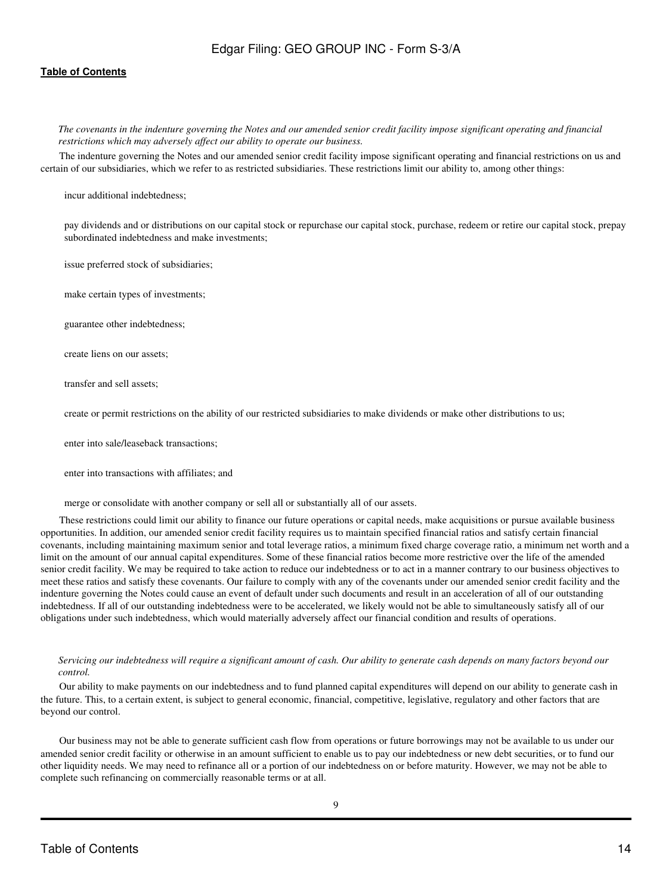## **[Table of Contents](#page-4-0)**

*The covenants in the indenture governing the Notes and our amended senior credit facility impose significant operating and financial restrictions which may adversely affect our ability to operate our business.*

The indenture governing the Notes and our amended senior credit facility impose significant operating and financial restrictions on us and certain of our subsidiaries, which we refer to as restricted subsidiaries. These restrictions limit our ability to, among other things:

incur additional indebtedness;

 pay dividends and or distributions on our capital stock or repurchase our capital stock, purchase, redeem or retire our capital stock, prepay subordinated indebtedness and make investments;

issue preferred stock of subsidiaries;

make certain types of investments;

guarantee other indebtedness;

create liens on our assets;

transfer and sell assets;

create or permit restrictions on the ability of our restricted subsidiaries to make dividends or make other distributions to us;

enter into sale/leaseback transactions;

enter into transactions with affiliates; and

merge or consolidate with another company or sell all or substantially all of our assets.

These restrictions could limit our ability to finance our future operations or capital needs, make acquisitions or pursue available business opportunities. In addition, our amended senior credit facility requires us to maintain specified financial ratios and satisfy certain financial covenants, including maintaining maximum senior and total leverage ratios, a minimum fixed charge coverage ratio, a minimum net worth and a limit on the amount of our annual capital expenditures. Some of these financial ratios become more restrictive over the life of the amended senior credit facility. We may be required to take action to reduce our indebtedness or to act in a manner contrary to our business objectives to meet these ratios and satisfy these covenants. Our failure to comply with any of the covenants under our amended senior credit facility and the indenture governing the Notes could cause an event of default under such documents and result in an acceleration of all of our outstanding indebtedness. If all of our outstanding indebtedness were to be accelerated, we likely would not be able to simultaneously satisfy all of our obligations under such indebtedness, which would materially adversely affect our financial condition and results of operations.

*Servicing our indebtedness will require a significant amount of cash. Our ability to generate cash depends on many factors beyond our control.*

Our ability to make payments on our indebtedness and to fund planned capital expenditures will depend on our ability to generate cash in the future. This, to a certain extent, is subject to general economic, financial, competitive, legislative, regulatory and other factors that are beyond our control.

Our business may not be able to generate sufficient cash flow from operations or future borrowings may not be available to us under our amended senior credit facility or otherwise in an amount sufficient to enable us to pay our indebtedness or new debt securities, or to fund our other liquidity needs. We may need to refinance all or a portion of our indebtedness on or before maturity. However, we may not be able to complete such refinancing on commercially reasonable terms or at all.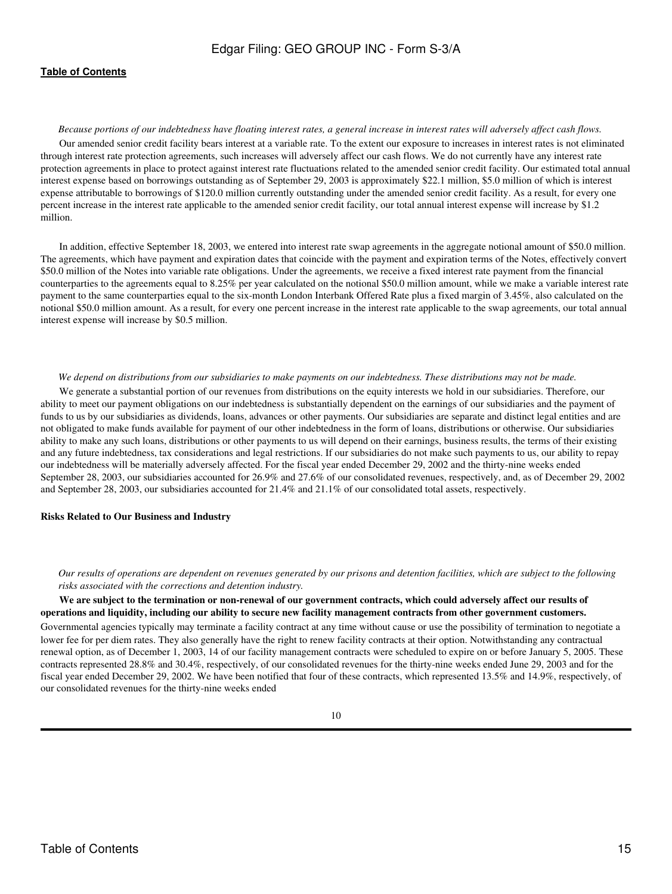*Because portions of our indebtedness have floating interest rates, a general increase in interest rates will adversely affect cash flows.* Our amended senior credit facility bears interest at a variable rate. To the extent our exposure to increases in interest rates is not eliminated through interest rate protection agreements, such increases will adversely affect our cash flows. We do not currently have any interest rate protection agreements in place to protect against interest rate fluctuations related to the amended senior credit facility. Our estimated total annual interest expense based on borrowings outstanding as of September 29, 2003 is approximately \$22.1 million, \$5.0 million of which is interest expense attributable to borrowings of \$120.0 million currently outstanding under the amended senior credit facility. As a result, for every one percent increase in the interest rate applicable to the amended senior credit facility, our total annual interest expense will increase by \$1.2 million.

In addition, effective September 18, 2003, we entered into interest rate swap agreements in the aggregate notional amount of \$50.0 million. The agreements, which have payment and expiration dates that coincide with the payment and expiration terms of the Notes, effectively convert \$50.0 million of the Notes into variable rate obligations. Under the agreements, we receive a fixed interest rate payment from the financial counterparties to the agreements equal to 8.25% per year calculated on the notional \$50.0 million amount, while we make a variable interest rate payment to the same counterparties equal to the six-month London Interbank Offered Rate plus a fixed margin of 3.45%, also calculated on the notional \$50.0 million amount. As a result, for every one percent increase in the interest rate applicable to the swap agreements, our total annual interest expense will increase by \$0.5 million.

#### *We depend on distributions from our subsidiaries to make payments on our indebtedness. These distributions may not be made.*

We generate a substantial portion of our revenues from distributions on the equity interests we hold in our subsidiaries. Therefore, our ability to meet our payment obligations on our indebtedness is substantially dependent on the earnings of our subsidiaries and the payment of funds to us by our subsidiaries as dividends, loans, advances or other payments. Our subsidiaries are separate and distinct legal entities and are not obligated to make funds available for payment of our other indebtedness in the form of loans, distributions or otherwise. Our subsidiaries ability to make any such loans, distributions or other payments to us will depend on their earnings, business results, the terms of their existing and any future indebtedness, tax considerations and legal restrictions. If our subsidiaries do not make such payments to us, our ability to repay our indebtedness will be materially adversely affected. For the fiscal year ended December 29, 2002 and the thirty-nine weeks ended September 28, 2003, our subsidiaries accounted for 26.9% and 27.6% of our consolidated revenues, respectively, and, as of December 29, 2002 and September 28, 2003, our subsidiaries accounted for 21.4% and 21.1% of our consolidated total assets, respectively.

#### **Risks Related to Our Business and Industry**

*Our results of operations are dependent on revenues generated by our prisons and detention facilities, which are subject to the following risks associated with the corrections and detention industry.*

**We are subject to the termination or non-renewal of our government contracts, which could adversely affect our results of operations and liquidity, including our ability to secure new facility management contracts from other government customers.** Governmental agencies typically may terminate a facility contract at any time without cause or use the possibility of termination to negotiate a lower fee for per diem rates. They also generally have the right to renew facility contracts at their option. Notwithstanding any contractual renewal option, as of December 1, 2003, 14 of our facility management contracts were scheduled to expire on or before January 5, 2005. These contracts represented 28.8% and 30.4%, respectively, of our consolidated revenues for the thirty-nine weeks ended June 29, 2003 and for the fiscal year ended December 29, 2002. We have been notified that four of these contracts, which represented 13.5% and 14.9%, respectively, of our consolidated revenues for the thirty-nine weeks ended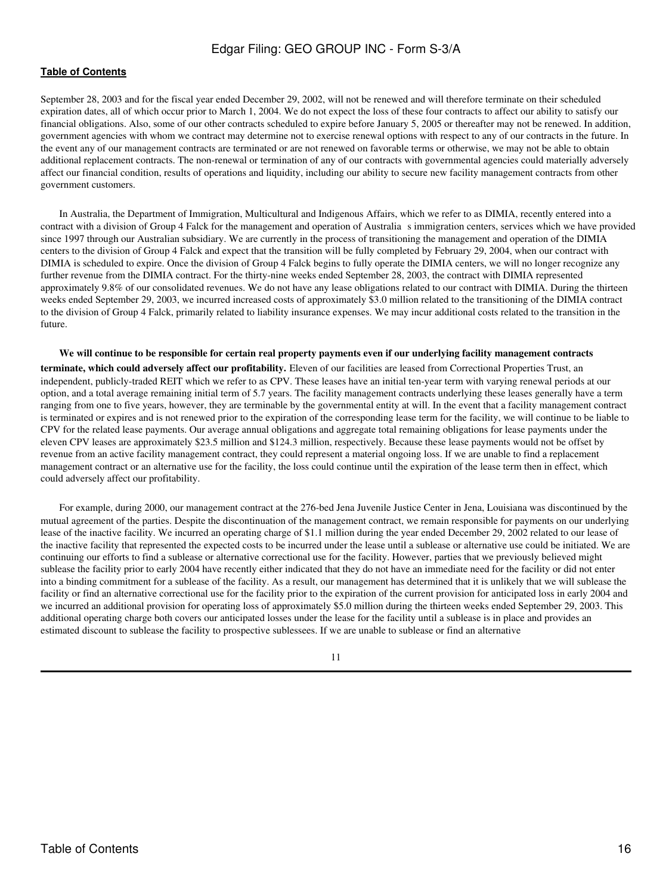### **[Table of Contents](#page-4-0)**

September 28, 2003 and for the fiscal year ended December 29, 2002, will not be renewed and will therefore terminate on their scheduled expiration dates, all of which occur prior to March 1, 2004. We do not expect the loss of these four contracts to affect our ability to satisfy our financial obligations. Also, some of our other contracts scheduled to expire before January 5, 2005 or thereafter may not be renewed. In addition, government agencies with whom we contract may determine not to exercise renewal options with respect to any of our contracts in the future. In the event any of our management contracts are terminated or are not renewed on favorable terms or otherwise, we may not be able to obtain additional replacement contracts. The non-renewal or termination of any of our contracts with governmental agencies could materially adversely affect our financial condition, results of operations and liquidity, including our ability to secure new facility management contracts from other government customers.

In Australia, the Department of Immigration, Multicultural and Indigenous Affairs, which we refer to as DIMIA, recently entered into a contract with a division of Group 4 Falck for the management and operation of Australia s immigration centers, services which we have provided since 1997 through our Australian subsidiary. We are currently in the process of transitioning the management and operation of the DIMIA centers to the division of Group 4 Falck and expect that the transition will be fully completed by February 29, 2004, when our contract with DIMIA is scheduled to expire. Once the division of Group 4 Falck begins to fully operate the DIMIA centers, we will no longer recognize any further revenue from the DIMIA contract. For the thirty-nine weeks ended September 28, 2003, the contract with DIMIA represented approximately 9.8% of our consolidated revenues. We do not have any lease obligations related to our contract with DIMIA. During the thirteen weeks ended September 29, 2003, we incurred increased costs of approximately \$3.0 million related to the transitioning of the DIMIA contract to the division of Group 4 Falck, primarily related to liability insurance expenses. We may incur additional costs related to the transition in the future.

**We will continue to be responsible for certain real property payments even if our underlying facility management contracts terminate, which could adversely affect our profitability.** Eleven of our facilities are leased from Correctional Properties Trust, an independent, publicly-traded REIT which we refer to as CPV. These leases have an initial ten-year term with varying renewal periods at our option, and a total average remaining initial term of 5.7 years. The facility management contracts underlying these leases generally have a term ranging from one to five years, however, they are terminable by the governmental entity at will. In the event that a facility management contract is terminated or expires and is not renewed prior to the expiration of the corresponding lease term for the facility, we will continue to be liable to CPV for the related lease payments. Our average annual obligations and aggregate total remaining obligations for lease payments under the eleven CPV leases are approximately \$23.5 million and \$124.3 million, respectively. Because these lease payments would not be offset by revenue from an active facility management contract, they could represent a material ongoing loss. If we are unable to find a replacement management contract or an alternative use for the facility, the loss could continue until the expiration of the lease term then in effect, which could adversely affect our profitability.

For example, during 2000, our management contract at the 276-bed Jena Juvenile Justice Center in Jena, Louisiana was discontinued by the mutual agreement of the parties. Despite the discontinuation of the management contract, we remain responsible for payments on our underlying lease of the inactive facility. We incurred an operating charge of \$1.1 million during the year ended December 29, 2002 related to our lease of the inactive facility that represented the expected costs to be incurred under the lease until a sublease or alternative use could be initiated. We are continuing our efforts to find a sublease or alternative correctional use for the facility. However, parties that we previously believed might sublease the facility prior to early 2004 have recently either indicated that they do not have an immediate need for the facility or did not enter into a binding commitment for a sublease of the facility. As a result, our management has determined that it is unlikely that we will sublease the facility or find an alternative correctional use for the facility prior to the expiration of the current provision for anticipated loss in early 2004 and we incurred an additional provision for operating loss of approximately \$5.0 million during the thirteen weeks ended September 29, 2003. This additional operating charge both covers our anticipated losses under the lease for the facility until a sublease is in place and provides an estimated discount to sublease the facility to prospective sublessees. If we are unable to sublease or find an alternative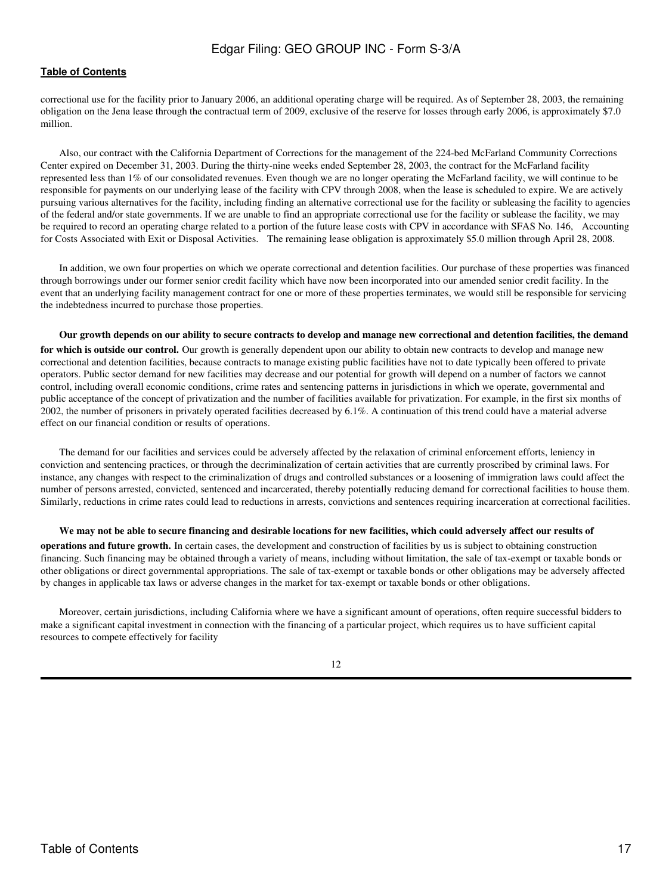### **[Table of Contents](#page-4-0)**

correctional use for the facility prior to January 2006, an additional operating charge will be required. As of September 28, 2003, the remaining obligation on the Jena lease through the contractual term of 2009, exclusive of the reserve for losses through early 2006, is approximately \$7.0 million.

Also, our contract with the California Department of Corrections for the management of the 224-bed McFarland Community Corrections Center expired on December 31, 2003. During the thirty-nine weeks ended September 28, 2003, the contract for the McFarland facility represented less than 1% of our consolidated revenues. Even though we are no longer operating the McFarland facility, we will continue to be responsible for payments on our underlying lease of the facility with CPV through 2008, when the lease is scheduled to expire. We are actively pursuing various alternatives for the facility, including finding an alternative correctional use for the facility or subleasing the facility to agencies of the federal and/or state governments. If we are unable to find an appropriate correctional use for the facility or sublease the facility, we may be required to record an operating charge related to a portion of the future lease costs with CPV in accordance with SFAS No. 146, Accounting for Costs Associated with Exit or Disposal Activities. The remaining lease obligation is approximately \$5.0 million through April 28, 2008.

In addition, we own four properties on which we operate correctional and detention facilities. Our purchase of these properties was financed through borrowings under our former senior credit facility which have now been incorporated into our amended senior credit facility. In the event that an underlying facility management contract for one or more of these properties terminates, we would still be responsible for servicing the indebtedness incurred to purchase those properties.

#### **Our growth depends on our ability to secure contracts to develop and manage new correctional and detention facilities, the demand**

**for which is outside our control.** Our growth is generally dependent upon our ability to obtain new contracts to develop and manage new correctional and detention facilities, because contracts to manage existing public facilities have not to date typically been offered to private operators. Public sector demand for new facilities may decrease and our potential for growth will depend on a number of factors we cannot control, including overall economic conditions, crime rates and sentencing patterns in jurisdictions in which we operate, governmental and public acceptance of the concept of privatization and the number of facilities available for privatization. For example, in the first six months of 2002, the number of prisoners in privately operated facilities decreased by 6.1%. A continuation of this trend could have a material adverse effect on our financial condition or results of operations.

The demand for our facilities and services could be adversely affected by the relaxation of criminal enforcement efforts, leniency in conviction and sentencing practices, or through the decriminalization of certain activities that are currently proscribed by criminal laws. For instance, any changes with respect to the criminalization of drugs and controlled substances or a loosening of immigration laws could affect the number of persons arrested, convicted, sentenced and incarcerated, thereby potentially reducing demand for correctional facilities to house them. Similarly, reductions in crime rates could lead to reductions in arrests, convictions and sentences requiring incarceration at correctional facilities.

#### **We may not be able to secure financing and desirable locations for new facilities, which could adversely affect our results of**

**operations and future growth.** In certain cases, the development and construction of facilities by us is subject to obtaining construction financing. Such financing may be obtained through a variety of means, including without limitation, the sale of tax-exempt or taxable bonds or other obligations or direct governmental appropriations. The sale of tax-exempt or taxable bonds or other obligations may be adversely affected by changes in applicable tax laws or adverse changes in the market for tax-exempt or taxable bonds or other obligations.

Moreover, certain jurisdictions, including California where we have a significant amount of operations, often require successful bidders to make a significant capital investment in connection with the financing of a particular project, which requires us to have sufficient capital resources to compete effectively for facility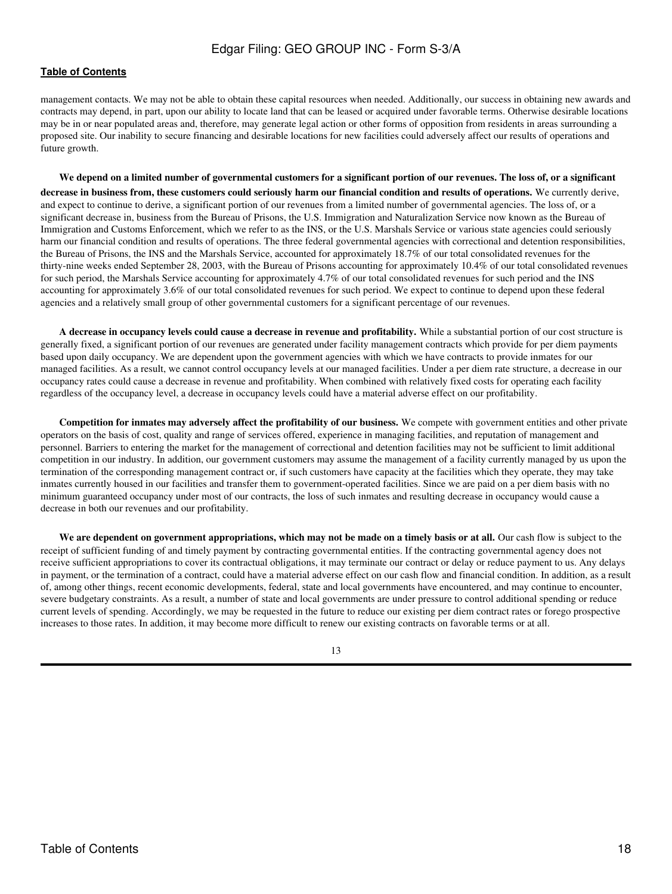## **[Table of Contents](#page-4-0)**

management contacts. We may not be able to obtain these capital resources when needed. Additionally, our success in obtaining new awards and contracts may depend, in part, upon our ability to locate land that can be leased or acquired under favorable terms. Otherwise desirable locations may be in or near populated areas and, therefore, may generate legal action or other forms of opposition from residents in areas surrounding a proposed site. Our inability to secure financing and desirable locations for new facilities could adversely affect our results of operations and future growth.

**We depend on a limited number of governmental customers for a significant portion of our revenues. The loss of, or a significant decrease in business from, these customers could seriously harm our financial condition and results of operations.** We currently derive, and expect to continue to derive, a significant portion of our revenues from a limited number of governmental agencies. The loss of, or a significant decrease in, business from the Bureau of Prisons, the U.S. Immigration and Naturalization Service now known as the Bureau of Immigration and Customs Enforcement, which we refer to as the INS, or the U.S. Marshals Service or various state agencies could seriously harm our financial condition and results of operations. The three federal governmental agencies with correctional and detention responsibilities, the Bureau of Prisons, the INS and the Marshals Service, accounted for approximately 18.7% of our total consolidated revenues for the thirty-nine weeks ended September 28, 2003, with the Bureau of Prisons accounting for approximately 10.4% of our total consolidated revenues for such period, the Marshals Service accounting for approximately 4.7% of our total consolidated revenues for such period and the INS accounting for approximately 3.6% of our total consolidated revenues for such period. We expect to continue to depend upon these federal agencies and a relatively small group of other governmental customers for a significant percentage of our revenues.

**A decrease in occupancy levels could cause a decrease in revenue and profitability.** While a substantial portion of our cost structure is generally fixed, a significant portion of our revenues are generated under facility management contracts which provide for per diem payments based upon daily occupancy. We are dependent upon the government agencies with which we have contracts to provide inmates for our managed facilities. As a result, we cannot control occupancy levels at our managed facilities. Under a per diem rate structure, a decrease in our occupancy rates could cause a decrease in revenue and profitability. When combined with relatively fixed costs for operating each facility regardless of the occupancy level, a decrease in occupancy levels could have a material adverse effect on our profitability.

**Competition for inmates may adversely affect the profitability of our business.** We compete with government entities and other private operators on the basis of cost, quality and range of services offered, experience in managing facilities, and reputation of management and personnel. Barriers to entering the market for the management of correctional and detention facilities may not be sufficient to limit additional competition in our industry. In addition, our government customers may assume the management of a facility currently managed by us upon the termination of the corresponding management contract or, if such customers have capacity at the facilities which they operate, they may take inmates currently housed in our facilities and transfer them to government-operated facilities. Since we are paid on a per diem basis with no minimum guaranteed occupancy under most of our contracts, the loss of such inmates and resulting decrease in occupancy would cause a decrease in both our revenues and our profitability.

**We are dependent on government appropriations, which may not be made on a timely basis or at all.** Our cash flow is subject to the receipt of sufficient funding of and timely payment by contracting governmental entities. If the contracting governmental agency does not receive sufficient appropriations to cover its contractual obligations, it may terminate our contract or delay or reduce payment to us. Any delays in payment, or the termination of a contract, could have a material adverse effect on our cash flow and financial condition. In addition, as a result of, among other things, recent economic developments, federal, state and local governments have encountered, and may continue to encounter, severe budgetary constraints. As a result, a number of state and local governments are under pressure to control additional spending or reduce current levels of spending. Accordingly, we may be requested in the future to reduce our existing per diem contract rates or forego prospective increases to those rates. In addition, it may become more difficult to renew our existing contracts on favorable terms or at all.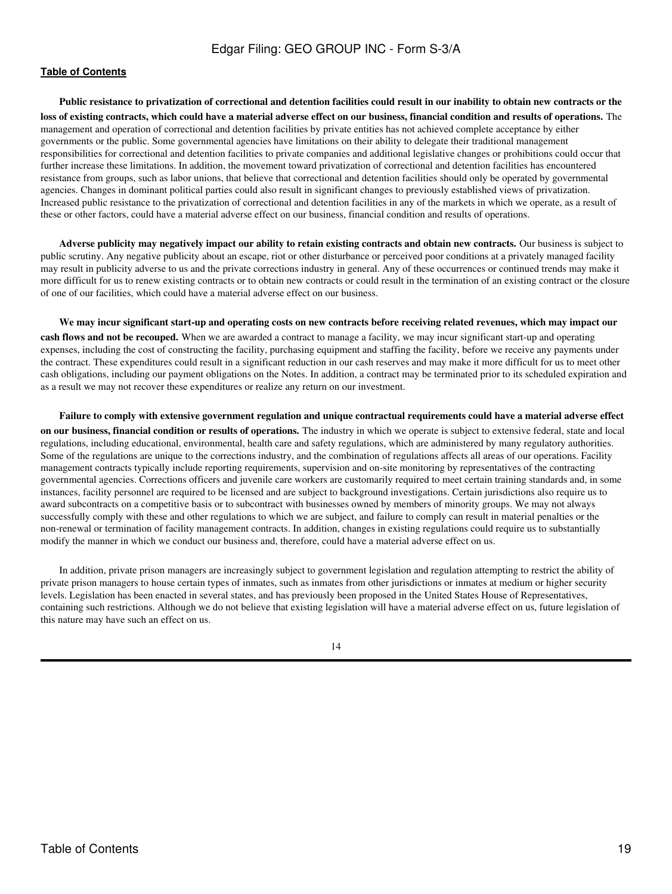**Public resistance to privatization of correctional and detention facilities could result in our inability to obtain new contracts or the loss of existing contracts, which could have a material adverse effect on our business, financial condition and results of operations.** The management and operation of correctional and detention facilities by private entities has not achieved complete acceptance by either governments or the public. Some governmental agencies have limitations on their ability to delegate their traditional management responsibilities for correctional and detention facilities to private companies and additional legislative changes or prohibitions could occur that further increase these limitations. In addition, the movement toward privatization of correctional and detention facilities has encountered resistance from groups, such as labor unions, that believe that correctional and detention facilities should only be operated by governmental agencies. Changes in dominant political parties could also result in significant changes to previously established views of privatization. Increased public resistance to the privatization of correctional and detention facilities in any of the markets in which we operate, as a result of these or other factors, could have a material adverse effect on our business, financial condition and results of operations.

**Adverse publicity may negatively impact our ability to retain existing contracts and obtain new contracts.** Our business is subject to public scrutiny. Any negative publicity about an escape, riot or other disturbance or perceived poor conditions at a privately managed facility may result in publicity adverse to us and the private corrections industry in general. Any of these occurrences or continued trends may make it more difficult for us to renew existing contracts or to obtain new contracts or could result in the termination of an existing contract or the closure of one of our facilities, which could have a material adverse effect on our business.

**We may incur significant start-up and operating costs on new contracts before receiving related revenues, which may impact our cash flows and not be recouped.** When we are awarded a contract to manage a facility, we may incur significant start-up and operating expenses, including the cost of constructing the facility, purchasing equipment and staffing the facility, before we receive any payments under the contract. These expenditures could result in a significant reduction in our cash reserves and may make it more difficult for us to meet other cash obligations, including our payment obligations on the Notes. In addition, a contract may be terminated prior to its scheduled expiration and as a result we may not recover these expenditures or realize any return on our investment.

**Failure to comply with extensive government regulation and unique contractual requirements could have a material adverse effect on our business, financial condition or results of operations.** The industry in which we operate is subject to extensive federal, state and local regulations, including educational, environmental, health care and safety regulations, which are administered by many regulatory authorities. Some of the regulations are unique to the corrections industry, and the combination of regulations affects all areas of our operations. Facility management contracts typically include reporting requirements, supervision and on-site monitoring by representatives of the contracting governmental agencies. Corrections officers and juvenile care workers are customarily required to meet certain training standards and, in some instances, facility personnel are required to be licensed and are subject to background investigations. Certain jurisdictions also require us to award subcontracts on a competitive basis or to subcontract with businesses owned by members of minority groups. We may not always successfully comply with these and other regulations to which we are subject, and failure to comply can result in material penalties or the non-renewal or termination of facility management contracts. In addition, changes in existing regulations could require us to substantially modify the manner in which we conduct our business and, therefore, could have a material adverse effect on us.

In addition, private prison managers are increasingly subject to government legislation and regulation attempting to restrict the ability of private prison managers to house certain types of inmates, such as inmates from other jurisdictions or inmates at medium or higher security levels. Legislation has been enacted in several states, and has previously been proposed in the United States House of Representatives, containing such restrictions. Although we do not believe that existing legislation will have a material adverse effect on us, future legislation of this nature may have such an effect on us.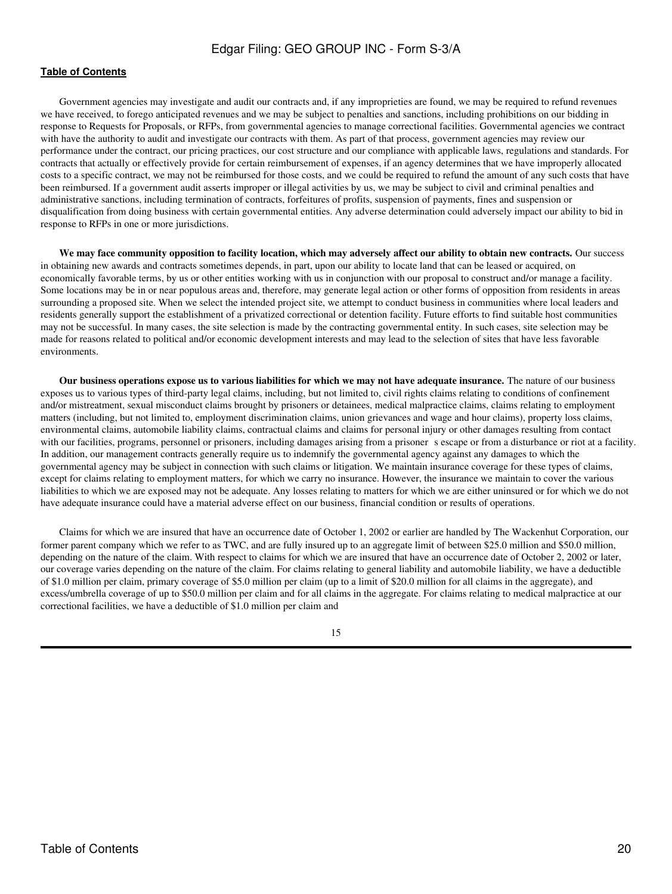## **[Table of Contents](#page-4-0)**

Government agencies may investigate and audit our contracts and, if any improprieties are found, we may be required to refund revenues we have received, to forego anticipated revenues and we may be subject to penalties and sanctions, including prohibitions on our bidding in response to Requests for Proposals, or RFPs, from governmental agencies to manage correctional facilities. Governmental agencies we contract with have the authority to audit and investigate our contracts with them. As part of that process, government agencies may review our performance under the contract, our pricing practices, our cost structure and our compliance with applicable laws, regulations and standards. For contracts that actually or effectively provide for certain reimbursement of expenses, if an agency determines that we have improperly allocated costs to a specific contract, we may not be reimbursed for those costs, and we could be required to refund the amount of any such costs that have been reimbursed. If a government audit asserts improper or illegal activities by us, we may be subject to civil and criminal penalties and administrative sanctions, including termination of contracts, forfeitures of profits, suspension of payments, fines and suspension or disqualification from doing business with certain governmental entities. Any adverse determination could adversely impact our ability to bid in response to RFPs in one or more jurisdictions.

**We may face community opposition to facility location, which may adversely affect our ability to obtain new contracts.** Our success in obtaining new awards and contracts sometimes depends, in part, upon our ability to locate land that can be leased or acquired, on economically favorable terms, by us or other entities working with us in conjunction with our proposal to construct and/or manage a facility. Some locations may be in or near populous areas and, therefore, may generate legal action or other forms of opposition from residents in areas surrounding a proposed site. When we select the intended project site, we attempt to conduct business in communities where local leaders and residents generally support the establishment of a privatized correctional or detention facility. Future efforts to find suitable host communities may not be successful. In many cases, the site selection is made by the contracting governmental entity. In such cases, site selection may be made for reasons related to political and/or economic development interests and may lead to the selection of sites that have less favorable environments.

**Our business operations expose us to various liabilities for which we may not have adequate insurance.** The nature of our business exposes us to various types of third-party legal claims, including, but not limited to, civil rights claims relating to conditions of confinement and/or mistreatment, sexual misconduct claims brought by prisoners or detainees, medical malpractice claims, claims relating to employment matters (including, but not limited to, employment discrimination claims, union grievances and wage and hour claims), property loss claims, environmental claims, automobile liability claims, contractual claims and claims for personal injury or other damages resulting from contact with our facilities, programs, personnel or prisoners, including damages arising from a prisoner sescape or from a disturbance or riot at a facility. In addition, our management contracts generally require us to indemnify the governmental agency against any damages to which the governmental agency may be subject in connection with such claims or litigation. We maintain insurance coverage for these types of claims, except for claims relating to employment matters, for which we carry no insurance. However, the insurance we maintain to cover the various liabilities to which we are exposed may not be adequate. Any losses relating to matters for which we are either uninsured or for which we do not have adequate insurance could have a material adverse effect on our business, financial condition or results of operations.

Claims for which we are insured that have an occurrence date of October 1, 2002 or earlier are handled by The Wackenhut Corporation, our former parent company which we refer to as TWC, and are fully insured up to an aggregate limit of between \$25.0 million and \$50.0 million, depending on the nature of the claim. With respect to claims for which we are insured that have an occurrence date of October 2, 2002 or later, our coverage varies depending on the nature of the claim. For claims relating to general liability and automobile liability, we have a deductible of \$1.0 million per claim, primary coverage of \$5.0 million per claim (up to a limit of \$20.0 million for all claims in the aggregate), and excess/umbrella coverage of up to \$50.0 million per claim and for all claims in the aggregate. For claims relating to medical malpractice at our correctional facilities, we have a deductible of \$1.0 million per claim and

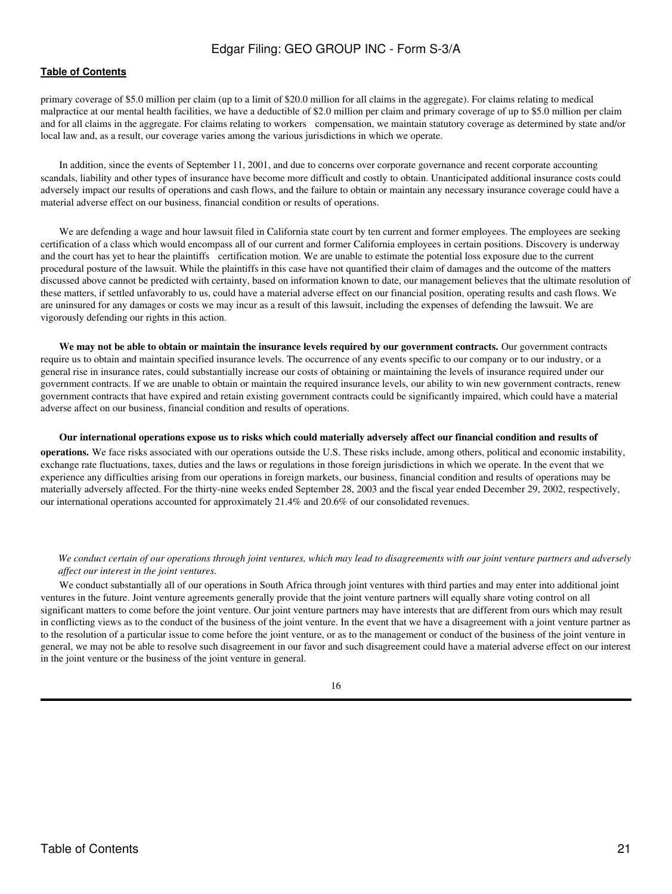### **[Table of Contents](#page-4-0)**

primary coverage of \$5.0 million per claim (up to a limit of \$20.0 million for all claims in the aggregate). For claims relating to medical malpractice at our mental health facilities, we have a deductible of \$2.0 million per claim and primary coverage of up to \$5.0 million per claim and for all claims in the aggregate. For claims relating to workers compensation, we maintain statutory coverage as determined by state and/or local law and, as a result, our coverage varies among the various jurisdictions in which we operate.

In addition, since the events of September 11, 2001, and due to concerns over corporate governance and recent corporate accounting scandals, liability and other types of insurance have become more difficult and costly to obtain. Unanticipated additional insurance costs could adversely impact our results of operations and cash flows, and the failure to obtain or maintain any necessary insurance coverage could have a material adverse effect on our business, financial condition or results of operations.

We are defending a wage and hour lawsuit filed in California state court by ten current and former employees. The employees are seeking certification of a class which would encompass all of our current and former California employees in certain positions. Discovery is underway and the court has yet to hear the plaintiffs certification motion. We are unable to estimate the potential loss exposure due to the current procedural posture of the lawsuit. While the plaintiffs in this case have not quantified their claim of damages and the outcome of the matters discussed above cannot be predicted with certainty, based on information known to date, our management believes that the ultimate resolution of these matters, if settled unfavorably to us, could have a material adverse effect on our financial position, operating results and cash flows. We are uninsured for any damages or costs we may incur as a result of this lawsuit, including the expenses of defending the lawsuit. We are vigorously defending our rights in this action.

**We may not be able to obtain or maintain the insurance levels required by our government contracts.** Our government contracts require us to obtain and maintain specified insurance levels. The occurrence of any events specific to our company or to our industry, or a general rise in insurance rates, could substantially increase our costs of obtaining or maintaining the levels of insurance required under our government contracts. If we are unable to obtain or maintain the required insurance levels, our ability to win new government contracts, renew government contracts that have expired and retain existing government contracts could be significantly impaired, which could have a material adverse affect on our business, financial condition and results of operations.

**Our international operations expose us to risks which could materially adversely affect our financial condition and results of**

**operations.** We face risks associated with our operations outside the U.S. These risks include, among others, political and economic instability, exchange rate fluctuations, taxes, duties and the laws or regulations in those foreign jurisdictions in which we operate. In the event that we experience any difficulties arising from our operations in foreign markets, our business, financial condition and results of operations may be materially adversely affected. For the thirty-nine weeks ended September 28, 2003 and the fiscal year ended December 29, 2002, respectively, our international operations accounted for approximately 21.4% and 20.6% of our consolidated revenues.

#### *We conduct certain of our operations through joint ventures, which may lead to disagreements with our joint venture partners and adversely affect our interest in the joint ventures.*

We conduct substantially all of our operations in South Africa through joint ventures with third parties and may enter into additional joint ventures in the future. Joint venture agreements generally provide that the joint venture partners will equally share voting control on all significant matters to come before the joint venture. Our joint venture partners may have interests that are different from ours which may result in conflicting views as to the conduct of the business of the joint venture. In the event that we have a disagreement with a joint venture partner as to the resolution of a particular issue to come before the joint venture, or as to the management or conduct of the business of the joint venture in general, we may not be able to resolve such disagreement in our favor and such disagreement could have a material adverse effect on our interest in the joint venture or the business of the joint venture in general.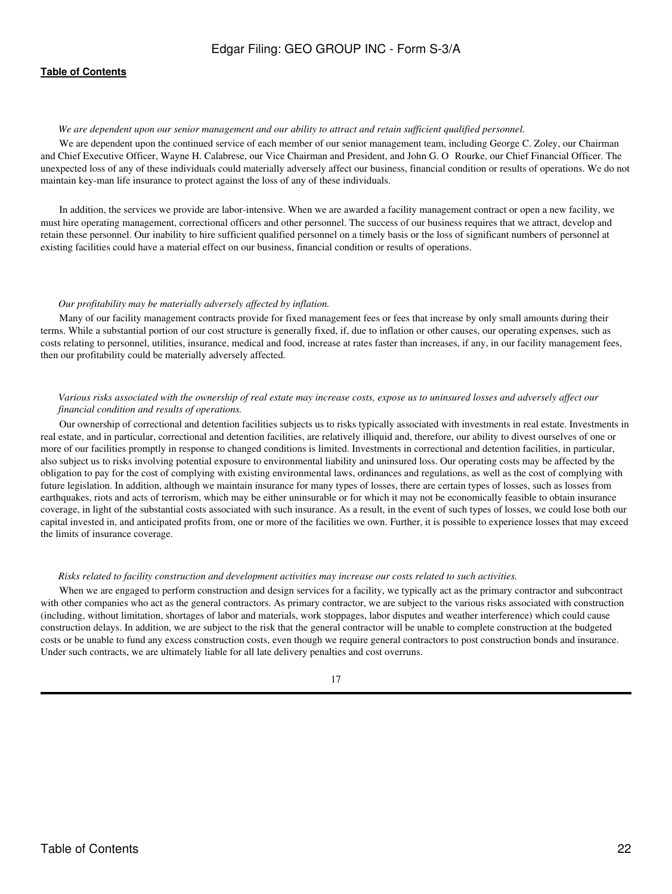#### *We are dependent upon our senior management and our ability to attract and retain sufficient qualified personnel.*

We are dependent upon the continued service of each member of our senior management team, including George C. Zoley, our Chairman and Chief Executive Officer, Wayne H. Calabrese, our Vice Chairman and President, and John G. O Rourke, our Chief Financial Officer. The unexpected loss of any of these individuals could materially adversely affect our business, financial condition or results of operations. We do not maintain key-man life insurance to protect against the loss of any of these individuals.

In addition, the services we provide are labor-intensive. When we are awarded a facility management contract or open a new facility, we must hire operating management, correctional officers and other personnel. The success of our business requires that we attract, develop and retain these personnel. Our inability to hire sufficient qualified personnel on a timely basis or the loss of significant numbers of personnel at existing facilities could have a material effect on our business, financial condition or results of operations.

#### *Our profitability may be materially adversely affected by inflation.*

Many of our facility management contracts provide for fixed management fees or fees that increase by only small amounts during their terms. While a substantial portion of our cost structure is generally fixed, if, due to inflation or other causes, our operating expenses, such as costs relating to personnel, utilities, insurance, medical and food, increase at rates faster than increases, if any, in our facility management fees, then our profitability could be materially adversely affected.

## *Various risks associated with the ownership of real estate may increase costs, expose us to uninsured losses and adversely affect our financial condition and results of operations.*

Our ownership of correctional and detention facilities subjects us to risks typically associated with investments in real estate. Investments in real estate, and in particular, correctional and detention facilities, are relatively illiquid and, therefore, our ability to divest ourselves of one or more of our facilities promptly in response to changed conditions is limited. Investments in correctional and detention facilities, in particular, also subject us to risks involving potential exposure to environmental liability and uninsured loss. Our operating costs may be affected by the obligation to pay for the cost of complying with existing environmental laws, ordinances and regulations, as well as the cost of complying with future legislation. In addition, although we maintain insurance for many types of losses, there are certain types of losses, such as losses from earthquakes, riots and acts of terrorism, which may be either uninsurable or for which it may not be economically feasible to obtain insurance coverage, in light of the substantial costs associated with such insurance. As a result, in the event of such types of losses, we could lose both our capital invested in, and anticipated profits from, one or more of the facilities we own. Further, it is possible to experience losses that may exceed the limits of insurance coverage.

#### *Risks related to facility construction and development activities may increase our costs related to such activities.*

When we are engaged to perform construction and design services for a facility, we typically act as the primary contractor and subcontract with other companies who act as the general contractors. As primary contractor, we are subject to the various risks associated with construction (including, without limitation, shortages of labor and materials, work stoppages, labor disputes and weather interference) which could cause construction delays. In addition, we are subject to the risk that the general contractor will be unable to complete construction at the budgeted costs or be unable to fund any excess construction costs, even though we require general contractors to post construction bonds and insurance. Under such contracts, we are ultimately liable for all late delivery penalties and cost overruns.

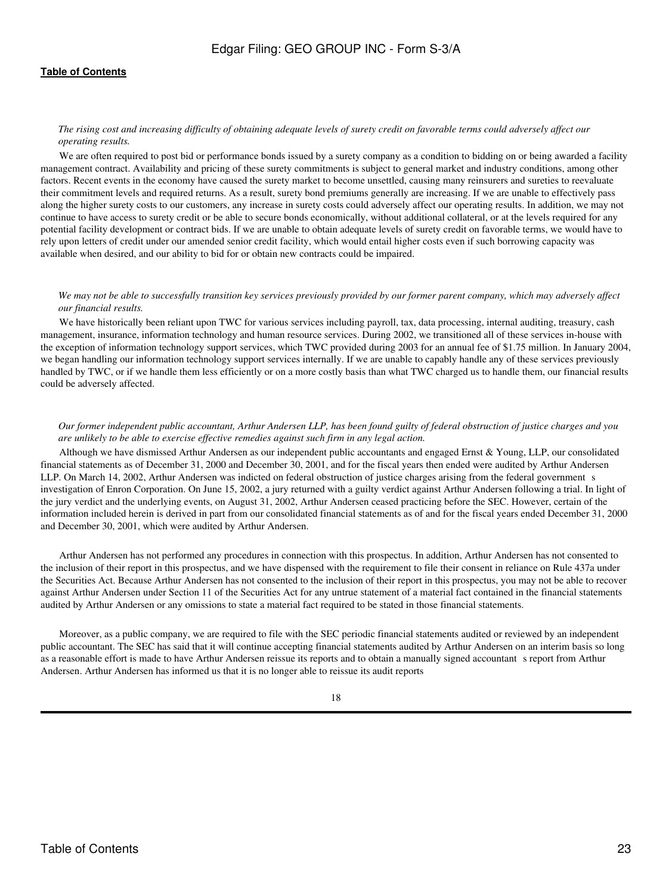#### *The rising cost and increasing difficulty of obtaining adequate levels of surety credit on favorable terms could adversely affect our operating results.*

We are often required to post bid or performance bonds issued by a surety company as a condition to bidding on or being awarded a facility management contract. Availability and pricing of these surety commitments is subject to general market and industry conditions, among other factors. Recent events in the economy have caused the surety market to become unsettled, causing many reinsurers and sureties to reevaluate their commitment levels and required returns. As a result, surety bond premiums generally are increasing. If we are unable to effectively pass along the higher surety costs to our customers, any increase in surety costs could adversely affect our operating results. In addition, we may not continue to have access to surety credit or be able to secure bonds economically, without additional collateral, or at the levels required for any potential facility development or contract bids. If we are unable to obtain adequate levels of surety credit on favorable terms, we would have to rely upon letters of credit under our amended senior credit facility, which would entail higher costs even if such borrowing capacity was available when desired, and our ability to bid for or obtain new contracts could be impaired.

#### *We may not be able to successfully transition key services previously provided by our former parent company, which may adversely affect our financial results.*

We have historically been reliant upon TWC for various services including payroll, tax, data processing, internal auditing, treasury, cash management, insurance, information technology and human resource services. During 2002, we transitioned all of these services in-house with the exception of information technology support services, which TWC provided during 2003 for an annual fee of \$1.75 million. In January 2004, we began handling our information technology support services internally. If we are unable to capably handle any of these services previously handled by TWC, or if we handle them less efficiently or on a more costly basis than what TWC charged us to handle them, our financial results could be adversely affected.

#### *Our former independent public accountant, Arthur Andersen LLP, has been found guilty of federal obstruction of justice charges and you are unlikely to be able to exercise effective remedies against such firm in any legal action.*

Although we have dismissed Arthur Andersen as our independent public accountants and engaged Ernst & Young, LLP, our consolidated financial statements as of December 31, 2000 and December 30, 2001, and for the fiscal years then ended were audited by Arthur Andersen LLP. On March 14, 2002, Arthur Andersen was indicted on federal obstruction of justice charges arising from the federal government s investigation of Enron Corporation. On June 15, 2002, a jury returned with a guilty verdict against Arthur Andersen following a trial. In light of the jury verdict and the underlying events, on August 31, 2002, Arthur Andersen ceased practicing before the SEC. However, certain of the information included herein is derived in part from our consolidated financial statements as of and for the fiscal years ended December 31, 2000 and December 30, 2001, which were audited by Arthur Andersen.

Arthur Andersen has not performed any procedures in connection with this prospectus. In addition, Arthur Andersen has not consented to the inclusion of their report in this prospectus, and we have dispensed with the requirement to file their consent in reliance on Rule 437a under the Securities Act. Because Arthur Andersen has not consented to the inclusion of their report in this prospectus, you may not be able to recover against Arthur Andersen under Section 11 of the Securities Act for any untrue statement of a material fact contained in the financial statements audited by Arthur Andersen or any omissions to state a material fact required to be stated in those financial statements.

Moreover, as a public company, we are required to file with the SEC periodic financial statements audited or reviewed by an independent public accountant. The SEC has said that it will continue accepting financial statements audited by Arthur Andersen on an interim basis so long as a reasonable effort is made to have Arthur Andersen reissue its reports and to obtain a manually signed accountant s report from Arthur Andersen. Arthur Andersen has informed us that it is no longer able to reissue its audit reports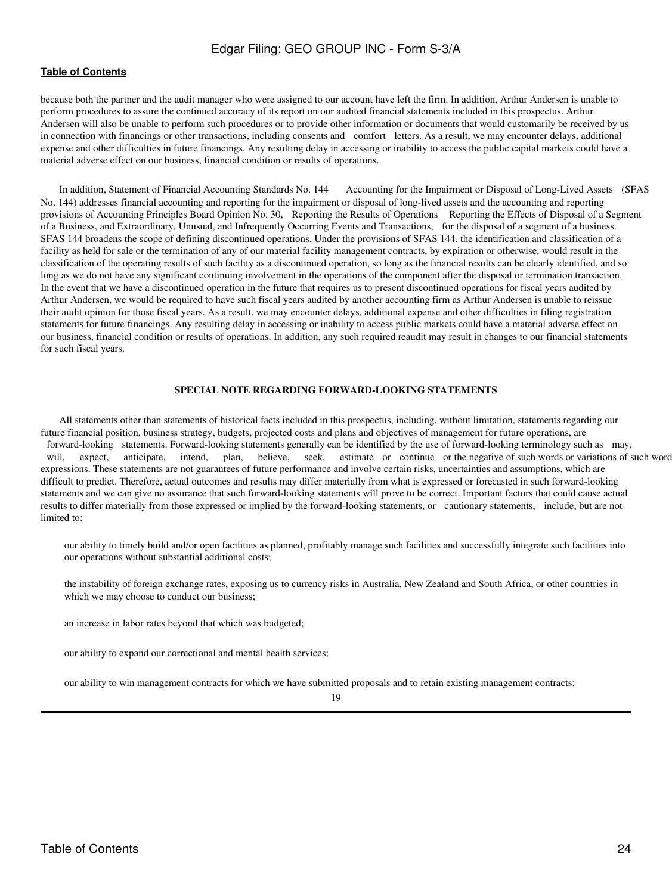### **[Table of Contents](#page-4-0)**

because both the partner and the audit manager who were assigned to our account have left the firm. In addition, Arthur Andersen is unable to perform procedures to assure the continued accuracy of its report on our audited financial statements included in this prospectus. Arthur Andersen will also be unable to perform such procedures or to provide other information or documents that would customarily be received by us in connection with financings or other transactions, including consents and comfort letters. As a result, we may encounter delays, additional expense and other difficulties in future financings. Any resulting delay in accessing or inability to access the public capital markets could have a material adverse effect on our business, financial condition or results of operations.

In addition, Statement of Financial Accounting Standards No. 144 Accounting for the Impairment or Disposal of Long-Lived Assets (SFAS No. 144) addresses financial accounting and reporting for the impairment or disposal of long-lived assets and the accounting and reporting provisions of Accounting Principles Board Opinion No. 30, Reporting the Results of Operations Reporting the Effects of Disposal of a Segment of a Business, and Extraordinary, Unusual, and Infrequently Occurring Events and Transactions, for the disposal of a segment of a business. SFAS 144 broadens the scope of defining discontinued operations. Under the provisions of SFAS 144, the identification and classification of a facility as held for sale or the termination of any of our material facility management contracts, by expiration or otherwise, would result in the classification of the operating results of such facility as a discontinued operation, so long as the financial results can be clearly identified, and so long as we do not have any significant continuing involvement in the operations of the component after the disposal or termination transaction. In the event that we have a discontinued operation in the future that requires us to present discontinued operations for fiscal years audited by Arthur Andersen, we would be required to have such fiscal years audited by another accounting firm as Arthur Andersen is unable to reissue their audit opinion for those fiscal years. As a result, we may encounter delays, additional expense and other difficulties in filing registration statements for future financings. Any resulting delay in accessing or inability to access public markets could have a material adverse effect on our business, financial condition or results of operations. In addition, any such required reaudit may result in changes to our financial statements for such fiscal years.

#### **SPECIAL NOTE REGARDING FORWARD-LOOKING STATEMENTS**

<span id="page-23-0"></span>All statements other than statements of historical facts included in this prospectus, including, without limitation, statements regarding our future financial position, business strategy, budgets, projected costs and plans and objectives of management for future operations, are forward-looking statements. Forward-looking statements generally can be identified by the use of forward-looking terminology such as may, will, expect, anticipate, intend, plan, believe, seek, estimate or continue or the negative of such words or variations of such word expressions. These statements are not guarantees of future performance and involve certain risks, uncertainties and assumptions, which are difficult to predict. Therefore, actual outcomes and results may differ materially from what is expressed or forecasted in such forward-looking statements and we can give no assurance that such forward-looking statements will prove to be correct. Important factors that could cause actual results to differ materially from those expressed or implied by the forward-looking statements, or cautionary statements, include, but are not limited to:

 our ability to timely build and/or open facilities as planned, profitably manage such facilities and successfully integrate such facilities into our operations without substantial additional costs;

 the instability of foreign exchange rates, exposing us to currency risks in Australia, New Zealand and South Africa, or other countries in which we may choose to conduct our business;

an increase in labor rates beyond that which was budgeted;

our ability to expand our correctional and mental health services;

our ability to win management contracts for which we have submitted proposals and to retain existing management contracts;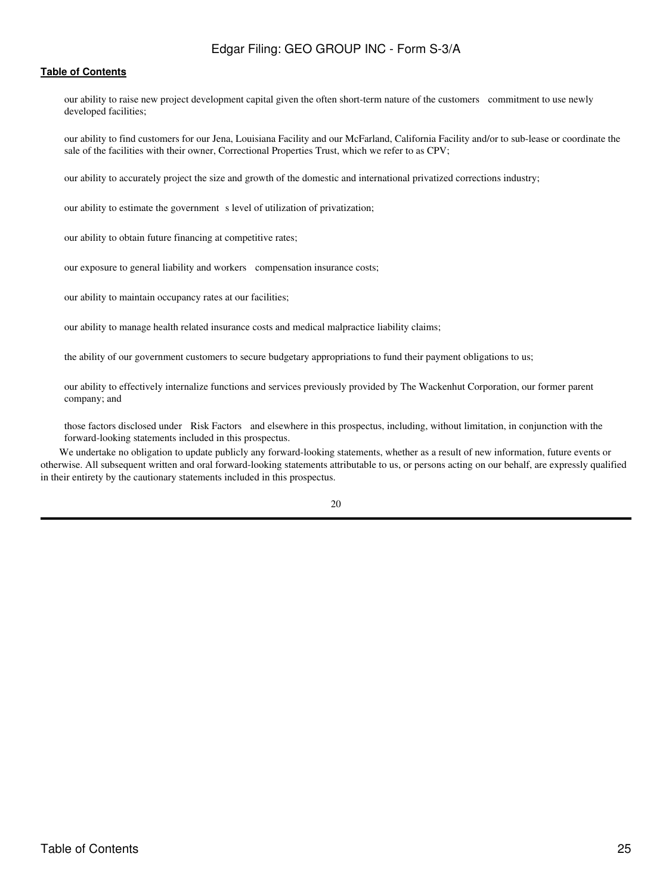## **[Table of Contents](#page-4-0)**

 our ability to raise new project development capital given the often short-term nature of the customers commitment to use newly developed facilities;

 our ability to find customers for our Jena, Louisiana Facility and our McFarland, California Facility and/or to sub-lease or coordinate the sale of the facilities with their owner, Correctional Properties Trust, which we refer to as CPV;

our ability to accurately project the size and growth of the domestic and international privatized corrections industry;

our ability to estimate the government s level of utilization of privatization;

our ability to obtain future financing at competitive rates;

our exposure to general liability and workers compensation insurance costs;

our ability to maintain occupancy rates at our facilities;

our ability to manage health related insurance costs and medical malpractice liability claims;

the ability of our government customers to secure budgetary appropriations to fund their payment obligations to us;

 our ability to effectively internalize functions and services previously provided by The Wackenhut Corporation, our former parent company; and

 those factors disclosed under Risk Factors and elsewhere in this prospectus, including, without limitation, in conjunction with the forward-looking statements included in this prospectus.

We undertake no obligation to update publicly any forward-looking statements, whether as a result of new information, future events or otherwise. All subsequent written and oral forward-looking statements attributable to us, or persons acting on our behalf, are expressly qualified in their entirety by the cautionary statements included in this prospectus.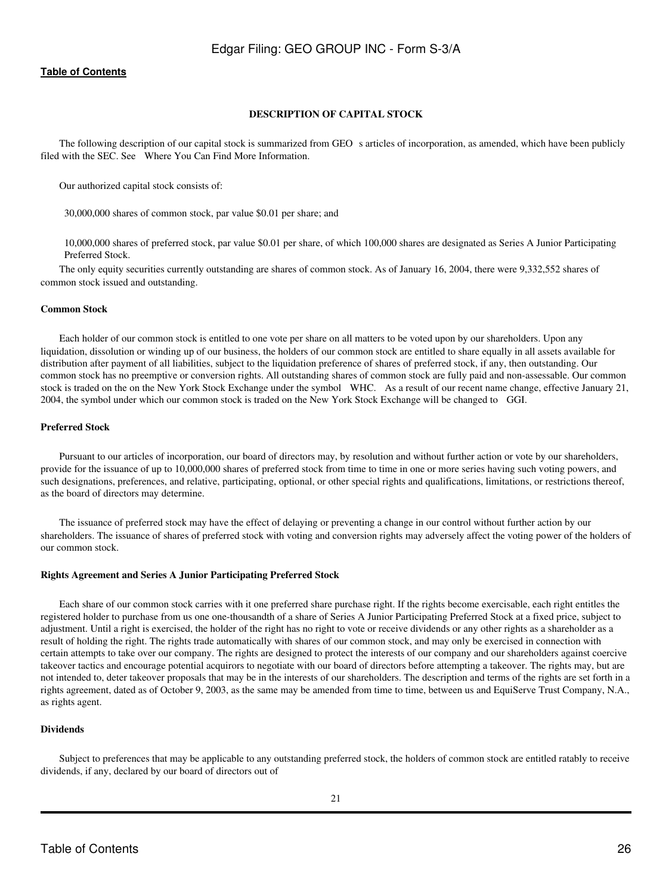## **DESCRIPTION OF CAPITAL STOCK**

<span id="page-25-0"></span>The following description of our capital stock is summarized from GEO s articles of incorporation, as amended, which have been publicly filed with the SEC. See Where You Can Find More Information.

Our authorized capital stock consists of:

30,000,000 shares of common stock, par value \$0.01 per share; and

 10,000,000 shares of preferred stock, par value \$0.01 per share, of which 100,000 shares are designated as Series A Junior Participating Preferred Stock.

The only equity securities currently outstanding are shares of common stock. As of January 16, 2004, there were 9,332,552 shares of common stock issued and outstanding.

#### **Common Stock**

Each holder of our common stock is entitled to one vote per share on all matters to be voted upon by our shareholders. Upon any liquidation, dissolution or winding up of our business, the holders of our common stock are entitled to share equally in all assets available for distribution after payment of all liabilities, subject to the liquidation preference of shares of preferred stock, if any, then outstanding. Our common stock has no preemptive or conversion rights. All outstanding shares of common stock are fully paid and non-assessable. Our common stock is traded on the on the New York Stock Exchange under the symbol WHC. As a result of our recent name change, effective January 21, 2004, the symbol under which our common stock is traded on the New York Stock Exchange will be changed to GGI.

## **Preferred Stock**

Pursuant to our articles of incorporation, our board of directors may, by resolution and without further action or vote by our shareholders, provide for the issuance of up to 10,000,000 shares of preferred stock from time to time in one or more series having such voting powers, and such designations, preferences, and relative, participating, optional, or other special rights and qualifications, limitations, or restrictions thereof, as the board of directors may determine.

The issuance of preferred stock may have the effect of delaying or preventing a change in our control without further action by our shareholders. The issuance of shares of preferred stock with voting and conversion rights may adversely affect the voting power of the holders of our common stock.

## **Rights Agreement and Series A Junior Participating Preferred Stock**

Each share of our common stock carries with it one preferred share purchase right. If the rights become exercisable, each right entitles the registered holder to purchase from us one one-thousandth of a share of Series A Junior Participating Preferred Stock at a fixed price, subject to adjustment. Until a right is exercised, the holder of the right has no right to vote or receive dividends or any other rights as a shareholder as a result of holding the right. The rights trade automatically with shares of our common stock, and may only be exercised in connection with certain attempts to take over our company. The rights are designed to protect the interests of our company and our shareholders against coercive takeover tactics and encourage potential acquirors to negotiate with our board of directors before attempting a takeover. The rights may, but are not intended to, deter takeover proposals that may be in the interests of our shareholders. The description and terms of the rights are set forth in a rights agreement, dated as of October 9, 2003, as the same may be amended from time to time, between us and EquiServe Trust Company, N.A., as rights agent.

## **Dividends**

Subject to preferences that may be applicable to any outstanding preferred stock, the holders of common stock are entitled ratably to receive dividends, if any, declared by our board of directors out of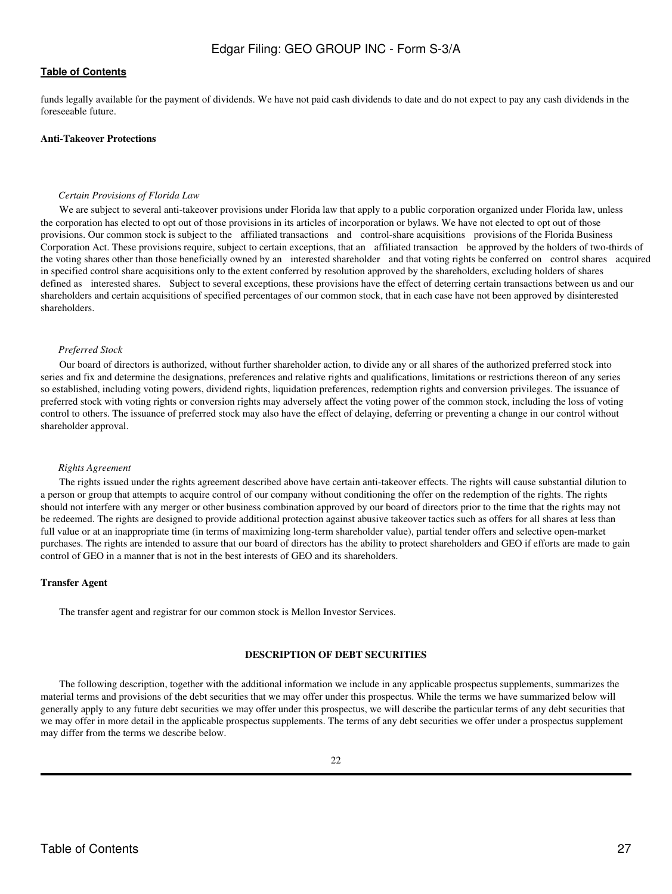funds legally available for the payment of dividends. We have not paid cash dividends to date and do not expect to pay any cash dividends in the foreseeable future.

#### **Anti-Takeover Protections**

#### *Certain Provisions of Florida Law*

We are subject to several anti-takeover provisions under Florida law that apply to a public corporation organized under Florida law, unless the corporation has elected to opt out of those provisions in its articles of incorporation or bylaws. We have not elected to opt out of those provisions. Our common stock is subject to the affiliated transactions and control-share acquisitions provisions of the Florida Business Corporation Act. These provisions require, subject to certain exceptions, that an affiliated transaction be approved by the holders of two-thirds of the voting shares other than those beneficially owned by an interested shareholder and that voting rights be conferred on control shares acquired in specified control share acquisitions only to the extent conferred by resolution approved by the shareholders, excluding holders of shares defined as interested shares. Subject to several exceptions, these provisions have the effect of deterring certain transactions between us and our shareholders and certain acquisitions of specified percentages of our common stock, that in each case have not been approved by disinterested shareholders.

#### *Preferred Stock*

Our board of directors is authorized, without further shareholder action, to divide any or all shares of the authorized preferred stock into series and fix and determine the designations, preferences and relative rights and qualifications, limitations or restrictions thereon of any series so established, including voting powers, dividend rights, liquidation preferences, redemption rights and conversion privileges. The issuance of preferred stock with voting rights or conversion rights may adversely affect the voting power of the common stock, including the loss of voting control to others. The issuance of preferred stock may also have the effect of delaying, deferring or preventing a change in our control without shareholder approval.

#### *Rights Agreement*

The rights issued under the rights agreement described above have certain anti-takeover effects. The rights will cause substantial dilution to a person or group that attempts to acquire control of our company without conditioning the offer on the redemption of the rights. The rights should not interfere with any merger or other business combination approved by our board of directors prior to the time that the rights may not be redeemed. The rights are designed to provide additional protection against abusive takeover tactics such as offers for all shares at less than full value or at an inappropriate time (in terms of maximizing long-term shareholder value), partial tender offers and selective open-market purchases. The rights are intended to assure that our board of directors has the ability to protect shareholders and GEO if efforts are made to gain control of GEO in a manner that is not in the best interests of GEO and its shareholders.

#### **Transfer Agent**

The transfer agent and registrar for our common stock is Mellon Investor Services.

#### **DESCRIPTION OF DEBT SECURITIES**

<span id="page-26-0"></span>The following description, together with the additional information we include in any applicable prospectus supplements, summarizes the material terms and provisions of the debt securities that we may offer under this prospectus. While the terms we have summarized below will generally apply to any future debt securities we may offer under this prospectus, we will describe the particular terms of any debt securities that we may offer in more detail in the applicable prospectus supplements. The terms of any debt securities we offer under a prospectus supplement may differ from the terms we describe below.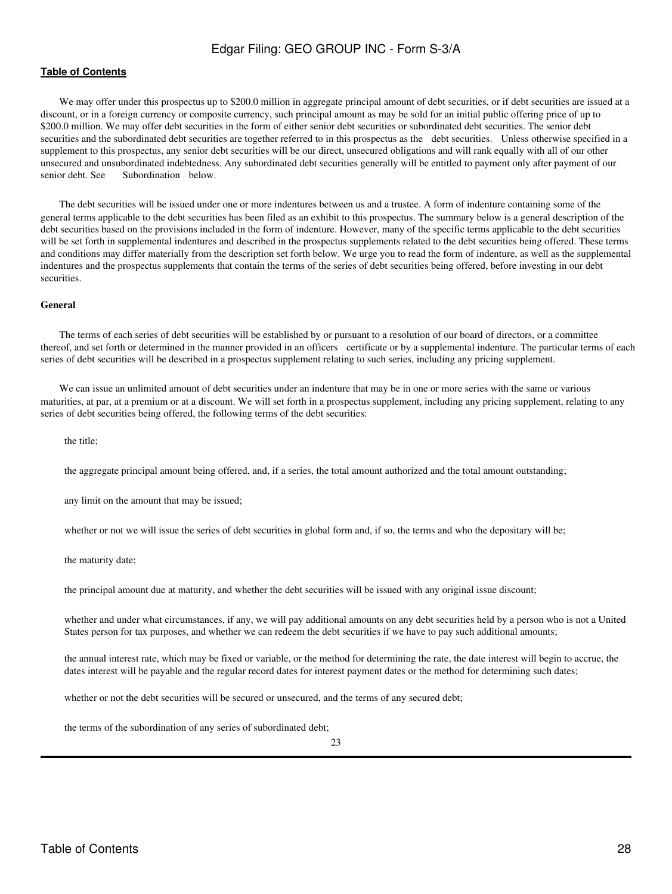## **[Table of Contents](#page-4-0)**

We may offer under this prospectus up to \$200.0 million in aggregate principal amount of debt securities, or if debt securities are issued at a discount, or in a foreign currency or composite currency, such principal amount as may be sold for an initial public offering price of up to \$200.0 million. We may offer debt securities in the form of either senior debt securities or subordinated debt securities. The senior debt securities and the subordinated debt securities are together referred to in this prospectus as the debt securities. Unless otherwise specified in a supplement to this prospectus, any senior debt securities will be our direct, unsecured obligations and will rank equally with all of our other unsecured and unsubordinated indebtedness. Any subordinated debt securities generally will be entitled to payment only after payment of our senior debt. See Subordination below.

The debt securities will be issued under one or more indentures between us and a trustee. A form of indenture containing some of the general terms applicable to the debt securities has been filed as an exhibit to this prospectus. The summary below is a general description of the debt securities based on the provisions included in the form of indenture. However, many of the specific terms applicable to the debt securities will be set forth in supplemental indentures and described in the prospectus supplements related to the debt securities being offered. These terms and conditions may differ materially from the description set forth below. We urge you to read the form of indenture, as well as the supplemental indentures and the prospectus supplements that contain the terms of the series of debt securities being offered, before investing in our debt securities.

#### **General**

The terms of each series of debt securities will be established by or pursuant to a resolution of our board of directors, or a committee thereof, and set forth or determined in the manner provided in an officers certificate or by a supplemental indenture. The particular terms of each series of debt securities will be described in a prospectus supplement relating to such series, including any pricing supplement.

We can issue an unlimited amount of debt securities under an indenture that may be in one or more series with the same or various maturities, at par, at a premium or at a discount. We will set forth in a prospectus supplement, including any pricing supplement, relating to any series of debt securities being offered, the following terms of the debt securities:

the title;

the aggregate principal amount being offered, and, if a series, the total amount authorized and the total amount outstanding;

any limit on the amount that may be issued;

whether or not we will issue the series of debt securities in global form and, if so, the terms and who the depositary will be;

the maturity date;

the principal amount due at maturity, and whether the debt securities will be issued with any original issue discount;

 whether and under what circumstances, if any, we will pay additional amounts on any debt securities held by a person who is not a United States person for tax purposes, and whether we can redeem the debt securities if we have to pay such additional amounts;

 the annual interest rate, which may be fixed or variable, or the method for determining the rate, the date interest will begin to accrue, the dates interest will be payable and the regular record dates for interest payment dates or the method for determining such dates;

whether or not the debt securities will be secured or unsecured, and the terms of any secured debt;

the terms of the subordination of any series of subordinated debt;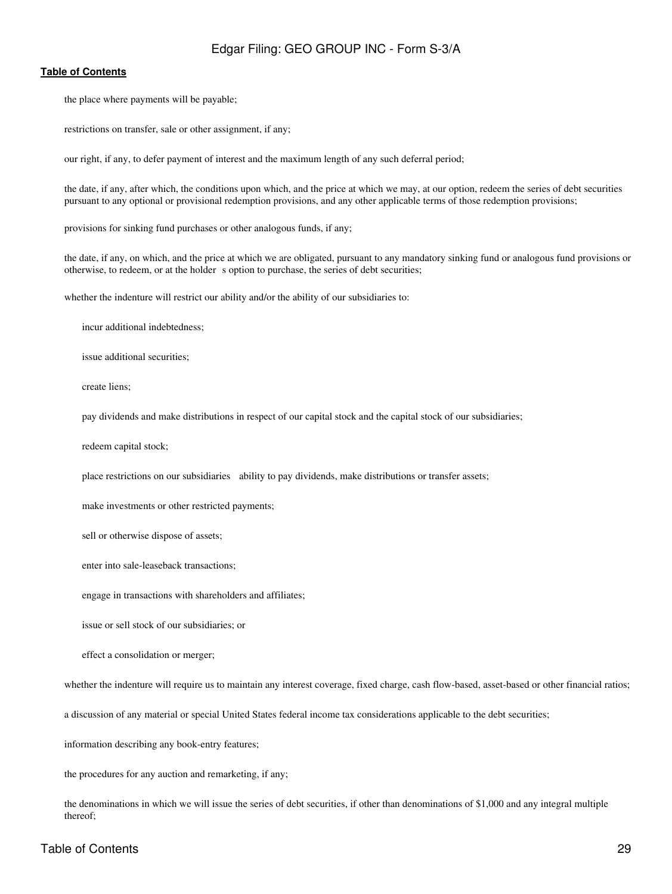#### **[Table of Contents](#page-4-0)**

the place where payments will be payable;

restrictions on transfer, sale or other assignment, if any;

our right, if any, to defer payment of interest and the maximum length of any such deferral period;

 the date, if any, after which, the conditions upon which, and the price at which we may, at our option, redeem the series of debt securities pursuant to any optional or provisional redemption provisions, and any other applicable terms of those redemption provisions;

provisions for sinking fund purchases or other analogous funds, if any;

 the date, if any, on which, and the price at which we are obligated, pursuant to any mandatory sinking fund or analogous fund provisions or otherwise, to redeem, or at the holder s option to purchase, the series of debt securities;

whether the indenture will restrict our ability and/or the ability of our subsidiaries to:

incur additional indebtedness;

issue additional securities;

create liens;

pay dividends and make distributions in respect of our capital stock and the capital stock of our subsidiaries;

redeem capital stock;

place restrictions on our subsidiaries ability to pay dividends, make distributions or transfer assets;

make investments or other restricted payments;

sell or otherwise dispose of assets;

enter into sale-leaseback transactions;

engage in transactions with shareholders and affiliates;

issue or sell stock of our subsidiaries; or

effect a consolidation or merger;

whether the indenture will require us to maintain any interest coverage, fixed charge, cash flow-based, asset-based or other financial ratios;

a discussion of any material or special United States federal income tax considerations applicable to the debt securities;

information describing any book-entry features;

the procedures for any auction and remarketing, if any;

 the denominations in which we will issue the series of debt securities, if other than denominations of \$1,000 and any integral multiple thereof;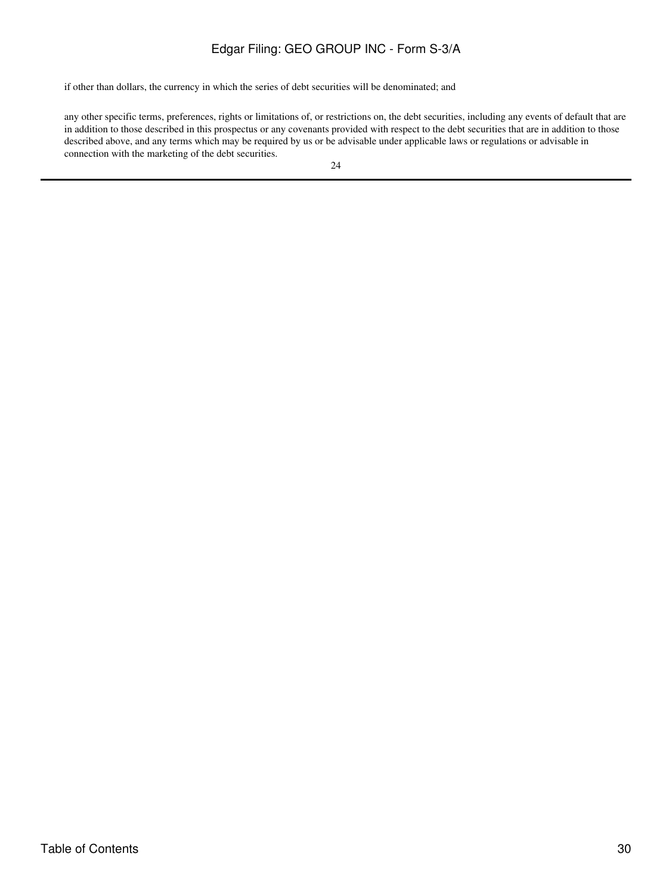if other than dollars, the currency in which the series of debt securities will be denominated; and

 any other specific terms, preferences, rights or limitations of, or restrictions on, the debt securities, including any events of default that are in addition to those described in this prospectus or any covenants provided with respect to the debt securities that are in addition to those described above, and any terms which may be required by us or be advisable under applicable laws or regulations or advisable in connection with the marketing of the debt securities.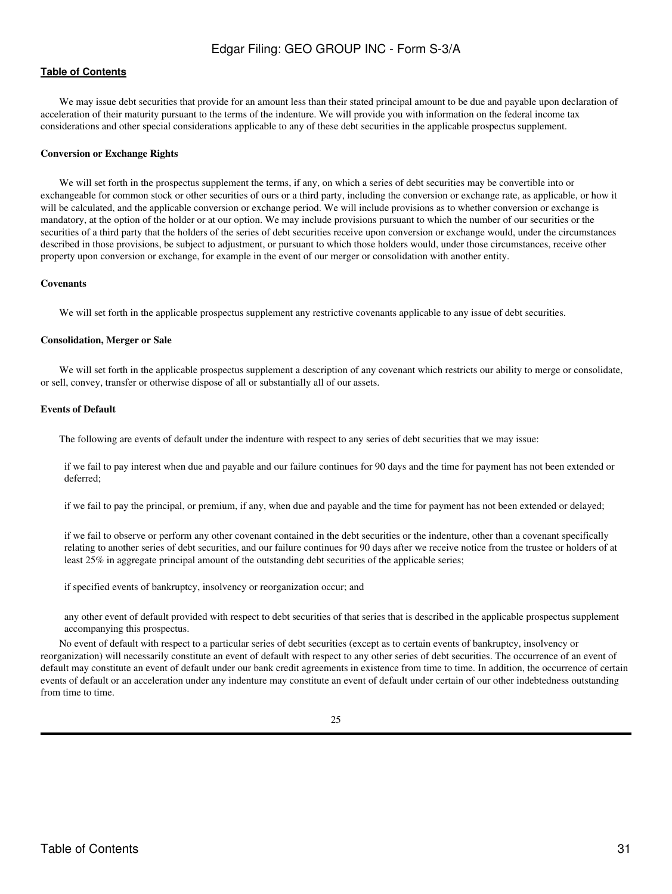We may issue debt securities that provide for an amount less than their stated principal amount to be due and payable upon declaration of acceleration of their maturity pursuant to the terms of the indenture. We will provide you with information on the federal income tax considerations and other special considerations applicable to any of these debt securities in the applicable prospectus supplement.

#### **Conversion or Exchange Rights**

We will set forth in the prospectus supplement the terms, if any, on which a series of debt securities may be convertible into or exchangeable for common stock or other securities of ours or a third party, including the conversion or exchange rate, as applicable, or how it will be calculated, and the applicable conversion or exchange period. We will include provisions as to whether conversion or exchange is mandatory, at the option of the holder or at our option. We may include provisions pursuant to which the number of our securities or the securities of a third party that the holders of the series of debt securities receive upon conversion or exchange would, under the circumstances described in those provisions, be subject to adjustment, or pursuant to which those holders would, under those circumstances, receive other property upon conversion or exchange, for example in the event of our merger or consolidation with another entity.

#### **Covenants**

We will set forth in the applicable prospectus supplement any restrictive covenants applicable to any issue of debt securities.

#### **Consolidation, Merger or Sale**

We will set forth in the applicable prospectus supplement a description of any covenant which restricts our ability to merge or consolidate, or sell, convey, transfer or otherwise dispose of all or substantially all of our assets.

## **Events of Default**

The following are events of default under the indenture with respect to any series of debt securities that we may issue:

 if we fail to pay interest when due and payable and our failure continues for 90 days and the time for payment has not been extended or deferred;

if we fail to pay the principal, or premium, if any, when due and payable and the time for payment has not been extended or delayed;

 if we fail to observe or perform any other covenant contained in the debt securities or the indenture, other than a covenant specifically relating to another series of debt securities, and our failure continues for 90 days after we receive notice from the trustee or holders of at least 25% in aggregate principal amount of the outstanding debt securities of the applicable series;

if specified events of bankruptcy, insolvency or reorganization occur; and

 any other event of default provided with respect to debt securities of that series that is described in the applicable prospectus supplement accompanying this prospectus.

No event of default with respect to a particular series of debt securities (except as to certain events of bankruptcy, insolvency or reorganization) will necessarily constitute an event of default with respect to any other series of debt securities. The occurrence of an event of default may constitute an event of default under our bank credit agreements in existence from time to time. In addition, the occurrence of certain events of default or an acceleration under any indenture may constitute an event of default under certain of our other indebtedness outstanding from time to time.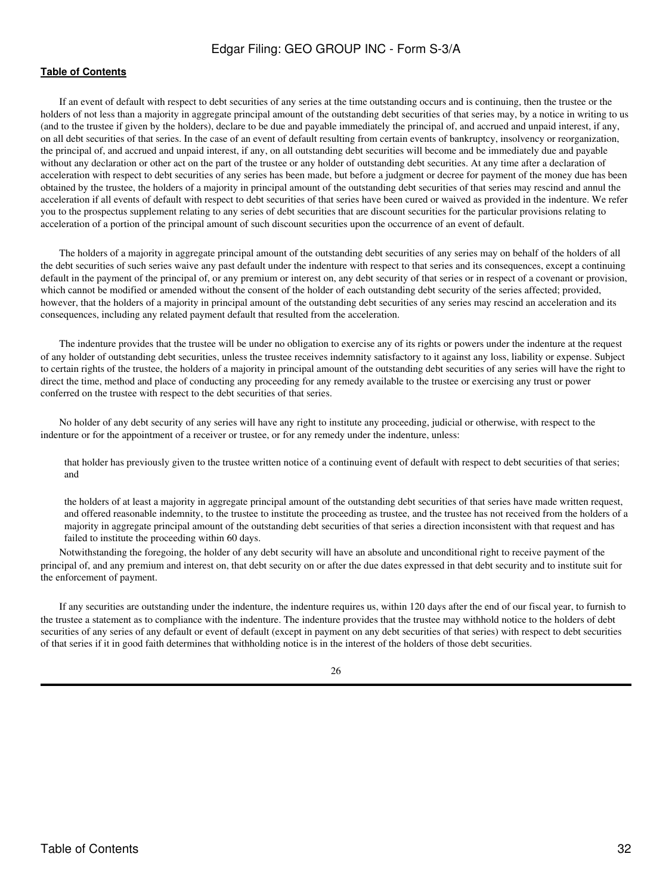## **[Table of Contents](#page-4-0)**

If an event of default with respect to debt securities of any series at the time outstanding occurs and is continuing, then the trustee or the holders of not less than a majority in aggregate principal amount of the outstanding debt securities of that series may, by a notice in writing to us (and to the trustee if given by the holders), declare to be due and payable immediately the principal of, and accrued and unpaid interest, if any, on all debt securities of that series. In the case of an event of default resulting from certain events of bankruptcy, insolvency or reorganization, the principal of, and accrued and unpaid interest, if any, on all outstanding debt securities will become and be immediately due and payable without any declaration or other act on the part of the trustee or any holder of outstanding debt securities. At any time after a declaration of acceleration with respect to debt securities of any series has been made, but before a judgment or decree for payment of the money due has been obtained by the trustee, the holders of a majority in principal amount of the outstanding debt securities of that series may rescind and annul the acceleration if all events of default with respect to debt securities of that series have been cured or waived as provided in the indenture. We refer you to the prospectus supplement relating to any series of debt securities that are discount securities for the particular provisions relating to acceleration of a portion of the principal amount of such discount securities upon the occurrence of an event of default.

The holders of a majority in aggregate principal amount of the outstanding debt securities of any series may on behalf of the holders of all the debt securities of such series waive any past default under the indenture with respect to that series and its consequences, except a continuing default in the payment of the principal of, or any premium or interest on, any debt security of that series or in respect of a covenant or provision, which cannot be modified or amended without the consent of the holder of each outstanding debt security of the series affected; provided, however, that the holders of a majority in principal amount of the outstanding debt securities of any series may rescind an acceleration and its consequences, including any related payment default that resulted from the acceleration.

The indenture provides that the trustee will be under no obligation to exercise any of its rights or powers under the indenture at the request of any holder of outstanding debt securities, unless the trustee receives indemnity satisfactory to it against any loss, liability or expense. Subject to certain rights of the trustee, the holders of a majority in principal amount of the outstanding debt securities of any series will have the right to direct the time, method and place of conducting any proceeding for any remedy available to the trustee or exercising any trust or power conferred on the trustee with respect to the debt securities of that series.

No holder of any debt security of any series will have any right to institute any proceeding, judicial or otherwise, with respect to the indenture or for the appointment of a receiver or trustee, or for any remedy under the indenture, unless:

 that holder has previously given to the trustee written notice of a continuing event of default with respect to debt securities of that series; and

 the holders of at least a majority in aggregate principal amount of the outstanding debt securities of that series have made written request, and offered reasonable indemnity, to the trustee to institute the proceeding as trustee, and the trustee has not received from the holders of a majority in aggregate principal amount of the outstanding debt securities of that series a direction inconsistent with that request and has failed to institute the proceeding within 60 days.

Notwithstanding the foregoing, the holder of any debt security will have an absolute and unconditional right to receive payment of the principal of, and any premium and interest on, that debt security on or after the due dates expressed in that debt security and to institute suit for the enforcement of payment.

If any securities are outstanding under the indenture, the indenture requires us, within 120 days after the end of our fiscal year, to furnish to the trustee a statement as to compliance with the indenture. The indenture provides that the trustee may withhold notice to the holders of debt securities of any series of any default or event of default (except in payment on any debt securities of that series) with respect to debt securities of that series if it in good faith determines that withholding notice is in the interest of the holders of those debt securities.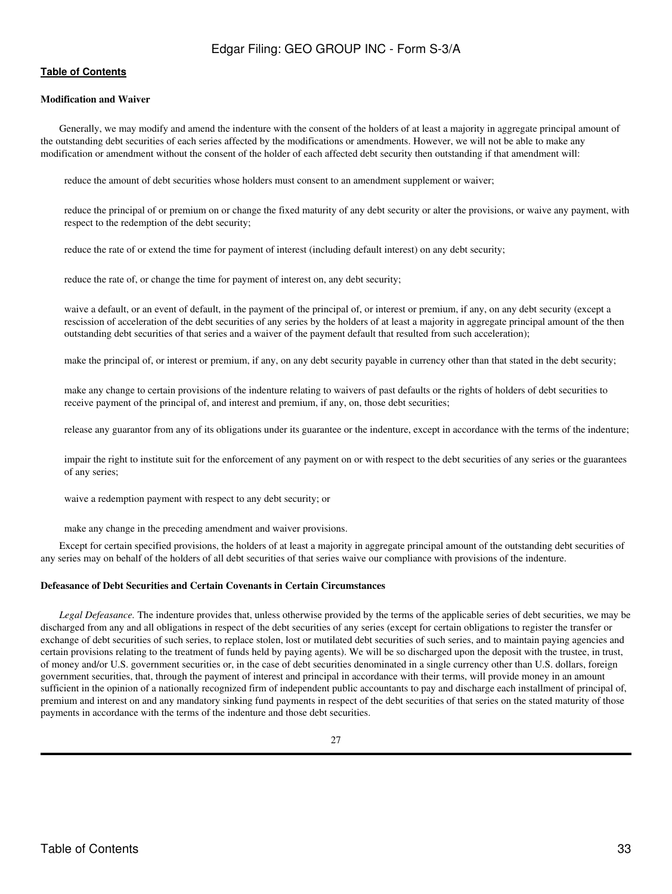## **[Table of Contents](#page-4-0)**

#### **Modification and Waiver**

Generally, we may modify and amend the indenture with the consent of the holders of at least a majority in aggregate principal amount of the outstanding debt securities of each series affected by the modifications or amendments. However, we will not be able to make any modification or amendment without the consent of the holder of each affected debt security then outstanding if that amendment will:

reduce the amount of debt securities whose holders must consent to an amendment supplement or waiver;

 reduce the principal of or premium on or change the fixed maturity of any debt security or alter the provisions, or waive any payment, with respect to the redemption of the debt security;

reduce the rate of or extend the time for payment of interest (including default interest) on any debt security;

reduce the rate of, or change the time for payment of interest on, any debt security;

 waive a default, or an event of default, in the payment of the principal of, or interest or premium, if any, on any debt security (except a rescission of acceleration of the debt securities of any series by the holders of at least a majority in aggregate principal amount of the then outstanding debt securities of that series and a waiver of the payment default that resulted from such acceleration);

make the principal of, or interest or premium, if any, on any debt security payable in currency other than that stated in the debt security;

 make any change to certain provisions of the indenture relating to waivers of past defaults or the rights of holders of debt securities to receive payment of the principal of, and interest and premium, if any, on, those debt securities;

release any guarantor from any of its obligations under its guarantee or the indenture, except in accordance with the terms of the indenture;

 impair the right to institute suit for the enforcement of any payment on or with respect to the debt securities of any series or the guarantees of any series;

waive a redemption payment with respect to any debt security; or

make any change in the preceding amendment and waiver provisions.

Except for certain specified provisions, the holders of at least a majority in aggregate principal amount of the outstanding debt securities of any series may on behalf of the holders of all debt securities of that series waive our compliance with provisions of the indenture.

## **Defeasance of Debt Securities and Certain Covenants in Certain Circumstances**

*Legal Defeasance.* The indenture provides that, unless otherwise provided by the terms of the applicable series of debt securities, we may be discharged from any and all obligations in respect of the debt securities of any series (except for certain obligations to register the transfer or exchange of debt securities of such series, to replace stolen, lost or mutilated debt securities of such series, and to maintain paying agencies and certain provisions relating to the treatment of funds held by paying agents). We will be so discharged upon the deposit with the trustee, in trust, of money and/or U.S. government securities or, in the case of debt securities denominated in a single currency other than U.S. dollars, foreign government securities, that, through the payment of interest and principal in accordance with their terms, will provide money in an amount sufficient in the opinion of a nationally recognized firm of independent public accountants to pay and discharge each installment of principal of, premium and interest on and any mandatory sinking fund payments in respect of the debt securities of that series on the stated maturity of those payments in accordance with the terms of the indenture and those debt securities.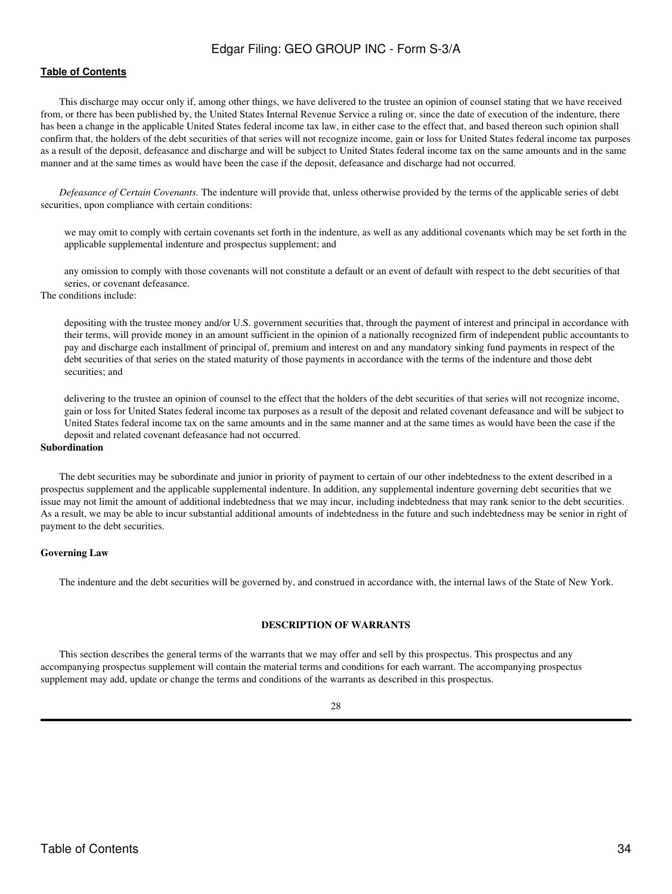### **[Table of Contents](#page-4-0)**

This discharge may occur only if, among other things, we have delivered to the trustee an opinion of counsel stating that we have received from, or there has been published by, the United States Internal Revenue Service a ruling or, since the date of execution of the indenture, there has been a change in the applicable United States federal income tax law, in either case to the effect that, and based thereon such opinion shall confirm that, the holders of the debt securities of that series will not recognize income, gain or loss for United States federal income tax purposes as a result of the deposit, defeasance and discharge and will be subject to United States federal income tax on the same amounts and in the same manner and at the same times as would have been the case if the deposit, defeasance and discharge had not occurred.

*Defeasance of Certain Covenants.* The indenture will provide that, unless otherwise provided by the terms of the applicable series of debt securities, upon compliance with certain conditions:

 we may omit to comply with certain covenants set forth in the indenture, as well as any additional covenants which may be set forth in the applicable supplemental indenture and prospectus supplement; and

 any omission to comply with those covenants will not constitute a default or an event of default with respect to the debt securities of that series, or covenant defeasance.

The conditions include:

 depositing with the trustee money and/or U.S. government securities that, through the payment of interest and principal in accordance with their terms, will provide money in an amount sufficient in the opinion of a nationally recognized firm of independent public accountants to pay and discharge each installment of principal of, premium and interest on and any mandatory sinking fund payments in respect of the debt securities of that series on the stated maturity of those payments in accordance with the terms of the indenture and those debt securities; and

 delivering to the trustee an opinion of counsel to the effect that the holders of the debt securities of that series will not recognize income, gain or loss for United States federal income tax purposes as a result of the deposit and related covenant defeasance and will be subject to United States federal income tax on the same amounts and in the same manner and at the same times as would have been the case if the deposit and related covenant defeasance had not occurred.

### **Subordination**

The debt securities may be subordinate and junior in priority of payment to certain of our other indebtedness to the extent described in a prospectus supplement and the applicable supplemental indenture. In addition, any supplemental indenture governing debt securities that we issue may not limit the amount of additional indebtedness that we may incur, including indebtedness that may rank senior to the debt securities. As a result, we may be able to incur substantial additional amounts of indebtedness in the future and such indebtedness may be senior in right of payment to the debt securities.

#### **Governing Law**

The indenture and the debt securities will be governed by, and construed in accordance with, the internal laws of the State of New York.

#### **DESCRIPTION OF WARRANTS**

<span id="page-33-0"></span>This section describes the general terms of the warrants that we may offer and sell by this prospectus. This prospectus and any accompanying prospectus supplement will contain the material terms and conditions for each warrant. The accompanying prospectus supplement may add, update or change the terms and conditions of the warrants as described in this prospectus.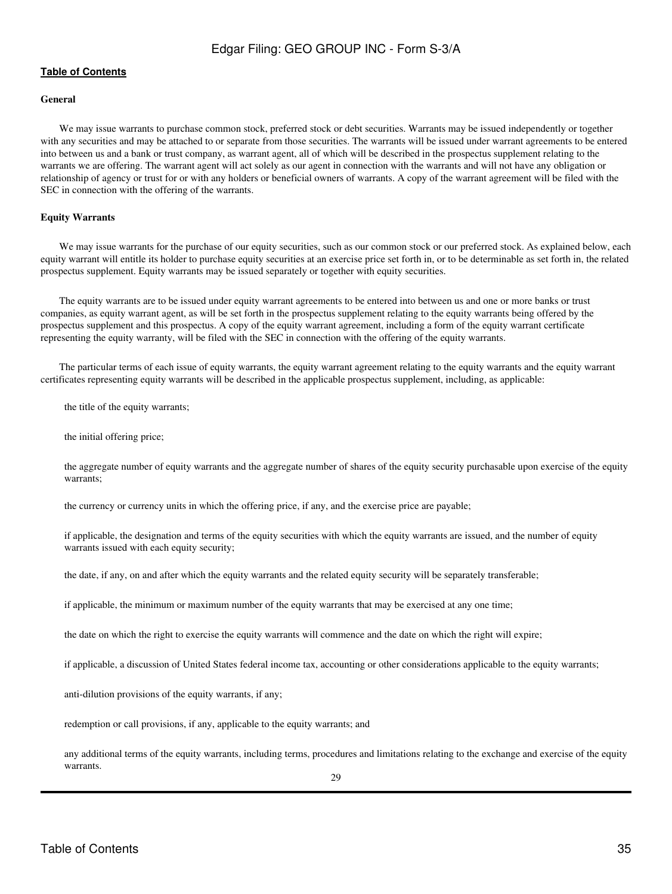## **[Table of Contents](#page-4-0)**

## **General**

We may issue warrants to purchase common stock, preferred stock or debt securities. Warrants may be issued independently or together with any securities and may be attached to or separate from those securities. The warrants will be issued under warrant agreements to be entered into between us and a bank or trust company, as warrant agent, all of which will be described in the prospectus supplement relating to the warrants we are offering. The warrant agent will act solely as our agent in connection with the warrants and will not have any obligation or relationship of agency or trust for or with any holders or beneficial owners of warrants. A copy of the warrant agreement will be filed with the SEC in connection with the offering of the warrants.

#### **Equity Warrants**

We may issue warrants for the purchase of our equity securities, such as our common stock or our preferred stock. As explained below, each equity warrant will entitle its holder to purchase equity securities at an exercise price set forth in, or to be determinable as set forth in, the related prospectus supplement. Equity warrants may be issued separately or together with equity securities.

The equity warrants are to be issued under equity warrant agreements to be entered into between us and one or more banks or trust companies, as equity warrant agent, as will be set forth in the prospectus supplement relating to the equity warrants being offered by the prospectus supplement and this prospectus. A copy of the equity warrant agreement, including a form of the equity warrant certificate representing the equity warranty, will be filed with the SEC in connection with the offering of the equity warrants.

The particular terms of each issue of equity warrants, the equity warrant agreement relating to the equity warrants and the equity warrant certificates representing equity warrants will be described in the applicable prospectus supplement, including, as applicable:

the title of the equity warrants;

the initial offering price;

 the aggregate number of equity warrants and the aggregate number of shares of the equity security purchasable upon exercise of the equity warrants;

the currency or currency units in which the offering price, if any, and the exercise price are payable;

 if applicable, the designation and terms of the equity securities with which the equity warrants are issued, and the number of equity warrants issued with each equity security;

the date, if any, on and after which the equity warrants and the related equity security will be separately transferable;

if applicable, the minimum or maximum number of the equity warrants that may be exercised at any one time;

the date on which the right to exercise the equity warrants will commence and the date on which the right will expire;

if applicable, a discussion of United States federal income tax, accounting or other considerations applicable to the equity warrants;

anti-dilution provisions of the equity warrants, if any;

redemption or call provisions, if any, applicable to the equity warrants; and

 any additional terms of the equity warrants, including terms, procedures and limitations relating to the exchange and exercise of the equity warrants.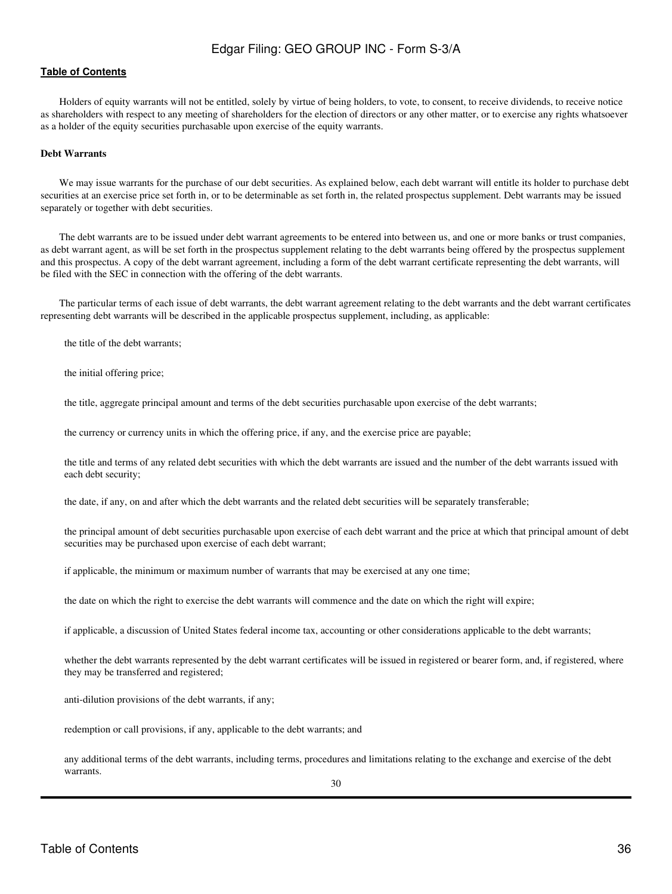### **[Table of Contents](#page-4-0)**

Holders of equity warrants will not be entitled, solely by virtue of being holders, to vote, to consent, to receive dividends, to receive notice as shareholders with respect to any meeting of shareholders for the election of directors or any other matter, or to exercise any rights whatsoever as a holder of the equity securities purchasable upon exercise of the equity warrants.

#### **Debt Warrants**

We may issue warrants for the purchase of our debt securities. As explained below, each debt warrant will entitle its holder to purchase debt securities at an exercise price set forth in, or to be determinable as set forth in, the related prospectus supplement. Debt warrants may be issued separately or together with debt securities.

The debt warrants are to be issued under debt warrant agreements to be entered into between us, and one or more banks or trust companies, as debt warrant agent, as will be set forth in the prospectus supplement relating to the debt warrants being offered by the prospectus supplement and this prospectus. A copy of the debt warrant agreement, including a form of the debt warrant certificate representing the debt warrants, will be filed with the SEC in connection with the offering of the debt warrants.

The particular terms of each issue of debt warrants, the debt warrant agreement relating to the debt warrants and the debt warrant certificates representing debt warrants will be described in the applicable prospectus supplement, including, as applicable:

the title of the debt warrants;

the initial offering price;

the title, aggregate principal amount and terms of the debt securities purchasable upon exercise of the debt warrants;

the currency or currency units in which the offering price, if any, and the exercise price are payable;

 the title and terms of any related debt securities with which the debt warrants are issued and the number of the debt warrants issued with each debt security;

the date, if any, on and after which the debt warrants and the related debt securities will be separately transferable;

 the principal amount of debt securities purchasable upon exercise of each debt warrant and the price at which that principal amount of debt securities may be purchased upon exercise of each debt warrant;

if applicable, the minimum or maximum number of warrants that may be exercised at any one time;

the date on which the right to exercise the debt warrants will commence and the date on which the right will expire;

if applicable, a discussion of United States federal income tax, accounting or other considerations applicable to the debt warrants;

 whether the debt warrants represented by the debt warrant certificates will be issued in registered or bearer form, and, if registered, where they may be transferred and registered;

anti-dilution provisions of the debt warrants, if any;

redemption or call provisions, if any, applicable to the debt warrants; and

 any additional terms of the debt warrants, including terms, procedures and limitations relating to the exchange and exercise of the debt warrants.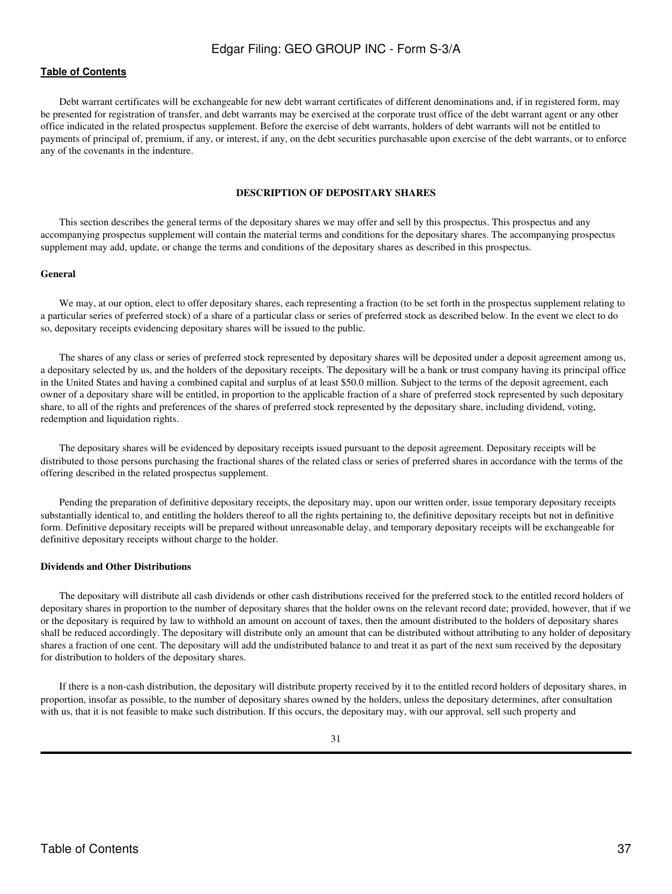## **[Table of Contents](#page-4-0)**

Debt warrant certificates will be exchangeable for new debt warrant certificates of different denominations and, if in registered form, may be presented for registration of transfer, and debt warrants may be exercised at the corporate trust office of the debt warrant agent or any other office indicated in the related prospectus supplement. Before the exercise of debt warrants, holders of debt warrants will not be entitled to payments of principal of, premium, if any, or interest, if any, on the debt securities purchasable upon exercise of the debt warrants, or to enforce any of the covenants in the indenture.

#### **DESCRIPTION OF DEPOSITARY SHARES**

<span id="page-36-0"></span>This section describes the general terms of the depositary shares we may offer and sell by this prospectus. This prospectus and any accompanying prospectus supplement will contain the material terms and conditions for the depositary shares. The accompanying prospectus supplement may add, update, or change the terms and conditions of the depositary shares as described in this prospectus.

#### **General**

We may, at our option, elect to offer depositary shares, each representing a fraction (to be set forth in the prospectus supplement relating to a particular series of preferred stock) of a share of a particular class or series of preferred stock as described below. In the event we elect to do so, depositary receipts evidencing depositary shares will be issued to the public.

The shares of any class or series of preferred stock represented by depositary shares will be deposited under a deposit agreement among us, a depositary selected by us, and the holders of the depositary receipts. The depositary will be a bank or trust company having its principal office in the United States and having a combined capital and surplus of at least \$50.0 million. Subject to the terms of the deposit agreement, each owner of a depositary share will be entitled, in proportion to the applicable fraction of a share of preferred stock represented by such depositary share, to all of the rights and preferences of the shares of preferred stock represented by the depositary share, including dividend, voting, redemption and liquidation rights.

The depositary shares will be evidenced by depositary receipts issued pursuant to the deposit agreement. Depositary receipts will be distributed to those persons purchasing the fractional shares of the related class or series of preferred shares in accordance with the terms of the offering described in the related prospectus supplement.

Pending the preparation of definitive depositary receipts, the depositary may, upon our written order, issue temporary depositary receipts substantially identical to, and entitling the holders thereof to all the rights pertaining to, the definitive depositary receipts but not in definitive form. Definitive depositary receipts will be prepared without unreasonable delay, and temporary depositary receipts will be exchangeable for definitive depositary receipts without charge to the holder.

#### **Dividends and Other Distributions**

The depositary will distribute all cash dividends or other cash distributions received for the preferred stock to the entitled record holders of depositary shares in proportion to the number of depositary shares that the holder owns on the relevant record date; provided, however, that if we or the depositary is required by law to withhold an amount on account of taxes, then the amount distributed to the holders of depositary shares shall be reduced accordingly. The depositary will distribute only an amount that can be distributed without attributing to any holder of depositary shares a fraction of one cent. The depositary will add the undistributed balance to and treat it as part of the next sum received by the depositary for distribution to holders of the depositary shares.

If there is a non-cash distribution, the depositary will distribute property received by it to the entitled record holders of depositary shares, in proportion, insofar as possible, to the number of depositary shares owned by the holders, unless the depositary determines, after consultation with us, that it is not feasible to make such distribution. If this occurs, the depositary may, with our approval, sell such property and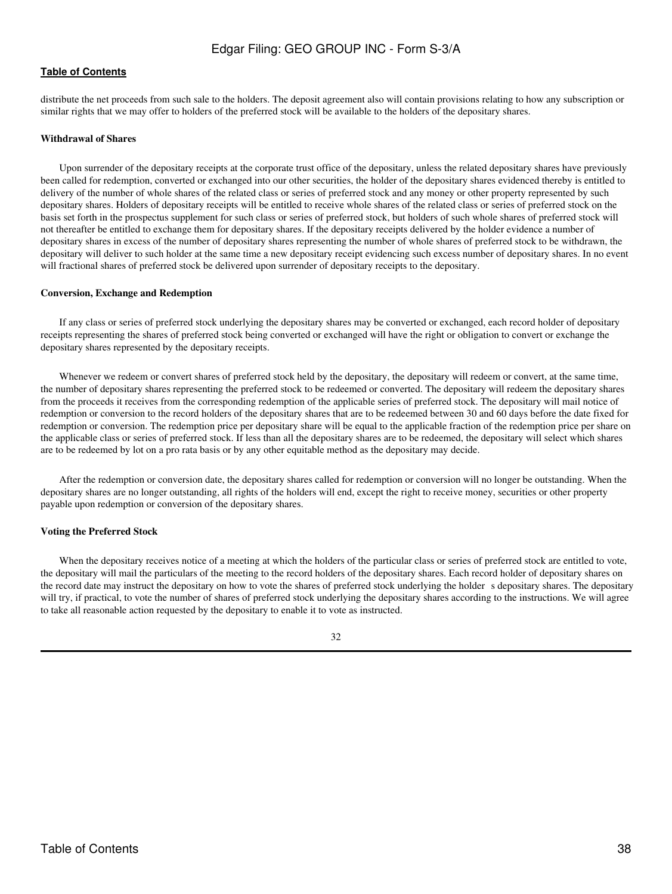distribute the net proceeds from such sale to the holders. The deposit agreement also will contain provisions relating to how any subscription or similar rights that we may offer to holders of the preferred stock will be available to the holders of the depositary shares.

#### **Withdrawal of Shares**

Upon surrender of the depositary receipts at the corporate trust office of the depositary, unless the related depositary shares have previously been called for redemption, converted or exchanged into our other securities, the holder of the depositary shares evidenced thereby is entitled to delivery of the number of whole shares of the related class or series of preferred stock and any money or other property represented by such depositary shares. Holders of depositary receipts will be entitled to receive whole shares of the related class or series of preferred stock on the basis set forth in the prospectus supplement for such class or series of preferred stock, but holders of such whole shares of preferred stock will not thereafter be entitled to exchange them for depositary shares. If the depositary receipts delivered by the holder evidence a number of depositary shares in excess of the number of depositary shares representing the number of whole shares of preferred stock to be withdrawn, the depositary will deliver to such holder at the same time a new depositary receipt evidencing such excess number of depositary shares. In no event will fractional shares of preferred stock be delivered upon surrender of depositary receipts to the depositary.

#### **Conversion, Exchange and Redemption**

If any class or series of preferred stock underlying the depositary shares may be converted or exchanged, each record holder of depositary receipts representing the shares of preferred stock being converted or exchanged will have the right or obligation to convert or exchange the depositary shares represented by the depositary receipts.

Whenever we redeem or convert shares of preferred stock held by the depositary, the depositary will redeem or convert, at the same time, the number of depositary shares representing the preferred stock to be redeemed or converted. The depositary will redeem the depositary shares from the proceeds it receives from the corresponding redemption of the applicable series of preferred stock. The depositary will mail notice of redemption or conversion to the record holders of the depositary shares that are to be redeemed between 30 and 60 days before the date fixed for redemption or conversion. The redemption price per depositary share will be equal to the applicable fraction of the redemption price per share on the applicable class or series of preferred stock. If less than all the depositary shares are to be redeemed, the depositary will select which shares are to be redeemed by lot on a pro rata basis or by any other equitable method as the depositary may decide.

After the redemption or conversion date, the depositary shares called for redemption or conversion will no longer be outstanding. When the depositary shares are no longer outstanding, all rights of the holders will end, except the right to receive money, securities or other property payable upon redemption or conversion of the depositary shares.

## **Voting the Preferred Stock**

When the depositary receives notice of a meeting at which the holders of the particular class or series of preferred stock are entitled to vote, the depositary will mail the particulars of the meeting to the record holders of the depositary shares. Each record holder of depositary shares on the record date may instruct the depositary on how to vote the shares of preferred stock underlying the holder s depositary shares. The depositary will try, if practical, to vote the number of shares of preferred stock underlying the depositary shares according to the instructions. We will agree to take all reasonable action requested by the depositary to enable it to vote as instructed.

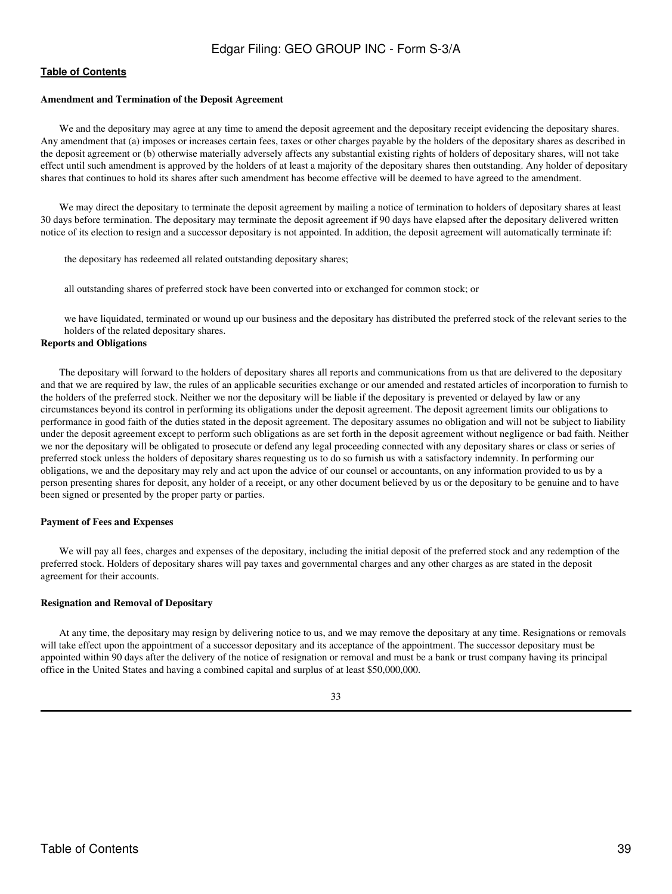#### **Amendment and Termination of the Deposit Agreement**

We and the depositary may agree at any time to amend the deposit agreement and the depositary receipt evidencing the depositary shares. Any amendment that (a) imposes or increases certain fees, taxes or other charges payable by the holders of the depositary shares as described in the deposit agreement or (b) otherwise materially adversely affects any substantial existing rights of holders of depositary shares, will not take effect until such amendment is approved by the holders of at least a majority of the depositary shares then outstanding. Any holder of depositary shares that continues to hold its shares after such amendment has become effective will be deemed to have agreed to the amendment.

We may direct the depositary to terminate the deposit agreement by mailing a notice of termination to holders of depositary shares at least 30 days before termination. The depositary may terminate the deposit agreement if 90 days have elapsed after the depositary delivered written notice of its election to resign and a successor depositary is not appointed. In addition, the deposit agreement will automatically terminate if:

the depositary has redeemed all related outstanding depositary shares;

all outstanding shares of preferred stock have been converted into or exchanged for common stock; or

 we have liquidated, terminated or wound up our business and the depositary has distributed the preferred stock of the relevant series to the holders of the related depositary shares.

## **Reports and Obligations**

The depositary will forward to the holders of depositary shares all reports and communications from us that are delivered to the depositary and that we are required by law, the rules of an applicable securities exchange or our amended and restated articles of incorporation to furnish to the holders of the preferred stock. Neither we nor the depositary will be liable if the depositary is prevented or delayed by law or any circumstances beyond its control in performing its obligations under the deposit agreement. The deposit agreement limits our obligations to performance in good faith of the duties stated in the deposit agreement. The depositary assumes no obligation and will not be subject to liability under the deposit agreement except to perform such obligations as are set forth in the deposit agreement without negligence or bad faith. Neither we nor the depositary will be obligated to prosecute or defend any legal proceeding connected with any depositary shares or class or series of preferred stock unless the holders of depositary shares requesting us to do so furnish us with a satisfactory indemnity. In performing our obligations, we and the depositary may rely and act upon the advice of our counsel or accountants, on any information provided to us by a person presenting shares for deposit, any holder of a receipt, or any other document believed by us or the depositary to be genuine and to have been signed or presented by the proper party or parties.

#### **Payment of Fees and Expenses**

We will pay all fees, charges and expenses of the depositary, including the initial deposit of the preferred stock and any redemption of the preferred stock. Holders of depositary shares will pay taxes and governmental charges and any other charges as are stated in the deposit agreement for their accounts.

#### **Resignation and Removal of Depositary**

At any time, the depositary may resign by delivering notice to us, and we may remove the depositary at any time. Resignations or removals will take effect upon the appointment of a successor depositary and its acceptance of the appointment. The successor depositary must be appointed within 90 days after the delivery of the notice of resignation or removal and must be a bank or trust company having its principal office in the United States and having a combined capital and surplus of at least \$50,000,000.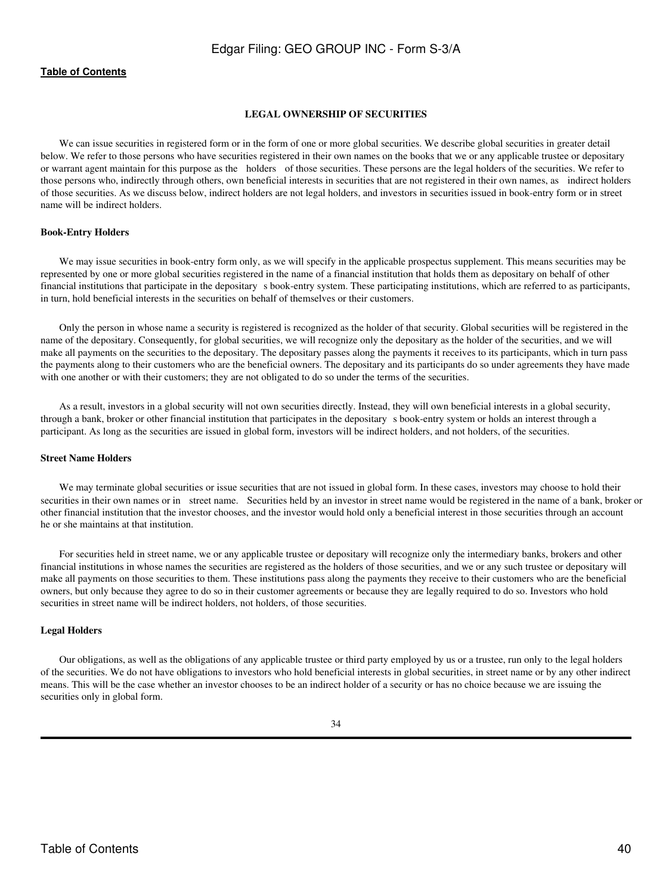### <span id="page-39-0"></span>**[Table of Contents](#page-4-0)**

#### **LEGAL OWNERSHIP OF SECURITIES**

We can issue securities in registered form or in the form of one or more global securities. We describe global securities in greater detail below. We refer to those persons who have securities registered in their own names on the books that we or any applicable trustee or depositary or warrant agent maintain for this purpose as the holders of those securities. These persons are the legal holders of the securities. We refer to those persons who, indirectly through others, own beneficial interests in securities that are not registered in their own names, as indirect holders of those securities. As we discuss below, indirect holders are not legal holders, and investors in securities issued in book-entry form or in street name will be indirect holders.

#### **Book-Entry Holders**

We may issue securities in book-entry form only, as we will specify in the applicable prospectus supplement. This means securities may be represented by one or more global securities registered in the name of a financial institution that holds them as depositary on behalf of other financial institutions that participate in the depositary s book-entry system. These participating institutions, which are referred to as participants, in turn, hold beneficial interests in the securities on behalf of themselves or their customers.

Only the person in whose name a security is registered is recognized as the holder of that security. Global securities will be registered in the name of the depositary. Consequently, for global securities, we will recognize only the depositary as the holder of the securities, and we will make all payments on the securities to the depositary. The depositary passes along the payments it receives to its participants, which in turn pass the payments along to their customers who are the beneficial owners. The depositary and its participants do so under agreements they have made with one another or with their customers; they are not obligated to do so under the terms of the securities.

As a result, investors in a global security will not own securities directly. Instead, they will own beneficial interests in a global security, through a bank, broker or other financial institution that participates in the depositarys book-entry system or holds an interest through a participant. As long as the securities are issued in global form, investors will be indirect holders, and not holders, of the securities.

#### **Street Name Holders**

We may terminate global securities or issue securities that are not issued in global form. In these cases, investors may choose to hold their securities in their own names or in street name. Securities held by an investor in street name would be registered in the name of a bank, broker or other financial institution that the investor chooses, and the investor would hold only a beneficial interest in those securities through an account he or she maintains at that institution.

For securities held in street name, we or any applicable trustee or depositary will recognize only the intermediary banks, brokers and other financial institutions in whose names the securities are registered as the holders of those securities, and we or any such trustee or depositary will make all payments on those securities to them. These institutions pass along the payments they receive to their customers who are the beneficial owners, but only because they agree to do so in their customer agreements or because they are legally required to do so. Investors who hold securities in street name will be indirect holders, not holders, of those securities.

#### **Legal Holders**

Our obligations, as well as the obligations of any applicable trustee or third party employed by us or a trustee, run only to the legal holders of the securities. We do not have obligations to investors who hold beneficial interests in global securities, in street name or by any other indirect means. This will be the case whether an investor chooses to be an indirect holder of a security or has no choice because we are issuing the securities only in global form.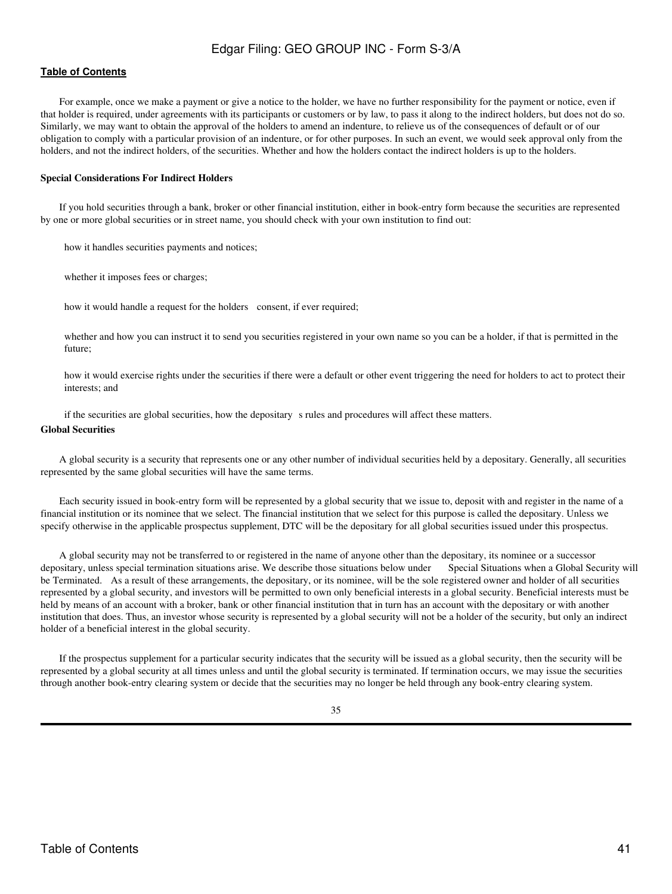## **[Table of Contents](#page-4-0)**

For example, once we make a payment or give a notice to the holder, we have no further responsibility for the payment or notice, even if that holder is required, under agreements with its participants or customers or by law, to pass it along to the indirect holders, but does not do so. Similarly, we may want to obtain the approval of the holders to amend an indenture, to relieve us of the consequences of default or of our obligation to comply with a particular provision of an indenture, or for other purposes. In such an event, we would seek approval only from the holders, and not the indirect holders, of the securities. Whether and how the holders contact the indirect holders is up to the holders.

#### **Special Considerations For Indirect Holders**

If you hold securities through a bank, broker or other financial institution, either in book-entry form because the securities are represented by one or more global securities or in street name, you should check with your own institution to find out:

how it handles securities payments and notices;

whether it imposes fees or charges;

how it would handle a request for the holders consent, if ever required;

 whether and how you can instruct it to send you securities registered in your own name so you can be a holder, if that is permitted in the future;

 how it would exercise rights under the securities if there were a default or other event triggering the need for holders to act to protect their interests; and

if the securities are global securities, how the depositary s rules and procedures will affect these matters.

#### **Global Securities**

A global security is a security that represents one or any other number of individual securities held by a depositary. Generally, all securities represented by the same global securities will have the same terms.

Each security issued in book-entry form will be represented by a global security that we issue to, deposit with and register in the name of a financial institution or its nominee that we select. The financial institution that we select for this purpose is called the depositary. Unless we specify otherwise in the applicable prospectus supplement, DTC will be the depositary for all global securities issued under this prospectus.

A global security may not be transferred to or registered in the name of anyone other than the depositary, its nominee or a successor depositary, unless special termination situations arise. We describe those situations below under Special Situations when a Global Security will be Terminated. As a result of these arrangements, the depositary, or its nominee, will be the sole registered owner and holder of all securities represented by a global security, and investors will be permitted to own only beneficial interests in a global security. Beneficial interests must be held by means of an account with a broker, bank or other financial institution that in turn has an account with the depositary or with another institution that does. Thus, an investor whose security is represented by a global security will not be a holder of the security, but only an indirect holder of a beneficial interest in the global security.

If the prospectus supplement for a particular security indicates that the security will be issued as a global security, then the security will be represented by a global security at all times unless and until the global security is terminated. If termination occurs, we may issue the securities through another book-entry clearing system or decide that the securities may no longer be held through any book-entry clearing system.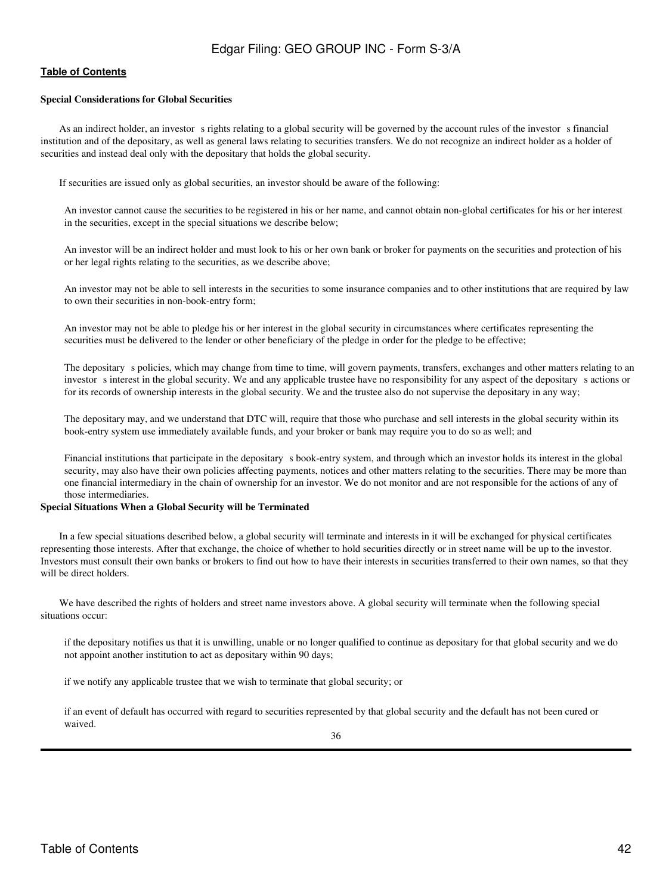## **[Table of Contents](#page-4-0)**

## **Special Considerations for Global Securities**

As an indirect holder, an investor s rights relating to a global security will be governed by the account rules of the investor s financial institution and of the depositary, as well as general laws relating to securities transfers. We do not recognize an indirect holder as a holder of securities and instead deal only with the depositary that holds the global security.

If securities are issued only as global securities, an investor should be aware of the following:

 An investor cannot cause the securities to be registered in his or her name, and cannot obtain non-global certificates for his or her interest in the securities, except in the special situations we describe below;

 An investor will be an indirect holder and must look to his or her own bank or broker for payments on the securities and protection of his or her legal rights relating to the securities, as we describe above;

 An investor may not be able to sell interests in the securities to some insurance companies and to other institutions that are required by law to own their securities in non-book-entry form;

 An investor may not be able to pledge his or her interest in the global security in circumstances where certificates representing the securities must be delivered to the lender or other beneficiary of the pledge in order for the pledge to be effective;

The depositary s policies, which may change from time to time, will govern payments, transfers, exchanges and other matters relating to an investor s interest in the global security. We and any applicable trustee have no responsibility for any aspect of the depositary s actions or for its records of ownership interests in the global security. We and the trustee also do not supervise the depositary in any way;

 The depositary may, and we understand that DTC will, require that those who purchase and sell interests in the global security within its book-entry system use immediately available funds, and your broker or bank may require you to do so as well; and

Financial institutions that participate in the depositary s book-entry system, and through which an investor holds its interest in the global security, may also have their own policies affecting payments, notices and other matters relating to the securities. There may be more than one financial intermediary in the chain of ownership for an investor. We do not monitor and are not responsible for the actions of any of those intermediaries.

#### **Special Situations When a Global Security will be Terminated**

In a few special situations described below, a global security will terminate and interests in it will be exchanged for physical certificates representing those interests. After that exchange, the choice of whether to hold securities directly or in street name will be up to the investor. Investors must consult their own banks or brokers to find out how to have their interests in securities transferred to their own names, so that they will be direct holders.

We have described the rights of holders and street name investors above. A global security will terminate when the following special situations occur:

 if the depositary notifies us that it is unwilling, unable or no longer qualified to continue as depositary for that global security and we do not appoint another institution to act as depositary within 90 days;

if we notify any applicable trustee that we wish to terminate that global security; or

 if an event of default has occurred with regard to securities represented by that global security and the default has not been cured or waived.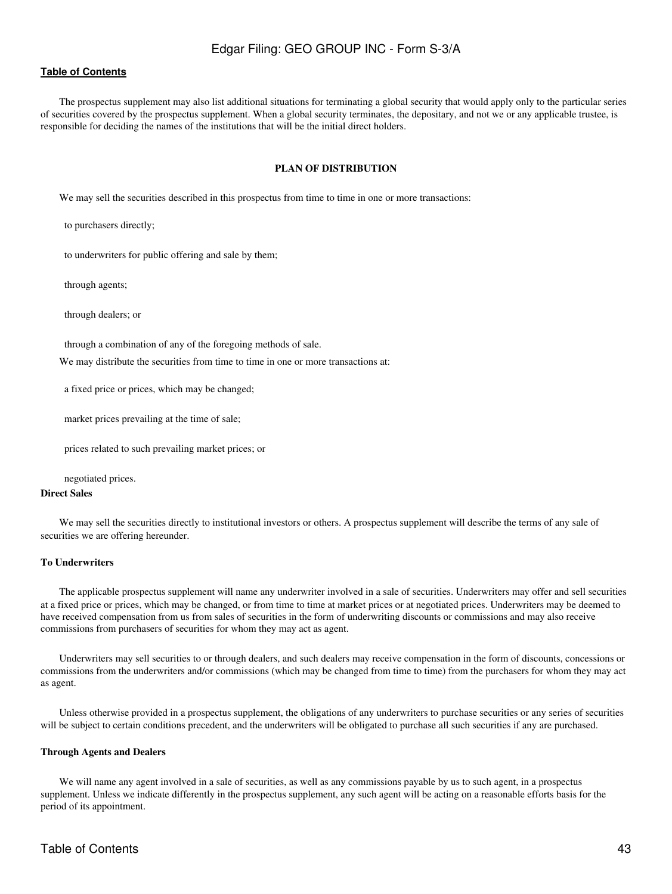### **[Table of Contents](#page-4-0)**

<span id="page-42-0"></span>The prospectus supplement may also list additional situations for terminating a global security that would apply only to the particular series of securities covered by the prospectus supplement. When a global security terminates, the depositary, and not we or any applicable trustee, is responsible for deciding the names of the institutions that will be the initial direct holders.

## **PLAN OF DISTRIBUTION**

We may sell the securities described in this prospectus from time to time in one or more transactions:

to purchasers directly;

to underwriters for public offering and sale by them;

through agents;

through dealers; or

through a combination of any of the foregoing methods of sale.

We may distribute the securities from time to time in one or more transactions at:

a fixed price or prices, which may be changed;

market prices prevailing at the time of sale;

prices related to such prevailing market prices; or

negotiated prices.

#### **Direct Sales**

We may sell the securities directly to institutional investors or others. A prospectus supplement will describe the terms of any sale of securities we are offering hereunder.

#### **To Underwriters**

The applicable prospectus supplement will name any underwriter involved in a sale of securities. Underwriters may offer and sell securities at a fixed price or prices, which may be changed, or from time to time at market prices or at negotiated prices. Underwriters may be deemed to have received compensation from us from sales of securities in the form of underwriting discounts or commissions and may also receive commissions from purchasers of securities for whom they may act as agent.

Underwriters may sell securities to or through dealers, and such dealers may receive compensation in the form of discounts, concessions or commissions from the underwriters and/or commissions (which may be changed from time to time) from the purchasers for whom they may act as agent.

Unless otherwise provided in a prospectus supplement, the obligations of any underwriters to purchase securities or any series of securities will be subject to certain conditions precedent, and the underwriters will be obligated to purchase all such securities if any are purchased.

#### **Through Agents and Dealers**

We will name any agent involved in a sale of securities, as well as any commissions payable by us to such agent, in a prospectus supplement. Unless we indicate differently in the prospectus supplement, any such agent will be acting on a reasonable efforts basis for the period of its appointment.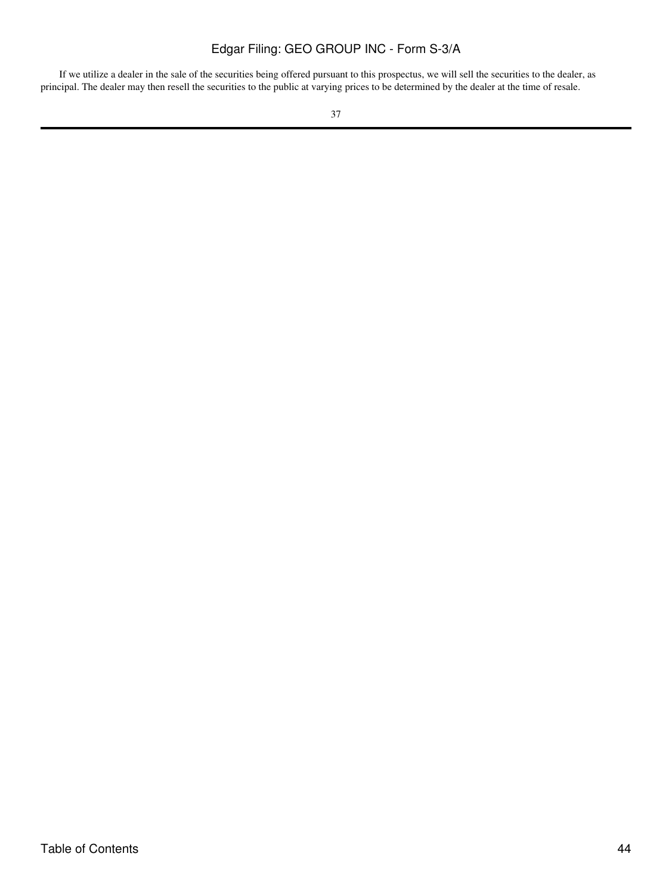If we utilize a dealer in the sale of the securities being offered pursuant to this prospectus, we will sell the securities to the dealer, as principal. The dealer may then resell the securities to the public at varying prices to be determined by the dealer at the time of resale.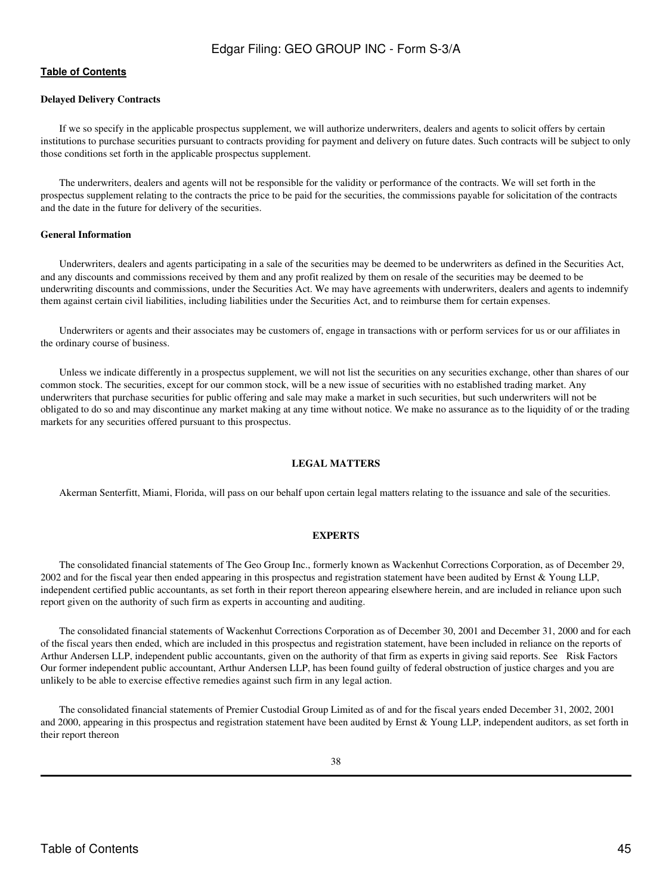### **[Table of Contents](#page-4-0)**

#### **Delayed Delivery Contracts**

If we so specify in the applicable prospectus supplement, we will authorize underwriters, dealers and agents to solicit offers by certain institutions to purchase securities pursuant to contracts providing for payment and delivery on future dates. Such contracts will be subject to only those conditions set forth in the applicable prospectus supplement.

The underwriters, dealers and agents will not be responsible for the validity or performance of the contracts. We will set forth in the prospectus supplement relating to the contracts the price to be paid for the securities, the commissions payable for solicitation of the contracts and the date in the future for delivery of the securities.

#### **General Information**

Underwriters, dealers and agents participating in a sale of the securities may be deemed to be underwriters as defined in the Securities Act, and any discounts and commissions received by them and any profit realized by them on resale of the securities may be deemed to be underwriting discounts and commissions, under the Securities Act. We may have agreements with underwriters, dealers and agents to indemnify them against certain civil liabilities, including liabilities under the Securities Act, and to reimburse them for certain expenses.

Underwriters or agents and their associates may be customers of, engage in transactions with or perform services for us or our affiliates in the ordinary course of business.

Unless we indicate differently in a prospectus supplement, we will not list the securities on any securities exchange, other than shares of our common stock. The securities, except for our common stock, will be a new issue of securities with no established trading market. Any underwriters that purchase securities for public offering and sale may make a market in such securities, but such underwriters will not be obligated to do so and may discontinue any market making at any time without notice. We make no assurance as to the liquidity of or the trading markets for any securities offered pursuant to this prospectus.

## **LEGAL MATTERS**

<span id="page-44-0"></span>Akerman Senterfitt, Miami, Florida, will pass on our behalf upon certain legal matters relating to the issuance and sale of the securities.

#### **EXPERTS**

<span id="page-44-1"></span>The consolidated financial statements of The Geo Group Inc., formerly known as Wackenhut Corrections Corporation, as of December 29, 2002 and for the fiscal year then ended appearing in this prospectus and registration statement have been audited by Ernst & Young LLP, independent certified public accountants, as set forth in their report thereon appearing elsewhere herein, and are included in reliance upon such report given on the authority of such firm as experts in accounting and auditing.

The consolidated financial statements of Wackenhut Corrections Corporation as of December 30, 2001 and December 31, 2000 and for each of the fiscal years then ended, which are included in this prospectus and registration statement, have been included in reliance on the reports of Arthur Andersen LLP, independent public accountants, given on the authority of that firm as experts in giving said reports. See Risk Factors Our former independent public accountant, Arthur Andersen LLP, has been found guilty of federal obstruction of justice charges and you are unlikely to be able to exercise effective remedies against such firm in any legal action.

The consolidated financial statements of Premier Custodial Group Limited as of and for the fiscal years ended December 31, 2002, 2001 and 2000, appearing in this prospectus and registration statement have been audited by Ernst  $\&$  Young LLP, independent auditors, as set forth in their report thereon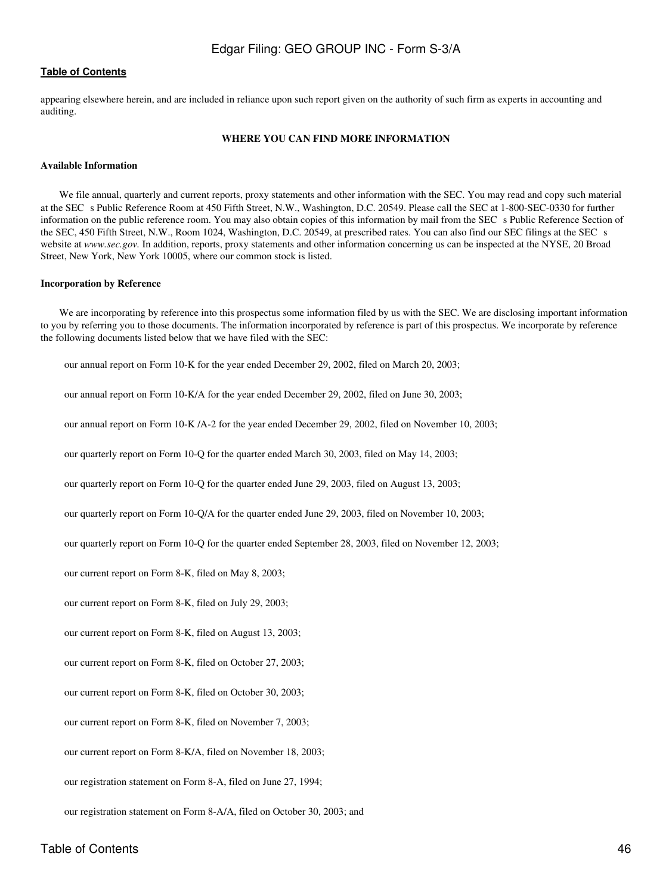<span id="page-45-0"></span>appearing elsewhere herein, and are included in reliance upon such report given on the authority of such firm as experts in accounting and auditing.

#### **WHERE YOU CAN FIND MORE INFORMATION**

#### **Available Information**

We file annual, quarterly and current reports, proxy statements and other information with the SEC. You may read and copy such material at the SEC s Public Reference Room at 450 Fifth Street, N.W., Washington, D.C. 20549. Please call the SEC at 1-800-SEC-0330 for further information on the public reference room. You may also obtain copies of this information by mail from the SEC s Public Reference Section of the SEC, 450 Fifth Street, N.W., Room 1024, Washington, D.C. 20549, at prescribed rates. You can also find our SEC filings at the SEC s website at *www.sec.gov.* In addition, reports, proxy statements and other information concerning us can be inspected at the NYSE, 20 Broad Street, New York, New York 10005, where our common stock is listed.

#### **Incorporation by Reference**

We are incorporating by reference into this prospectus some information filed by us with the SEC. We are disclosing important information to you by referring you to those documents. The information incorporated by reference is part of this prospectus. We incorporate by reference the following documents listed below that we have filed with the SEC:

our annual report on Form 10-K for the year ended December 29, 2002, filed on March 20, 2003;

our annual report on Form 10-K/A for the year ended December 29, 2002, filed on June 30, 2003;

our annual report on Form 10-K /A-2 for the year ended December 29, 2002, filed on November 10, 2003;

our quarterly report on Form 10-Q for the quarter ended March 30, 2003, filed on May 14, 2003;

our quarterly report on Form 10-Q for the quarter ended June 29, 2003, filed on August 13, 2003;

our quarterly report on Form 10-Q/A for the quarter ended June 29, 2003, filed on November 10, 2003;

our quarterly report on Form 10-Q for the quarter ended September 28, 2003, filed on November 12, 2003;

our current report on Form 8-K, filed on May 8, 2003;

our current report on Form 8-K, filed on July 29, 2003;

our current report on Form 8-K, filed on August 13, 2003;

our current report on Form 8-K, filed on October 27, 2003;

our current report on Form 8-K, filed on October 30, 2003;

our current report on Form 8-K, filed on November 7, 2003;

our current report on Form 8-K/A, filed on November 18, 2003;

our registration statement on Form 8-A, filed on June 27, 1994;

our registration statement on Form 8-A/A, filed on October 30, 2003; and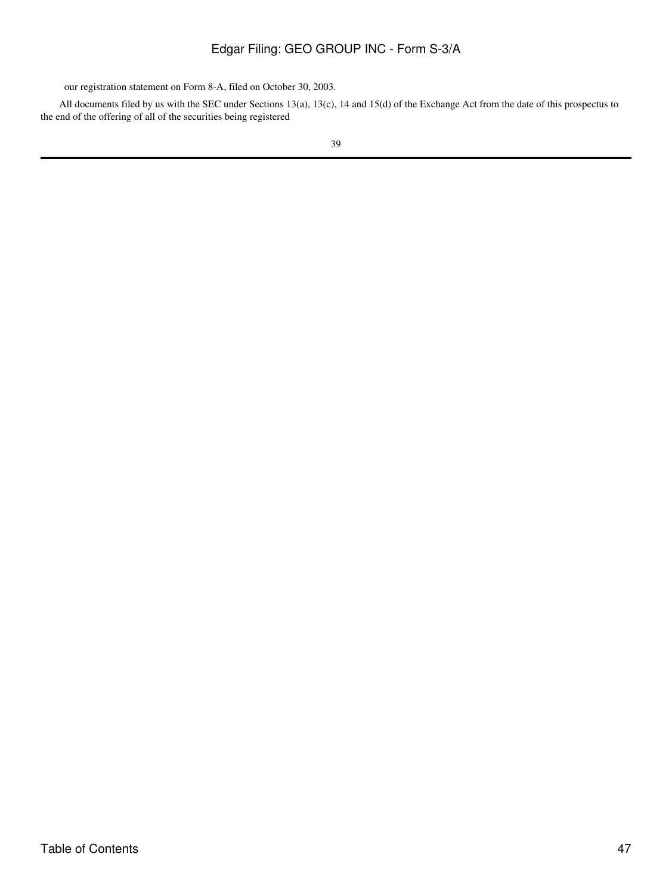our registration statement on Form 8-A, filed on October 30, 2003.

All documents filed by us with the SEC under Sections 13(a), 13(c), 14 and 15(d) of the Exchange Act from the date of this prospectus to the end of the offering of all of the securities being registered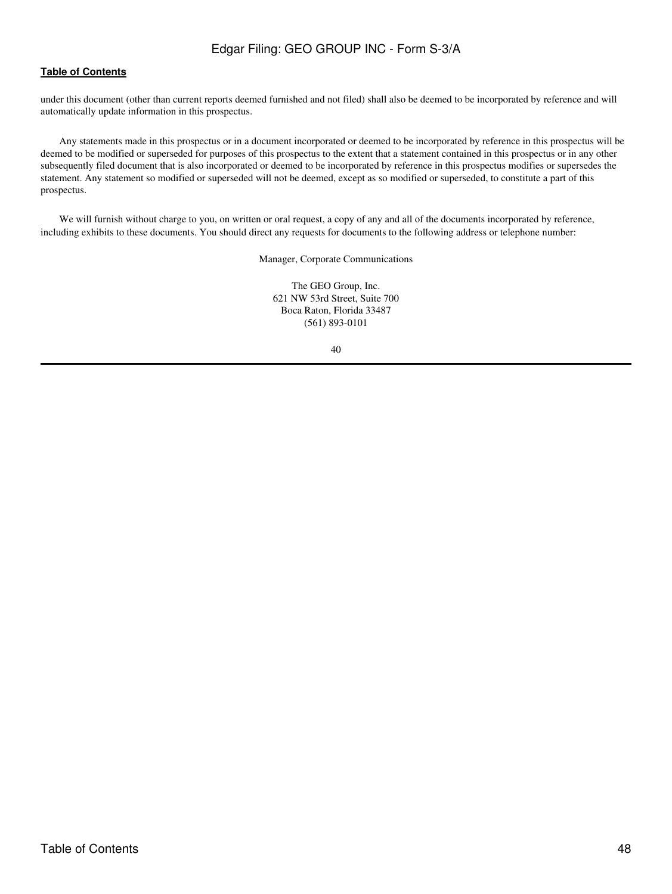under this document (other than current reports deemed furnished and not filed) shall also be deemed to be incorporated by reference and will automatically update information in this prospectus.

Any statements made in this prospectus or in a document incorporated or deemed to be incorporated by reference in this prospectus will be deemed to be modified or superseded for purposes of this prospectus to the extent that a statement contained in this prospectus or in any other subsequently filed document that is also incorporated or deemed to be incorporated by reference in this prospectus modifies or supersedes the statement. Any statement so modified or superseded will not be deemed, except as so modified or superseded, to constitute a part of this prospectus.

We will furnish without charge to you, on written or oral request, a copy of any and all of the documents incorporated by reference, including exhibits to these documents. You should direct any requests for documents to the following address or telephone number:

Manager, Corporate Communications

The GEO Group, Inc. 621 NW 53rd Street, Suite 700 Boca Raton, Florida 33487 (561) 893-0101

| ۰. |                   |  |
|----|-------------------|--|
|    | ٦<br>×<br>×<br>۰, |  |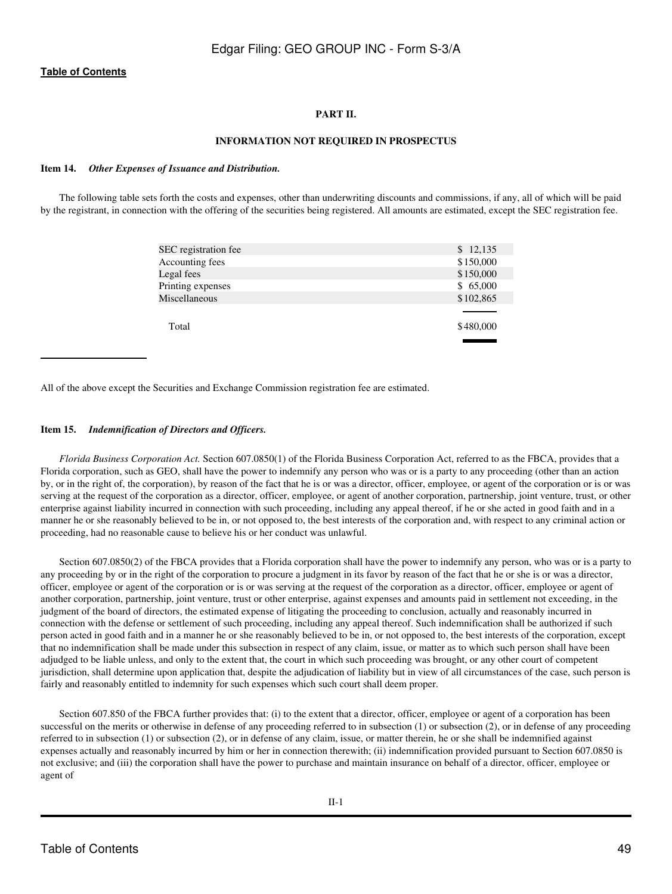## **PART II.**

## **INFORMATION NOT REQUIRED IN PROSPECTUS**

#### <span id="page-48-1"></span><span id="page-48-0"></span>**Item 14.** *Other Expenses of Issuance and Distribution.*

The following table sets forth the costs and expenses, other than underwriting discounts and commissions, if any, all of which will be paid by the registrant, in connection with the offering of the securities being registered. All amounts are estimated, except the SEC registration fee.

| SEC registration fee | \$12,135  |
|----------------------|-----------|
| Accounting fees      | \$150,000 |
| Legal fees           | \$150,000 |
| Printing expenses    | \$65,000  |
| Miscellaneous        | \$102,865 |
|                      |           |
| Total                | \$480,000 |
|                      |           |

All of the above except the Securities and Exchange Commission registration fee are estimated.

#### <span id="page-48-2"></span>**Item 15.** *Indemnification of Directors and Officers.*

*Florida Business Corporation Act.* Section 607.0850(1) of the Florida Business Corporation Act, referred to as the FBCA, provides that a Florida corporation, such as GEO, shall have the power to indemnify any person who was or is a party to any proceeding (other than an action by, or in the right of, the corporation), by reason of the fact that he is or was a director, officer, employee, or agent of the corporation or is or was serving at the request of the corporation as a director, officer, employee, or agent of another corporation, partnership, joint venture, trust, or other enterprise against liability incurred in connection with such proceeding, including any appeal thereof, if he or she acted in good faith and in a manner he or she reasonably believed to be in, or not opposed to, the best interests of the corporation and, with respect to any criminal action or proceeding, had no reasonable cause to believe his or her conduct was unlawful.

Section 607.0850(2) of the FBCA provides that a Florida corporation shall have the power to indemnify any person, who was or is a party to any proceeding by or in the right of the corporation to procure a judgment in its favor by reason of the fact that he or she is or was a director, officer, employee or agent of the corporation or is or was serving at the request of the corporation as a director, officer, employee or agent of another corporation, partnership, joint venture, trust or other enterprise, against expenses and amounts paid in settlement not exceeding, in the judgment of the board of directors, the estimated expense of litigating the proceeding to conclusion, actually and reasonably incurred in connection with the defense or settlement of such proceeding, including any appeal thereof. Such indemnification shall be authorized if such person acted in good faith and in a manner he or she reasonably believed to be in, or not opposed to, the best interests of the corporation, except that no indemnification shall be made under this subsection in respect of any claim, issue, or matter as to which such person shall have been adjudged to be liable unless, and only to the extent that, the court in which such proceeding was brought, or any other court of competent jurisdiction, shall determine upon application that, despite the adjudication of liability but in view of all circumstances of the case, such person is fairly and reasonably entitled to indemnity for such expenses which such court shall deem proper.

Section 607.850 of the FBCA further provides that: (i) to the extent that a director, officer, employee or agent of a corporation has been successful on the merits or otherwise in defense of any proceeding referred to in subsection (1) or subsection (2), or in defense of any proceeding referred to in subsection (1) or subsection (2), or in defense of any claim, issue, or matter therein, he or she shall be indemnified against expenses actually and reasonably incurred by him or her in connection therewith; (ii) indemnification provided pursuant to Section 607.0850 is not exclusive; and (iii) the corporation shall have the power to purchase and maintain insurance on behalf of a director, officer, employee or agent of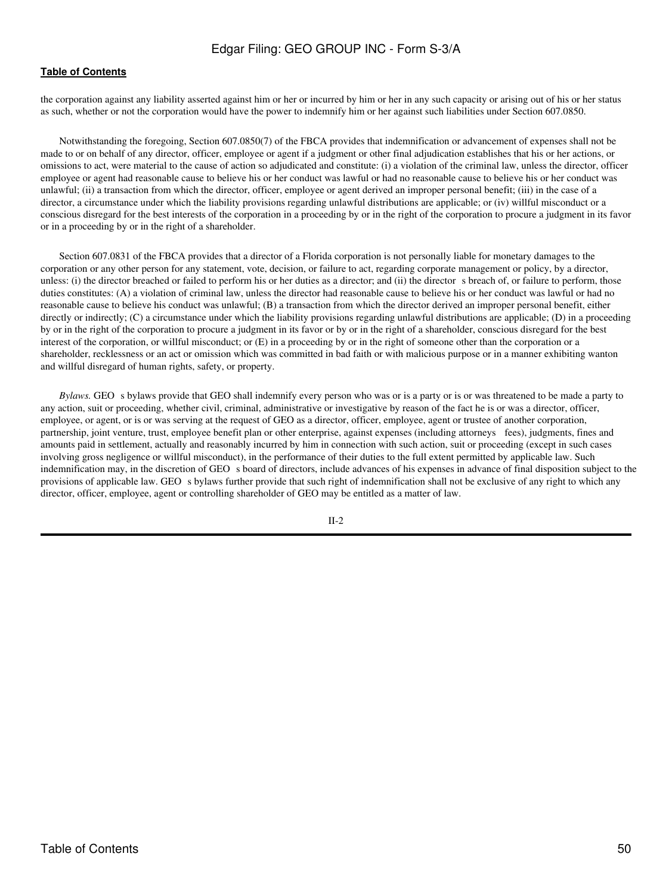## **[Table of Contents](#page-4-0)**

the corporation against any liability asserted against him or her or incurred by him or her in any such capacity or arising out of his or her status as such, whether or not the corporation would have the power to indemnify him or her against such liabilities under Section 607.0850.

Notwithstanding the foregoing, Section 607.0850(7) of the FBCA provides that indemnification or advancement of expenses shall not be made to or on behalf of any director, officer, employee or agent if a judgment or other final adjudication establishes that his or her actions, or omissions to act, were material to the cause of action so adjudicated and constitute: (i) a violation of the criminal law, unless the director, officer employee or agent had reasonable cause to believe his or her conduct was lawful or had no reasonable cause to believe his or her conduct was unlawful; (ii) a transaction from which the director, officer, employee or agent derived an improper personal benefit; (iii) in the case of a director, a circumstance under which the liability provisions regarding unlawful distributions are applicable; or (iv) willful misconduct or a conscious disregard for the best interests of the corporation in a proceeding by or in the right of the corporation to procure a judgment in its favor or in a proceeding by or in the right of a shareholder.

Section 607.0831 of the FBCA provides that a director of a Florida corporation is not personally liable for monetary damages to the corporation or any other person for any statement, vote, decision, or failure to act, regarding corporate management or policy, by a director, unless: (i) the director breached or failed to perform his or her duties as a director; and (ii) the director s breach of, or failure to perform, those duties constitutes: (A) a violation of criminal law, unless the director had reasonable cause to believe his or her conduct was lawful or had no reasonable cause to believe his conduct was unlawful; (B) a transaction from which the director derived an improper personal benefit, either directly or indirectly; (C) a circumstance under which the liability provisions regarding unlawful distributions are applicable; (D) in a proceeding by or in the right of the corporation to procure a judgment in its favor or by or in the right of a shareholder, conscious disregard for the best interest of the corporation, or willful misconduct; or (E) in a proceeding by or in the right of someone other than the corporation or a shareholder, recklessness or an act or omission which was committed in bad faith or with malicious purpose or in a manner exhibiting wanton and willful disregard of human rights, safety, or property.

*Bylaws.* GEO s bylaws provide that GEO shall indemnify every person who was or is a party or is or was threatened to be made a party to any action, suit or proceeding, whether civil, criminal, administrative or investigative by reason of the fact he is or was a director, officer, employee, or agent, or is or was serving at the request of GEO as a director, officer, employee, agent or trustee of another corporation, partnership, joint venture, trust, employee benefit plan or other enterprise, against expenses (including attorneys fees), judgments, fines and amounts paid in settlement, actually and reasonably incurred by him in connection with such action, suit or proceeding (except in such cases involving gross negligence or willful misconduct), in the performance of their duties to the full extent permitted by applicable law. Such indemnification may, in the discretion of GEO s board of directors, include advances of his expenses in advance of final disposition subject to the provisions of applicable law. GEO s bylaws further provide that such right of indemnification shall not be exclusive of any right to which any director, officer, employee, agent or controlling shareholder of GEO may be entitled as a matter of law.

II-2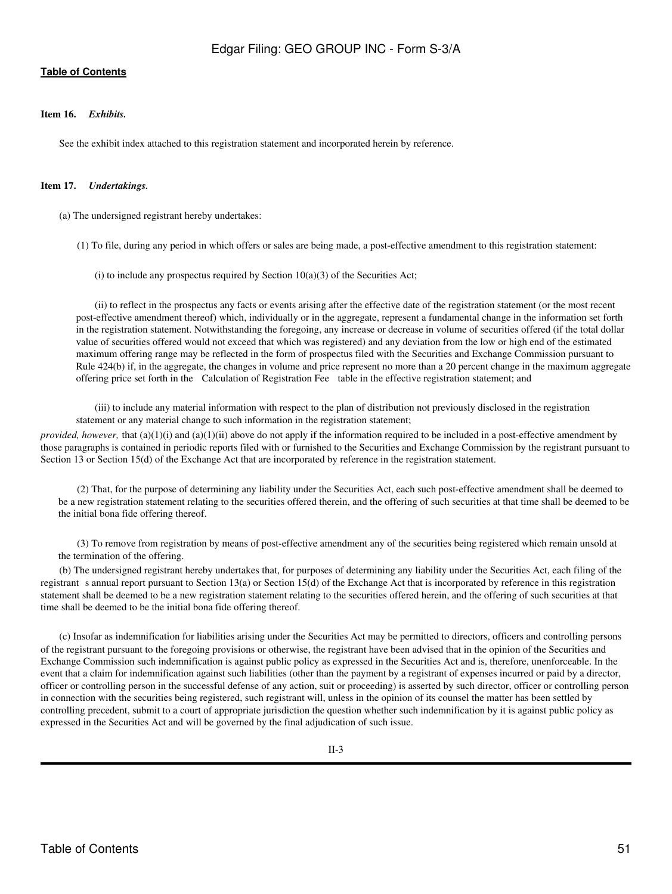## <span id="page-50-0"></span>**Item 16.** *Exhibits.*

See the exhibit index attached to this registration statement and incorporated herein by reference.

## <span id="page-50-1"></span>**Item 17.** *Undertakings.*

(a) The undersigned registrant hereby undertakes:

(1) To file, during any period in which offers or sales are being made, a post-effective amendment to this registration statement:

(i) to include any prospectus required by Section  $10(a)(3)$  of the Securities Act;

(ii) to reflect in the prospectus any facts or events arising after the effective date of the registration statement (or the most recent post-effective amendment thereof) which, individually or in the aggregate, represent a fundamental change in the information set forth in the registration statement. Notwithstanding the foregoing, any increase or decrease in volume of securities offered (if the total dollar value of securities offered would not exceed that which was registered) and any deviation from the low or high end of the estimated maximum offering range may be reflected in the form of prospectus filed with the Securities and Exchange Commission pursuant to Rule 424(b) if, in the aggregate, the changes in volume and price represent no more than a 20 percent change in the maximum aggregate offering price set forth in the Calculation of Registration Fee table in the effective registration statement; and

(iii) to include any material information with respect to the plan of distribution not previously disclosed in the registration statement or any material change to such information in the registration statement;

*provided, however,* that (a)(1)(i) and (a)(1)(ii) above do not apply if the information required to be included in a post-effective amendment by those paragraphs is contained in periodic reports filed with or furnished to the Securities and Exchange Commission by the registrant pursuant to Section 13 or Section 15(d) of the Exchange Act that are incorporated by reference in the registration statement.

(2) That, for the purpose of determining any liability under the Securities Act, each such post-effective amendment shall be deemed to be a new registration statement relating to the securities offered therein, and the offering of such securities at that time shall be deemed to be the initial bona fide offering thereof.

(3) To remove from registration by means of post-effective amendment any of the securities being registered which remain unsold at the termination of the offering.

(b) The undersigned registrant hereby undertakes that, for purposes of determining any liability under the Securities Act, each filing of the registrant s annual report pursuant to Section 13(a) or Section 15(d) of the Exchange Act that is incorporated by reference in this registration statement shall be deemed to be a new registration statement relating to the securities offered herein, and the offering of such securities at that time shall be deemed to be the initial bona fide offering thereof.

(c) Insofar as indemnification for liabilities arising under the Securities Act may be permitted to directors, officers and controlling persons of the registrant pursuant to the foregoing provisions or otherwise, the registrant have been advised that in the opinion of the Securities and Exchange Commission such indemnification is against public policy as expressed in the Securities Act and is, therefore, unenforceable. In the event that a claim for indemnification against such liabilities (other than the payment by a registrant of expenses incurred or paid by a director, officer or controlling person in the successful defense of any action, suit or proceeding) is asserted by such director, officer or controlling person in connection with the securities being registered, such registrant will, unless in the opinion of its counsel the matter has been settled by controlling precedent, submit to a court of appropriate jurisdiction the question whether such indemnification by it is against public policy as expressed in the Securities Act and will be governed by the final adjudication of such issue.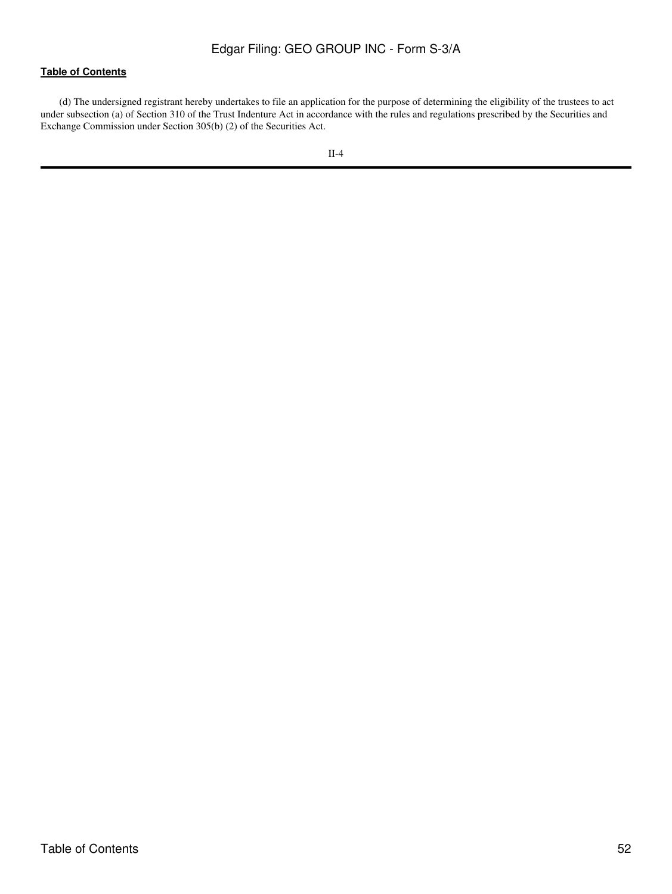(d) The undersigned registrant hereby undertakes to file an application for the purpose of determining the eligibility of the trustees to act under subsection (a) of Section 310 of the Trust Indenture Act in accordance with the rules and regulations prescribed by the Securities and Exchange Commission under Section 305(b) (2) of the Securities Act.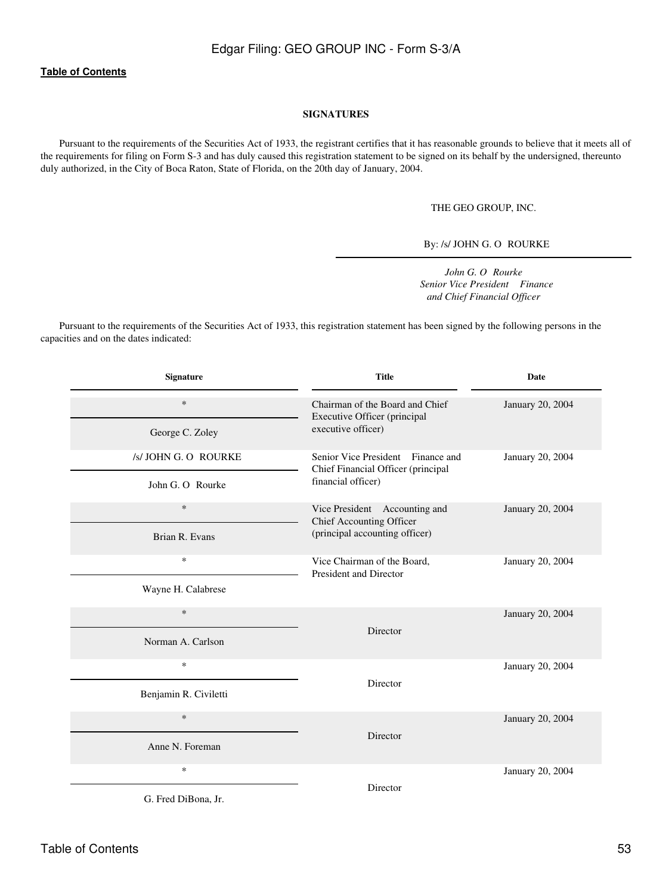## **SIGNATURES**

<span id="page-52-0"></span>Pursuant to the requirements of the Securities Act of 1933, the registrant certifies that it has reasonable grounds to believe that it meets all of the requirements for filing on Form S-3 and has duly caused this registration statement to be signed on its behalf by the undersigned, thereunto duly authorized, in the City of Boca Raton, State of Florida, on the 20th day of January, 2004.

THE GEO GROUP, INC.

By: /s/ JOHN G. O ROURKE

*John G. O Rourke Senior Vice President Finance and Chief Financial Officer*

Pursuant to the requirements of the Securities Act of 1933, this registration statement has been signed by the following persons in the capacities and on the dates indicated:

| <b>Signature</b>            | <b>Title</b>                                                                                | <b>Date</b>      |
|-----------------------------|---------------------------------------------------------------------------------------------|------------------|
| $\ast$                      | Chairman of the Board and Chief<br>Executive Officer (principal                             | January 20, 2004 |
| George C. Zoley             | executive officer)                                                                          |                  |
| /s/ JOHN G. O ROURKE        | Senior Vice President Finance and<br>Chief Financial Officer (principal                     | January 20, 2004 |
| John G. O. Rourke           | financial officer)                                                                          |                  |
| $\ast$<br>Brian R. Evans    | Vice President Accounting and<br>Chief Accounting Officer<br>(principal accounting officer) | January 20, 2004 |
| $\ast$                      | Vice Chairman of the Board,<br>President and Director                                       | January 20, 2004 |
| Wayne H. Calabrese          |                                                                                             |                  |
| $\ast$<br>Norman A. Carlson | Director                                                                                    | January 20, 2004 |
| $\ast$                      |                                                                                             | January 20, 2004 |
| Benjamin R. Civiletti       | Director                                                                                    |                  |
| $\ast$                      | Director                                                                                    | January 20, 2004 |
| Anne N. Foreman             |                                                                                             |                  |
| $\ast$                      | Director                                                                                    | January 20, 2004 |
| G. Fred DiBona, Jr.         |                                                                                             |                  |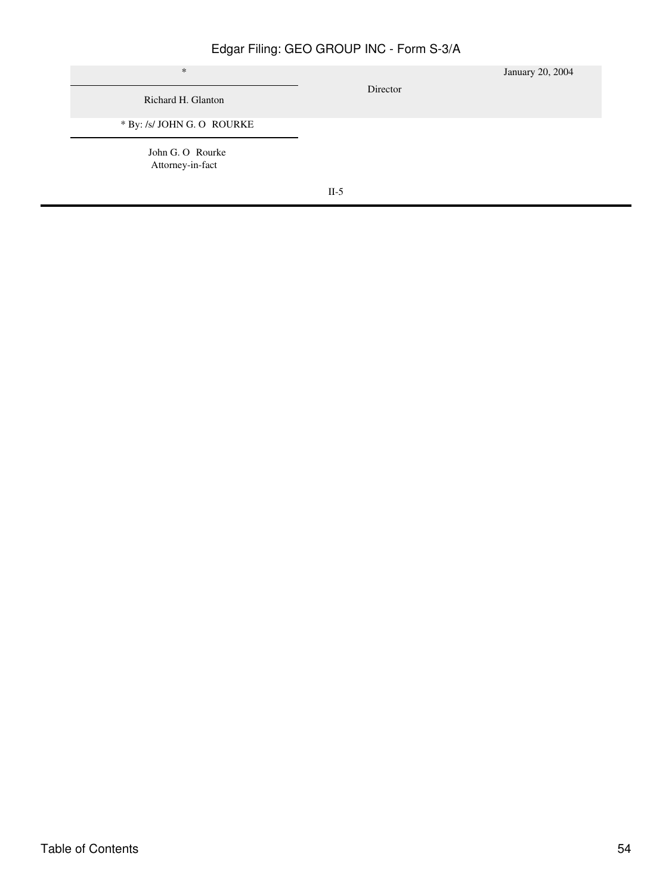| $\ast$<br>Richard H. Glanton         | Director | January 20, 2004 |
|--------------------------------------|----------|------------------|
| * By: /s/ JOHN G. O ROURKE           |          |                  |
| John G. O Rourke<br>Attorney-in-fact |          |                  |
|                                      | $II-5$   |                  |